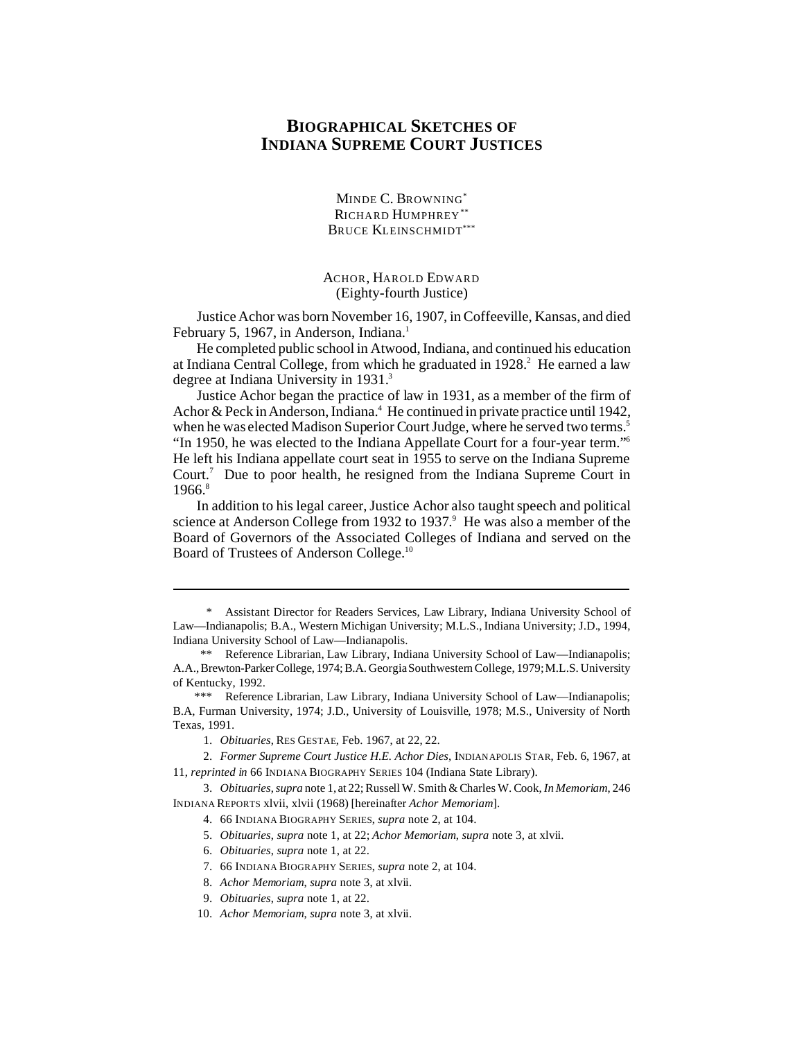## **BIOGRAPHICAL SKETCHES OF INDIANA SUPREME COURT JUSTICES**

MINDE C. BROWNING\* RICHARD HUMPHREY\* BRUCE KLEINSCHMIDT\*\*\*

ACHOR, HAROLD EDWARD (Eighty-fourth Justice)

Justice Achor was born November 16, 1907, in Coffeeville, Kansas, and died February 5, 1967, in Anderson, Indiana.<sup>1</sup>

He completed public school in Atwood, Indiana, and continued his education at Indiana Central College, from which he graduated in 1928.<sup>2</sup> He earned a law degree at Indiana University in 1931.<sup>3</sup>

Justice Achor began the practice of law in 1931, as a member of the firm of Achor & Peck in Anderson, Indiana.<sup>4</sup> He continued in private practice until 1942, when he was elected Madison Superior Court Judge, where he served two terms.<sup>5</sup> "In 1950, he was elected to the Indiana Appellate Court for a four-year term."<sup>6</sup> He left his Indiana appellate court seat in 1955 to serve on the Indiana Supreme Court.<sup>7</sup> Due to poor health, he resigned from the Indiana Supreme Court in 1966.<sup>8</sup>

In addition to his legal career, Justice Achor also taught speech and political science at Anderson College from 1932 to 1937.<sup>9</sup> He was also a member of the Board of Governors of the Associated Colleges of Indiana and served on the Board of Trustees of Anderson College.10

<sup>\*</sup> Assistant Director for Readers Services, Law Library, Indiana University School of Law—Indianapolis; B.A., Western Michigan University; M.L.S., Indiana University; J.D., 1994, Indiana University School of Law—Indianapolis.

<sup>\*\*</sup> Reference Librarian, Law Library, Indiana University School of Law—Indianapolis; A.A., Brewton-ParkerCollege, 1974;B.A. Georgia Southwestern College, 1979; M.L.S. University of Kentucky, 1992.

<sup>\*\*\*</sup> Reference Librarian, Law Library, Indiana University School of Law—Indianapolis; B.A, Furman University, 1974; J.D., University of Louisville, 1978; M.S., University of North Texas, 1991.

<sup>1.</sup> *Obituaries*, RES GESTAE, Feb. 1967, at 22, 22.

<sup>2.</sup> *Former Supreme Court Justice H.E. Achor Dies*, INDIANAPOLIS STAR, Feb. 6, 1967, at 11, *reprinted in* 66 INDIANA BIOGRAPHY SERIES 104 (Indiana State Library).

<sup>3.</sup> *Obituaries*,*supra* note 1, at 22; Russell W. Smith & Charles W. Cook, *In Memoriam*, 246 INDIANA REPORTS xlvii, xlvii (1968) [hereinafter *Achor Memoriam*].

<sup>4.</sup> 66 INDIANA BIOGRAPHY SERIES, *supra* note 2, at 104.

<sup>5.</sup> *Obituaries*, *supra* note 1, at 22; *Achor Memoriam*, *supra* note 3, at xlvii.

<sup>6.</sup> *Obituaries*, *supra* note 1, at 22.

<sup>7.</sup> 66 INDIANA BIOGRAPHY SERIES, *supra* note 2, at 104.

<sup>8.</sup> *Achor Memoriam*, *supra* note 3, at xlvii.

<sup>9.</sup> *Obituaries*, *supra* note 1, at 22.

<sup>10.</sup> *Achor Memoriam*, *supra* note 3, at xlvii.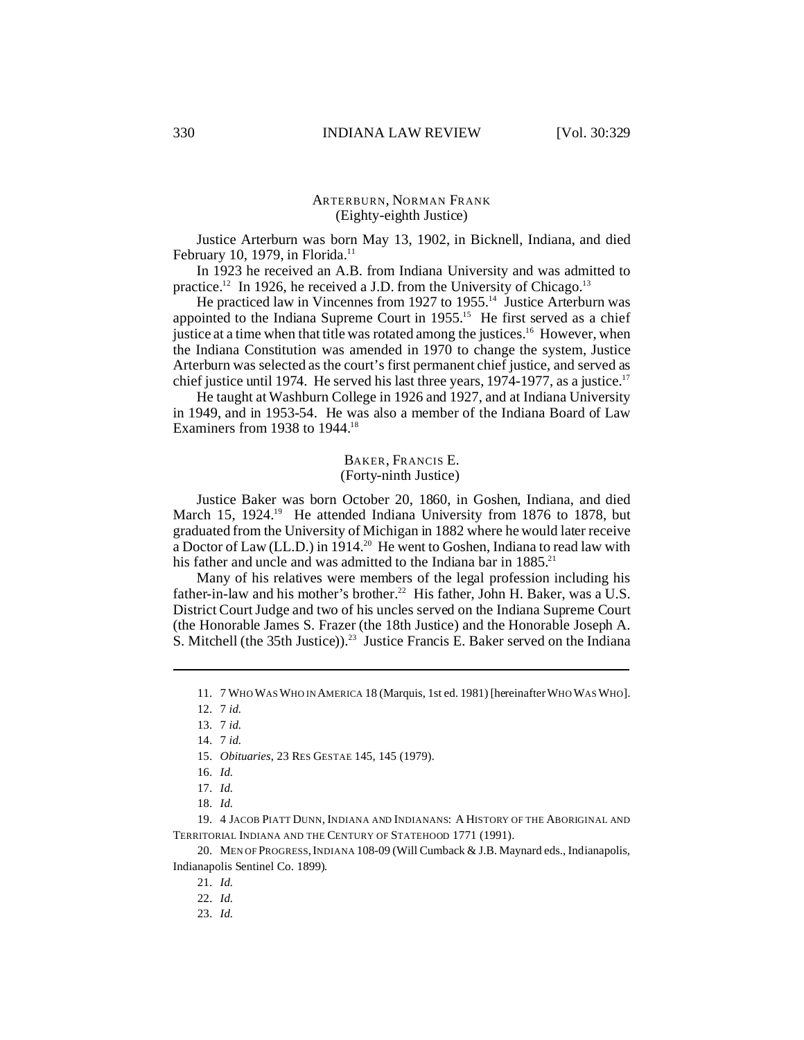#### ARTERBURN, NORMAN FRANK (Eighty-eighth Justice)

Justice Arterburn was born May 13, 1902, in Bicknell, Indiana, and died February 10, 1979, in Florida. $11$ 

In 1923 he received an A.B. from Indiana University and was admitted to practice.<sup>12</sup> In 1926, he received a J.D. from the University of Chicago.<sup>13</sup>

He practiced law in Vincennes from 1927 to 1955.<sup>14</sup> Justice Arterburn was appointed to the Indiana Supreme Court in 1955.<sup>15</sup> He first served as a chief justice at a time when that title was rotated among the justices.<sup>16</sup> However, when the Indiana Constitution was amended in 1970 to change the system, Justice Arterburn was selected as the court's first permanent chief justice, and served as chief justice until 1974. He served his last three years, 1974-1977, as a justice.<sup>17</sup>

He taught at Washburn College in 1926 and 1927, and at Indiana University in 1949, and in 1953-54. He was also a member of the Indiana Board of Law Examiners from 1938 to 1944.<sup>18</sup>

#### BAKER, FRANCIS E. (Forty-ninth Justice)

Justice Baker was born October 20, 1860, in Goshen, Indiana, and died March 15, 1924.<sup>19</sup> He attended Indiana University from 1876 to 1878, but graduated from the University of Michigan in 1882 where he would later receive a Doctor of Law (LL.D.) in 1914.<sup>20</sup> He went to Goshen, Indiana to read law with his father and uncle and was admitted to the Indiana bar in 1885.<sup>21</sup>

Many of his relatives were members of the legal profession including his father-in-law and his mother's brother.<sup>22</sup> His father, John H. Baker, was a U.S. District Court Judge and two of his uncles served on the Indiana Supreme Court (the Honorable James S. Frazer (the 18th Justice) and the Honorable Joseph A. S. Mitchell (the 35th Justice)).<sup>23</sup> Justice Francis E. Baker served on the Indiana

15. *Obituaries*, 23 RES GESTAE 145, 145 (1979).

19. 4 JACOB PIATT DUNN, INDIANA AND INDIANANS: A HISTORY OF THE ABORIGINAL AND TERRITORIAL INDIANA AND THE CENTURY OF STATEHOOD 1771 (1991).

20. MEN OF PROGRESS, INDIANA 108-09 (Will Cumback & J.B. Maynard eds., Indianapolis, Indianapolis Sentinel Co. 1899).

<sup>11.</sup> 7 WHO WAS WHO IN AMERICA 18 (Marquis, 1st ed. 1981) [hereinafter WHO WAS WHO].

<sup>12.</sup> 7 *id.*

<sup>13.</sup> 7 *id.*

<sup>14.</sup> 7 *id.*

<sup>16.</sup> *Id.*

<sup>17.</sup> *Id.*

<sup>18.</sup> *Id.*

<sup>21.</sup> *Id.*

<sup>22.</sup> *Id.*

<sup>23.</sup> *Id.*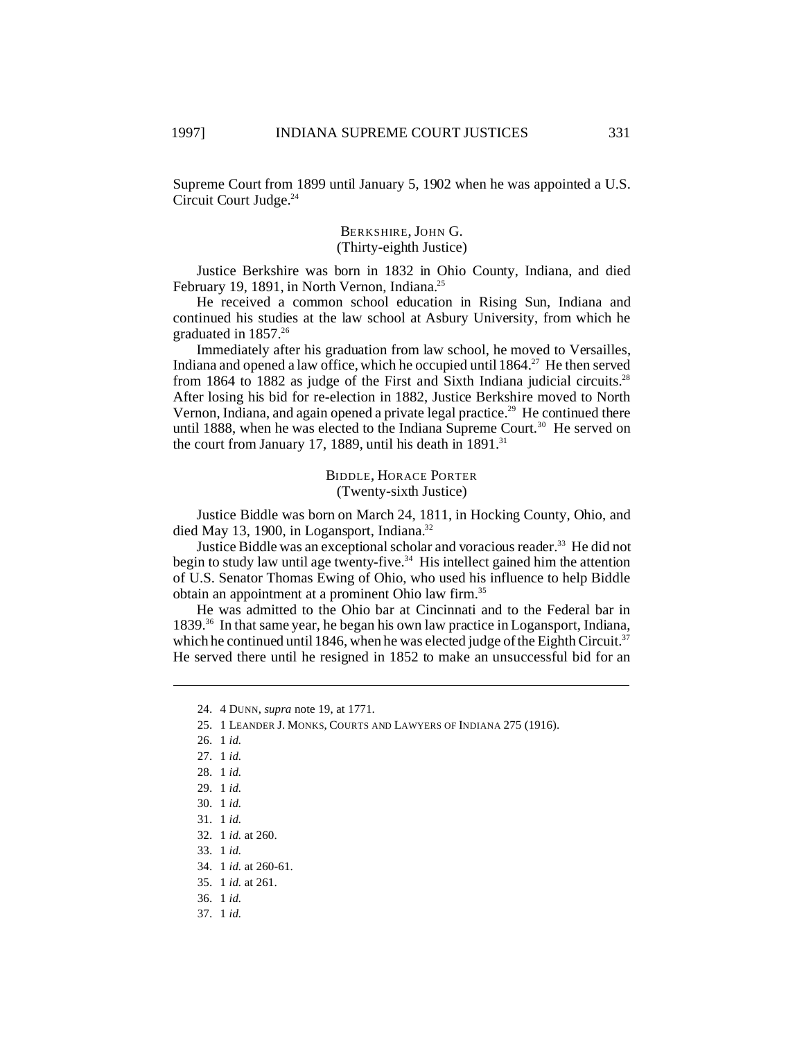Supreme Court from 1899 until January 5, 1902 when he was appointed a U.S. Circuit Court Judge.<sup>24</sup>

## BERKSHIRE, JOHN G. (Thirty-eighth Justice)

Justice Berkshire was born in 1832 in Ohio County, Indiana, and died February 19, 1891, in North Vernon, Indiana.<sup>25</sup>

He received a common school education in Rising Sun, Indiana and continued his studies at the law school at Asbury University, from which he graduated in  $1857.^{26}$ 

Immediately after his graduation from law school, he moved to Versailles, Indiana and opened a law office, which he occupied until  $1864$ <sup>27</sup> He then served from 1864 to 1882 as judge of the First and Sixth Indiana judicial circuits.<sup>28</sup> After losing his bid for re-election in 1882, Justice Berkshire moved to North Vernon, Indiana, and again opened a private legal practice.<sup>29</sup> He continued there until 1888, when he was elected to the Indiana Supreme Court.<sup>30</sup> He served on the court from January 17, 1889, until his death in  $1891$ <sup>31</sup>

> BIDDLE, HORACE PORTER (Twenty-sixth Justice)

Justice Biddle was born on March 24, 1811, in Hocking County, Ohio, and died May 13, 1900, in Logansport, Indiana.<sup>32</sup>

Justice Biddle was an exceptional scholar and voracious reader.<sup>33</sup> He did not begin to study law until age twenty-five.<sup>34</sup> His intellect gained him the attention of U.S. Senator Thomas Ewing of Ohio, who used his influence to help Biddle obtain an appointment at a prominent Ohio law firm.<sup>35</sup>

He was admitted to the Ohio bar at Cincinnati and to the Federal bar in 1839.<sup>36</sup> In that same year, he began his own law practice in Logansport, Indiana, which he continued until 1846, when he was elected judge of the Eighth Circuit.<sup>37</sup> He served there until he resigned in 1852 to make an unsuccessful bid for an

- 27. 1 *id.*
- 28. 1 *id.*
- 29. 1 *id.*
- 30. 1 *id.*
- 31. 1 *id.*
- 32. 1 *id.* at 260.
- 33. 1 *id.*
- 34. 1 *id.* at 260-61.
- 35. 1 *id.* at 261.
- 36. 1 *id.*
- 37. 1 *id.*

<sup>24.</sup> 4 DUNN, *supra* note 19, at 1771.

<sup>25.</sup> 1 LEANDER J. MONKS, COURTS AND LAWYERS OF INDIANA 275 (1916).

<sup>26.</sup> 1 *id.*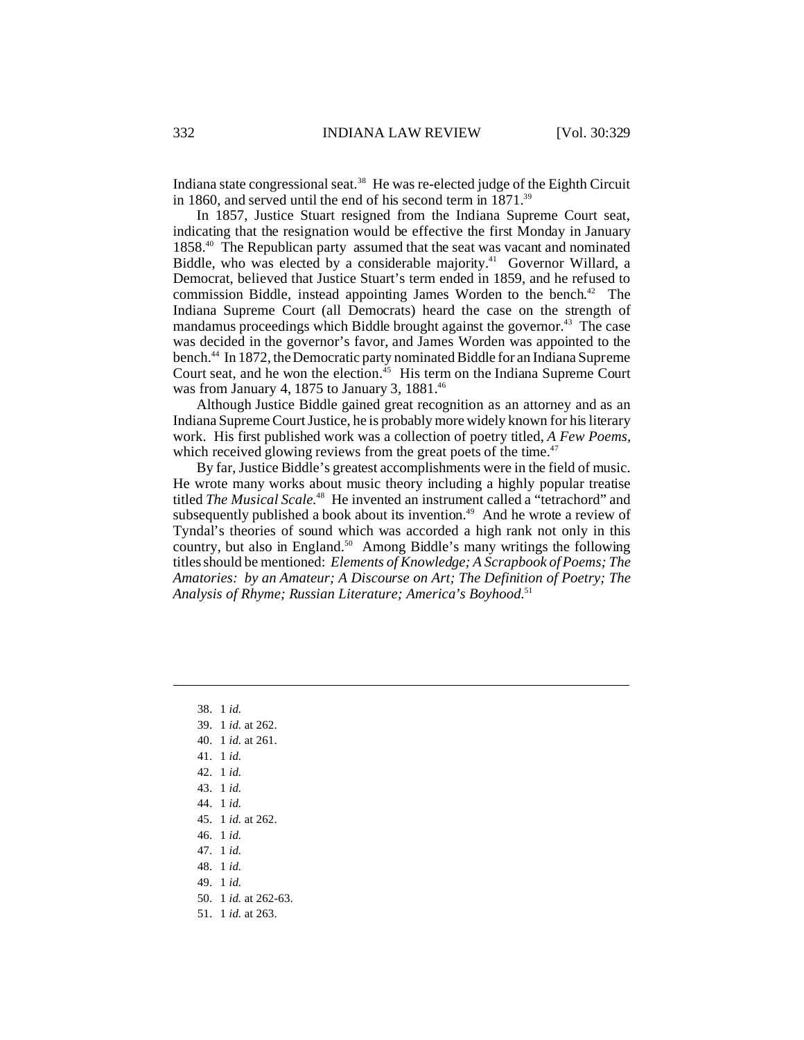Indiana state congressional seat.<sup>38</sup> He was re-elected judge of the Eighth Circuit in 1860, and served until the end of his second term in 1871.<sup>39</sup>

In 1857, Justice Stuart resigned from the Indiana Supreme Court seat, indicating that the resignation would be effective the first Monday in January 1858.<sup>40</sup> The Republican party assumed that the seat was vacant and nominated Biddle, who was elected by a considerable majority.<sup>41</sup> Governor Willard, a Democrat, believed that Justice Stuart's term ended in 1859, and he refused to commission Biddle, instead appointing James Worden to the bench. <sup>42</sup> The Indiana Supreme Court (all Democrats) heard the case on the strength of mandamus proceedings which Biddle brought against the governor.<sup>43</sup> The case was decided in the governor's favor, and James Worden was appointed to the bench.<sup>44</sup> In 1872, the Democratic party nominated Biddle for an Indiana Supreme Court seat, and he won the election.<sup>45</sup> His term on the Indiana Supreme Court was from January 4, 1875 to January 3, 1881.<sup>46</sup>

Although Justice Biddle gained great recognition as an attorney and as an Indiana Supreme Court Justice, he is probably more widely known for his literary work. His first published work was a collection of poetry titled, *A Few Poems,* which received glowing reviews from the great poets of the time.<sup>47</sup>

By far, Justice Biddle's greatest accomplishments were in the field of music. He wrote many works about music theory including a highly popular treatise titled *The Musical Scale*. <sup>48</sup> He invented an instrument called a "tetrachord" and subsequently published a book about its invention.<sup>49</sup> And he wrote a review of Tyndal's theories of sound which was accorded a high rank not only in this country, but also in England.<sup>50</sup> Among Biddle's many writings the following titles should be mentioned: *Elements of Knowledge; A Scrapbook of Poems; The Amatories: by an Amateur; A Discourse on Art; The Definition of Poetry; The Analysis of Rhyme; Russian Literature; America's Boyhood*. 51

38. 1 *id.* 39. 1 *id.* at 262. 40. 1 *id.* at 261. 41. 1 *id.* 42. 1 *id.* 43. 1 *id.* 44. 1 *id.* 45. 1 *id.* at 262. 46. 1 *id.* 47. 1 *id.* 48. 1 *id.* 49. 1 *id.* 50. 1 *id.* at 262-63. 51. 1 *id.* at 263.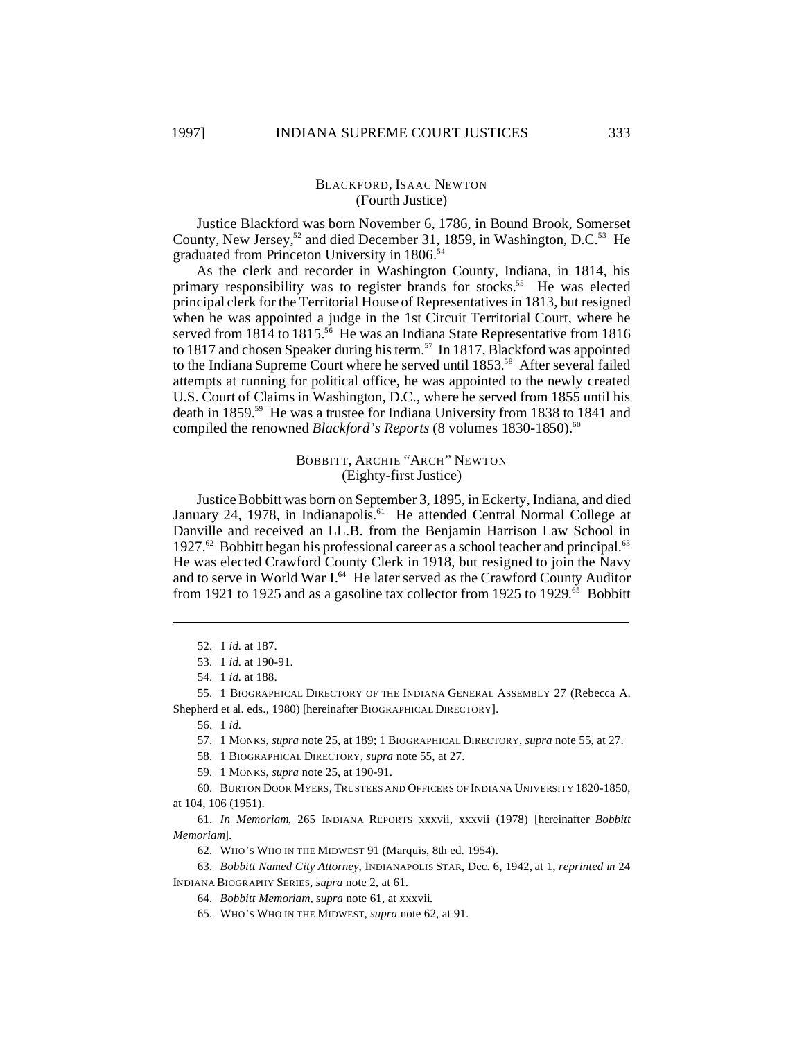## BLACKFORD, ISAAC NEWTON (Fourth Justice)

Justice Blackford was born November 6, 1786, in Bound Brook, Somerset County, New Jersey,<sup>52</sup> and died December 31, 1859, in Washington, D.C.<sup>53</sup> He graduated from Princeton University in 1806.<sup>54</sup>

As the clerk and recorder in Washington County, Indiana, in 1814, his primary responsibility was to register brands for stocks.<sup>55</sup> He was elected principal clerk for the Territorial House of Representatives in 1813, but resigned when he was appointed a judge in the 1st Circuit Territorial Court, where he served from 1814 to 1815.<sup>56</sup> He was an Indiana State Representative from 1816 to 1817 and chosen Speaker during his term.<sup>57</sup> In 1817, Blackford was appointed to the Indiana Supreme Court where he served until 1853. <sup>58</sup> After several failed attempts at running for political office, he was appointed to the newly created U.S. Court of Claims in Washington, D.C., where he served from 1855 until his death in 1859.<sup>59</sup> He was a trustee for Indiana University from 1838 to 1841 and compiled the renowned *Blackford's Reports* (8 volumes 1830-1850).<sup>60</sup>

#### BOBBITT, ARCHIE "ARCH" NEWTON (Eighty-first Justice)

Justice Bobbitt was born on September 3, 1895, in Eckerty, Indiana, and died January 24, 1978, in Indianapolis.<sup>61</sup> He attended Central Normal College at Danville and received an LL.B. from the Benjamin Harrison Law School in 1927.<sup>62</sup> Bobbitt began his professional career as a school teacher and principal.<sup>63</sup> He was elected Crawford County Clerk in 1918, but resigned to join the Navy and to serve in World War I.<sup>64</sup> He later served as the Crawford County Auditor from 1921 to 1925 and as a gasoline tax collector from 1925 to 1929.<sup>65</sup> Bobbitt

58. 1 BIOGRAPHICAL DIRECTORY, *supra* note 55, at 27.

59. 1 MONKS, *supra* note 25, at 190-91.

60. BURTON DOOR MYERS, TRUSTEES AND OFFICERS OF INDIANA UNIVERSITY 1820-1850, at 104, 106 (1951).

61. *In Memoriam*, 265 INDIANA REPORTS xxxvii, xxxvii (1978) [hereinafter *Bobbitt Memoriam*].

62. WHO'S WHO IN THE MIDWEST 91 (Marquis, 8th ed. 1954).

63. *Bobbitt Named City Attorney*, INDIANAPOLIS STAR, Dec. 6, 1942, at 1, *reprinted in* 24 INDIANA BIOGRAPHY SERIES, *supra* note 2, at 61.

64. *Bobbitt Memoriam*, *supra* note 61, at xxxvii.

65. WHO'S WHO IN THE MIDWEST, *supra* note 62, at 91.

<sup>52.</sup> 1 *id.* at 187.

<sup>53.</sup> 1 *id.* at 190-91.

<sup>54.</sup> 1 *id.* at 188.

<sup>55.</sup> 1 BIOGRAPHICAL DIRECTORY OF THE INDIANA GENERAL ASSEMBLY 27 (Rebecca A. Shepherd et al. eds., 1980) [hereinafter BIOGRAPHICAL DIRECTORY].

<sup>56.</sup> 1 *id.*

<sup>57.</sup> 1 MONKS, *supra* note 25, at 189; 1 BIOGRAPHICAL DIRECTORY, *supra* note 55, at 27.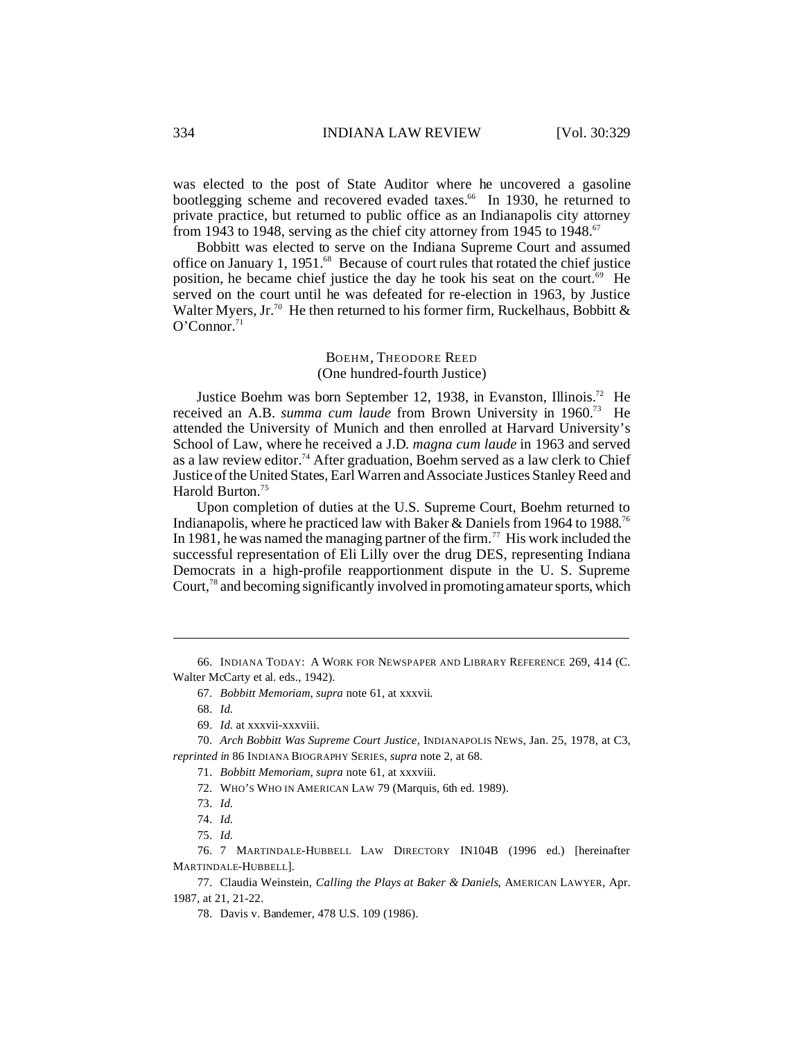was elected to the post of State Auditor where he uncovered a gasoline bootlegging scheme and recovered evaded taxes.<sup>66</sup> In 1930, he returned to private practice, but returned to public office as an Indianapolis city attorney from 1943 to 1948, serving as the chief city attorney from 1945 to 1948.<sup>67</sup>

Bobbitt was elected to serve on the Indiana Supreme Court and assumed office on January 1, 1951.<sup>68</sup> Because of court rules that rotated the chief justice position, he became chief justice the day he took his seat on the court.<sup>69</sup> He served on the court until he was defeated for re-election in 1963, by Justice Walter Myers, Jr.<sup>70</sup> He then returned to his former firm, Ruckelhaus, Bobbitt &  $O'Connor.<sup>71</sup>$ 

> BOEHM, THEODORE REED (One hundred-fourth Justice)

Justice Boehm was born September 12, 1938, in Evanston, Illinois.<sup>72</sup> He received an A.B. *summa cum laude* from Brown University in 1960.<sup>73</sup> He attended the University of Munich and then enrolled at Harvard University's School of Law, where he received a J.D. *magna cum laude* in 1963 and served as a law review editor.<sup>74</sup> After graduation, Boehm served as a law clerk to Chief Justice of the United States, Earl Warren and Associate Justices Stanley Reed and Harold Burton.<sup>75</sup>

Upon completion of duties at the U.S. Supreme Court, Boehm returned to Indianapolis, where he practiced law with Baker & Daniels from 1964 to 1988. 76 In 1981, he was named the managing partner of the firm.<sup>77</sup> His work included the successful representation of Eli Lilly over the drug DES, representing Indiana Democrats in a high-profile reapportionment dispute in the U. S. Supreme Court, $^{78}$  and becoming significantly involved in promoting amateur sports, which

66. INDIANA TODAY: A WORK FOR NEWSPAPER AND LIBRARY REFERENCE 269, 414 (C. Walter McCarty et al. eds., 1942).

67. *Bobbitt Memoriam*, *supra* note 61, at xxxvii.

- 69. *Id.* at xxxvii-xxxviii.
- 70. *Arch Bobbitt Was Supreme Court Justice*, INDIANAPOLIS NEWS, Jan. 25, 1978, at C3, *reprinted in* 86 INDIANA BIOGRAPHY SERIES, *supra* note 2, at 68.

71. *Bobbitt Memoriam*, *supra* note 61, at xxxviii.

72. WHO'S WHO IN AMERICAN LAW 79 (Marquis, 6th ed. 1989).

76. 7 MARTINDALE-HUBBELL LAW DIRECTORY IN104B (1996 ed.) [hereinafter MARTINDALE-HUBBELL].

77. Claudia Weinstein, *Calling the Plays at Baker & Daniels*, AMERICAN LAWYER, Apr. 1987, at 21, 21-22.

78. Davis v. Bandemer, 478 U.S. 109 (1986).

<sup>68.</sup> *Id.*

<sup>73.</sup> *Id.*

<sup>74.</sup> *Id.*

<sup>75.</sup> *Id.*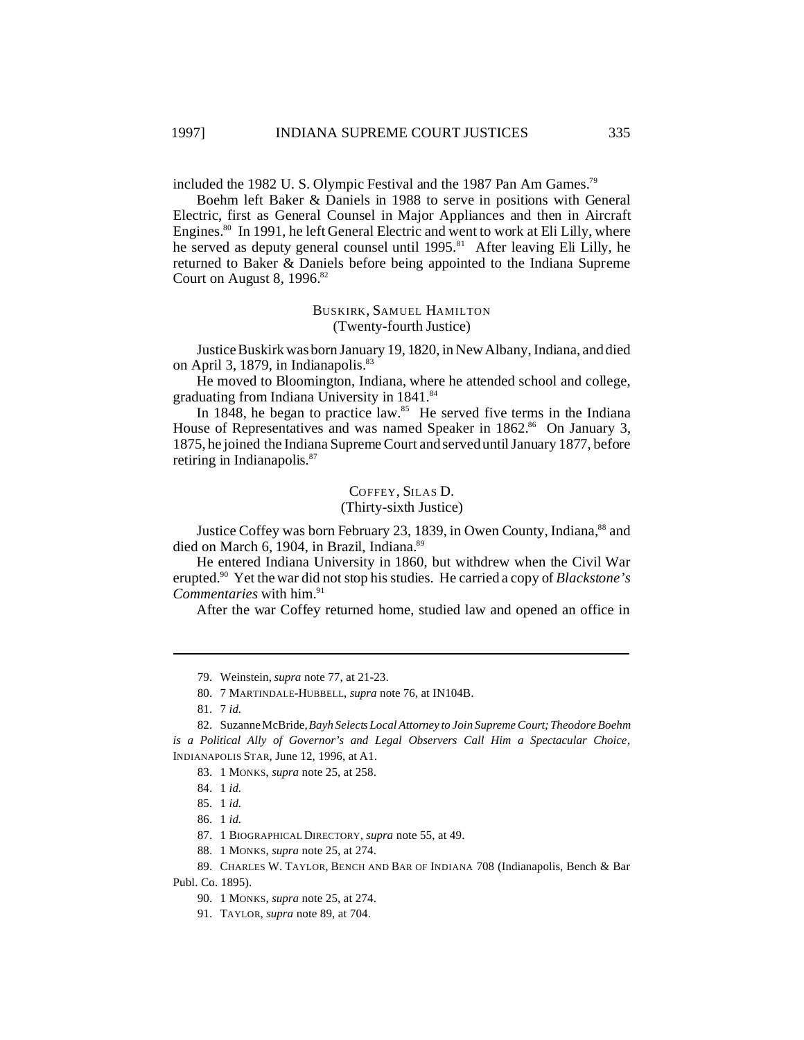included the 1982 U.S. Olympic Festival and the 1987 Pan Am Games.<sup>79</sup>

Boehm left Baker & Daniels in 1988 to serve in positions with General Electric, first as General Counsel in Major Appliances and then in Aircraft Engines.<sup>80</sup> In 1991, he left General Electric and went to work at Eli Lilly, where he served as deputy general counsel until 1995.<sup>81</sup> After leaving Eli Lilly, he returned to Baker & Daniels before being appointed to the Indiana Supreme Court on August 8,  $1996$ .<sup>82</sup>

## BUSKIRK, SAMUEL HAMILTON (Twenty-fourth Justice)

Justice Buskirk was born January 19, 1820, in New Albany, Indiana, and died on April 3, 1879, in Indianapolis.<sup>83</sup>

He moved to Bloomington, Indiana, where he attended school and college, graduating from Indiana University in 1841.<sup>84</sup>

In 1848, he began to practice law.<sup>85</sup> He served five terms in the Indiana House of Representatives and was named Speaker in 1862.<sup>86</sup> On January 3, 1875, he joined the Indiana Supreme Court and served until January 1877, before retiring in Indianapolis.<sup>87</sup>

## COFFEY, SILAS D.

## (Thirty-sixth Justice)

Justice Coffey was born February 23, 1839, in Owen County, Indiana,<sup>88</sup> and died on March 6, 1904, in Brazil, Indiana.<sup>89</sup>

He entered Indiana University in 1860, but withdrew when the Civil War erupted.<sup>90</sup> Yet the war did not stop his studies. He carried a copy of *Blackstone's Commentaries* with him.<sup>91</sup>

After the war Coffey returned home, studied law and opened an office in

81. 7 *id.*

<sup>79.</sup> Weinstein, *supra* note 77, at 21-23.

<sup>80.</sup> 7 MARTINDALE-HUBBELL, *supra* note 76, at IN104B.

<sup>82.</sup> Suzanne McBride, *Bayh Selects Local Attorney to Join Supreme Court;Theodore Boehm is a Political Ally of Governor's and Legal Observers Call Him a Spectacular Choice*, INDIANAPOLIS STAR, June 12, 1996, at A1.

<sup>83.</sup> 1 MONKS, *supra* note 25, at 258.

<sup>84.</sup> 1 *id.*

<sup>85.</sup> 1 *id.*

<sup>86.</sup> 1 *id.*

<sup>87.</sup> 1 BIOGRAPHICAL DIRECTORY, *supra* note 55, at 49.

<sup>88.</sup> 1 MONKS, *supra* note 25, at 274.

<sup>89.</sup> CHARLES W. TAYLOR, BENCH AND BAR OF INDIANA 708 (Indianapolis, Bench & Bar Publ. Co. 1895).

<sup>90.</sup> 1 MONKS, *supra* note 25, at 274.

<sup>91.</sup> TAYLOR, *supra* note 89, at 704.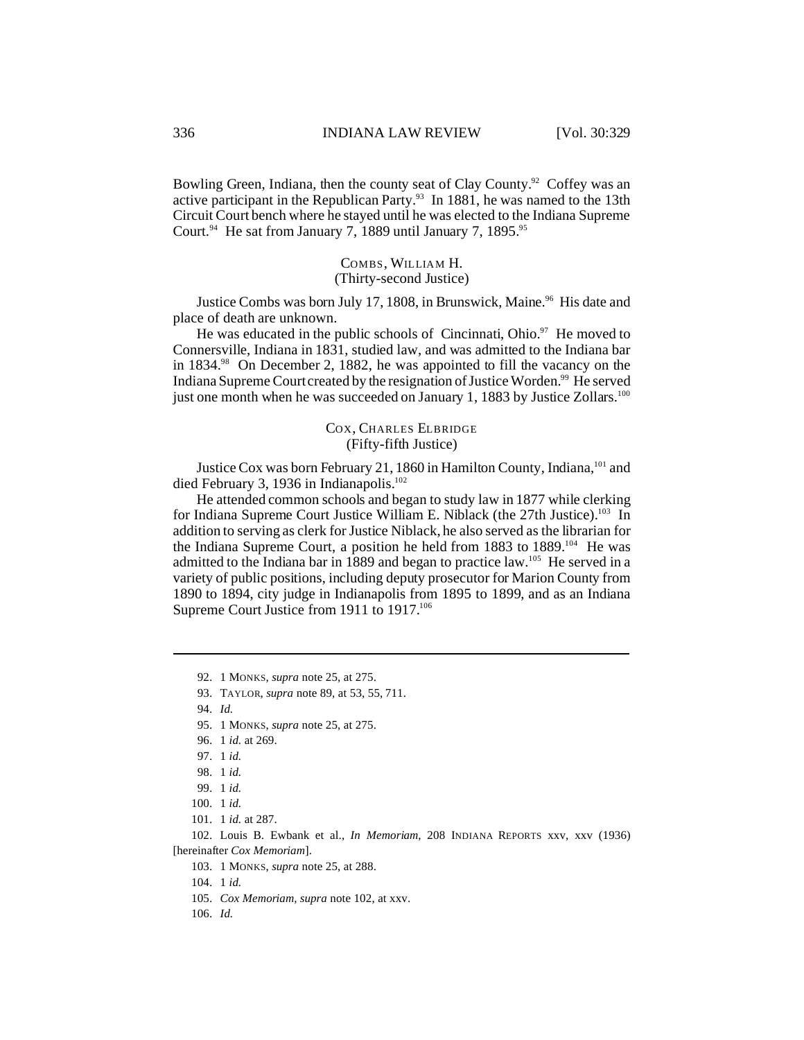Bowling Green, Indiana, then the county seat of Clay County.<sup>92</sup> Coffey was an active participant in the Republican Party.<sup>93</sup> In 1881, he was named to the 13th Circuit Court bench where he stayed until he was elected to the Indiana Supreme Court.<sup>94</sup> He sat from January 7, 1889 until January 7, 1895.<sup>95</sup>

## COMBS, WILLIAM H. (Thirty-second Justice)

Justice Combs was born July 17, 1808, in Brunswick, Maine.<sup>96</sup> His date and place of death are unknown.

He was educated in the public schools of Cincinnati, Ohio. $97$  He moved to Connersville, Indiana in 1831, studied law, and was admitted to the Indiana bar in 1834.<sup>98</sup> On December 2, 1882, he was appointed to fill the vacancy on the Indiana Supreme Court created by the resignation of Justice Worden.<sup>99</sup> He served just one month when he was succeeded on January 1, 1883 by Justice Zollars.<sup>100</sup>

## COX, CHARLES ELBRIDGE (Fifty-fifth Justice)

Justice Cox was born February 21, 1860 in Hamilton County, Indiana,<sup>101</sup> and died February 3, 1936 in Indianapolis.<sup>102</sup>

He attended common schools and began to study law in 1877 while clerking for Indiana Supreme Court Justice William E. Niblack (the 27th Justice).<sup>103</sup> In addition to serving as clerk for Justice Niblack, he also served as the librarian for the Indiana Supreme Court, a position he held from 1883 to 1889.<sup>104</sup> He was admitted to the Indiana bar in 1889 and began to practice law.<sup>105</sup> He served in a variety of public positions, including deputy prosecutor for Marion County from 1890 to 1894, city judge in Indianapolis from 1895 to 1899, and as an Indiana Supreme Court Justice from 1911 to 1917.<sup>106</sup>

- 105. *Cox Memoriam*, *supra* note 102, at xxv.
- 106. *Id.*

<sup>92.</sup> 1 MONKS, *supra* note 25, at 275.

<sup>93.</sup> TAYLOR, *supra* note 89, at 53, 55, 711.

<sup>94.</sup> *Id.*

<sup>95.</sup> 1 MONKS, *supra* note 25, at 275.

<sup>96.</sup> 1 *id.* at 269.

<sup>97.</sup> 1 *id.*

<sup>98.</sup> 1 *id.*

<sup>99.</sup> 1 *id.*

<sup>100.</sup> 1 *id.*

<sup>101.</sup> 1 *id.* at 287.

<sup>102.</sup> Louis B. Ewbank et al., *In Memoriam*, 208 INDIANA REPORTS xxv, xxv (1936) [hereinafter *Cox Memoriam*].

<sup>103.</sup> 1 MONKS, *supra* note 25, at 288.

<sup>104.</sup> 1 *id.*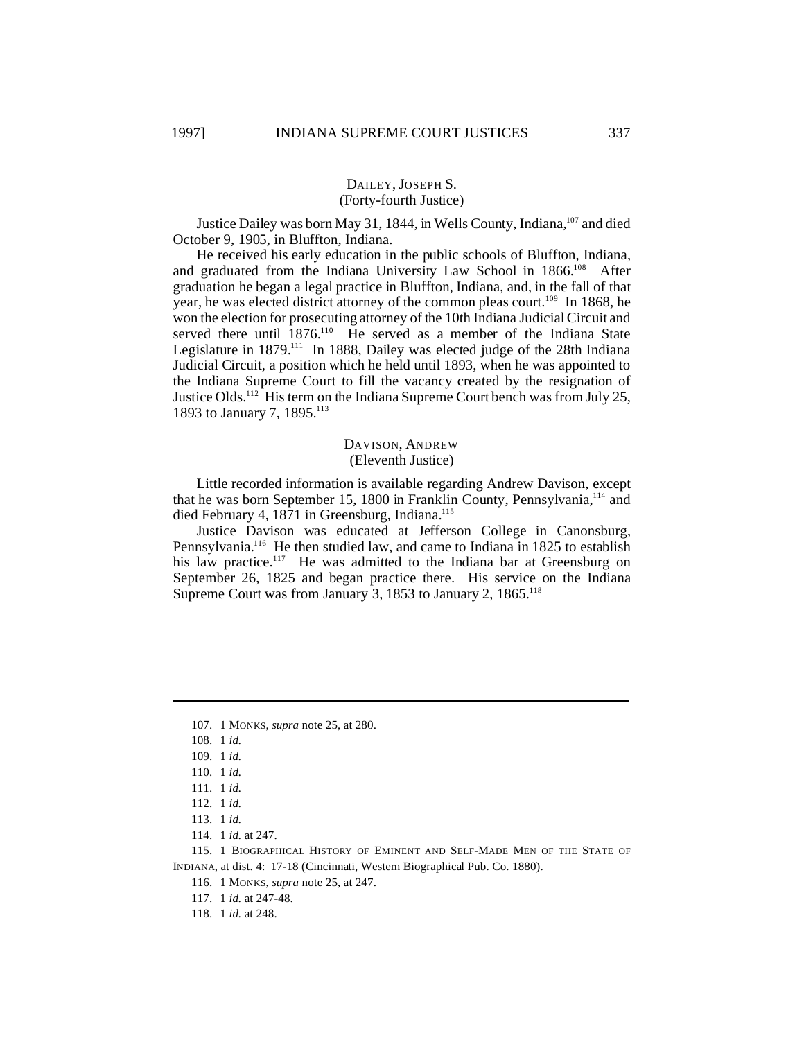## DAILEY, JOSEPH S. (Forty-fourth Justice)

Justice Dailey was born May 31, 1844, in Wells County, Indiana,<sup>107</sup> and died October 9, 1905, in Bluffton, Indiana.

He received his early education in the public schools of Bluffton, Indiana, and graduated from the Indiana University Law School in 1866.<sup>108</sup> After graduation he began a legal practice in Bluffton, Indiana, and, in the fall of that year, he was elected district attorney of the common pleas court.<sup>109</sup> In 1868, he won the election for prosecuting attorney of the 10th Indiana Judicial Circuit and served there until 1876.<sup>110</sup> He served as a member of the Indiana State Legislature in  $1879$ .<sup>111</sup> In 1888, Dailey was elected judge of the 28th Indiana Judicial Circuit, a position which he held until 1893, when he was appointed to the Indiana Supreme Court to fill the vacancy created by the resignation of Justice Olds.<sup>112</sup> His term on the Indiana Supreme Court bench was from July 25, 1893 to January 7, 1895.<sup>113</sup>

## DAVISON, ANDREW (Eleventh Justice)

Little recorded information is available regarding Andrew Davison, except that he was born September 15, 1800 in Franklin County, Pennsylvania,<sup>114</sup> and died February 4, 1871 in Greensburg, Indiana.<sup>115</sup>

Justice Davison was educated at Jefferson College in Canonsburg, Pennsylvania.<sup>116</sup> He then studied law, and came to Indiana in 1825 to establish his law practice.<sup>117</sup> He was admitted to the Indiana bar at Greensburg on September 26, 1825 and began practice there. His service on the Indiana Supreme Court was from January 3, 1853 to January 2,  $1865$ <sup>118</sup>

115. 1 BIOGRAPHICAL HISTORY OF EMINENT AND SELF-MADE MEN OF THE STATE OF INDIANA, at dist. 4: 17-18 (Cincinnati, Western Biographical Pub. Co. 1880).

116. 1 MONKS, *supra* note 25, at 247.

117. 1 *id.* at 247-48.

118. 1 *id.* at 248.

<sup>107.</sup> 1 MONKS, *supra* note 25, at 280.

<sup>108.</sup> 1 *id.*

<sup>109.</sup> 1 *id.*

<sup>110.</sup> 1 *id.*

<sup>111.</sup> 1 *id.*

<sup>112.</sup> 1 *id.*

<sup>113.</sup> 1 *id.*

<sup>114.</sup> 1 *id.* at 247.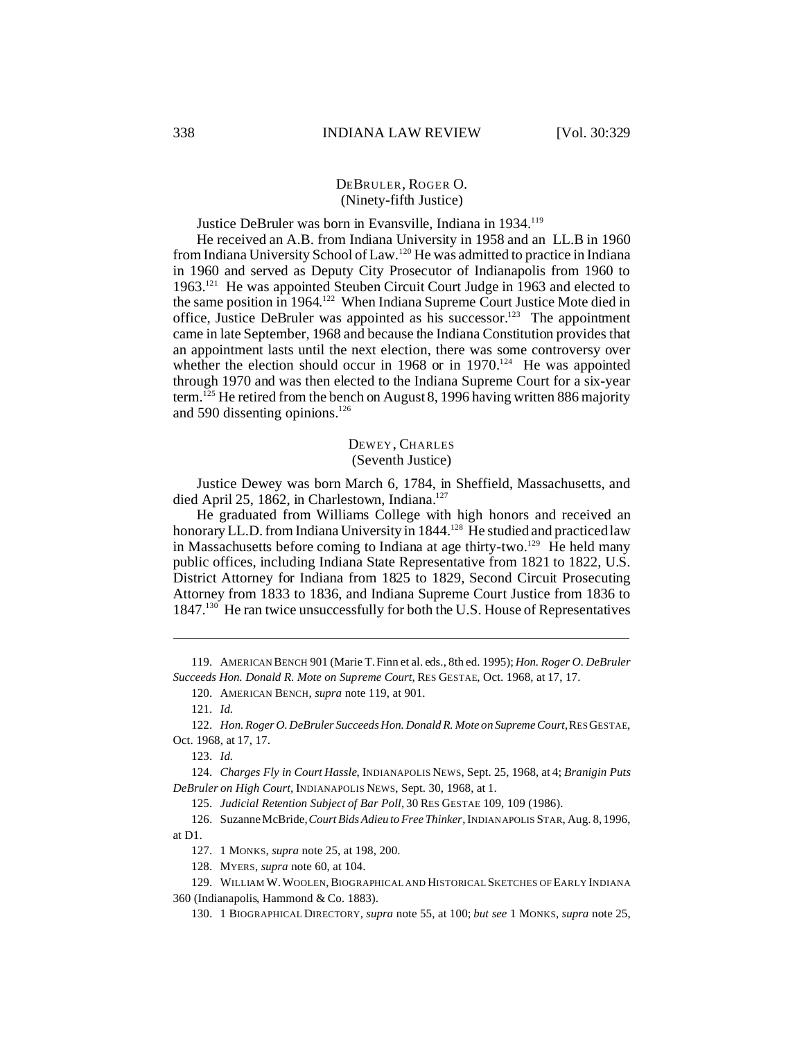#### DEBRULER, ROGER O. (Ninety-fifth Justice)

Justice DeBruler was born in Evansville, Indiana in 1934.<sup>119</sup>

He received an A.B. from Indiana University in 1958 and an LL.B in 1960 from Indiana University School of Law.<sup>120</sup> He was admitted to practice in Indiana in 1960 and served as Deputy City Prosecutor of Indianapolis from 1960 to 1963.<sup>121</sup> He was appointed Steuben Circuit Court Judge in 1963 and elected to the same position in 1964.<sup>122</sup> When Indiana Supreme Court Justice Mote died in office, Justice DeBruler was appointed as his successor.<sup>123</sup> The appointment came in late September, 1968 and because the Indiana Constitution provides that an appointment lasts until the next election, there was some controversy over whether the election should occur in 1968 or in  $1970$ .<sup>124</sup> He was appointed through 1970 and was then elected to the Indiana Supreme Court for a six-year term.<sup>125</sup> He retired from the bench on August 8, 1996 having written 886 majority and 590 dissenting opinions. $126$ 

## DEWEY, CHARLES (Seventh Justice)

Justice Dewey was born March 6, 1784, in Sheffield, Massachusetts, and died April 25, 1862, in Charlestown, Indiana.<sup>127</sup>

He graduated from Williams College with high honors and received an honorary LL.D. from Indiana University in 1844.<sup>128</sup> He studied and practiced law in Massachusetts before coming to Indiana at age thirty-two.<sup>129</sup> He held many public offices, including Indiana State Representative from 1821 to 1822, U.S. District Attorney for Indiana from 1825 to 1829, Second Circuit Prosecuting Attorney from 1833 to 1836, and Indiana Supreme Court Justice from 1836 to 1847.<sup>130</sup> He ran twice unsuccessfully for both the U.S. House of Representatives

119. AMERICAN BENCH 901 (Marie T. Finn et al. eds., 8th ed. 1995); *Hon. Roger O. DeBruler Succeeds Hon. Donald R. Mote on Supreme Court*, RES GESTAE, Oct. 1968, at 17, 17.

120. AMERICAN BENCH, *supra* note 119, at 901.

121. *Id.*

122. *Hon. Roger O. DeBruler Succeeds Hon. Donald R. Mote on Supreme Court*,RES GESTAE, Oct. 1968, at 17, 17.

123. *Id.*

124. *Charges Fly in Court Hassle*, INDIANAPOLIS NEWS, Sept. 25, 1968, at 4; *Branigin Puts DeBruler on High Court,* INDIANAPOLIS NEWS, Sept. 30, 1968, at 1.

125. *Judicial Retention Subject of Bar Poll,* 30 RES GESTAE 109, 109 (1986).

126. Suzanne McBride, *Court Bids Adieu to Free Thinker*, INDIANAPOLIS STAR, Aug. 8, 1996, at D1.

127. 1 MONKS, *supra* note 25, at 198, 200.

128. MYERS, *supra* note 60, at 104.

129. WILLIAM W.WOOLEN,BIOGRAPHICAL AND HISTORICAL SKETCHES OF EARLY INDIANA 360 (Indianapolis, Hammond & Co. 1883).

130. 1 BIOGRAPHICAL DIRECTORY, *supra* note 55, at 100; *but see* 1 MONKS, *supra* note 25,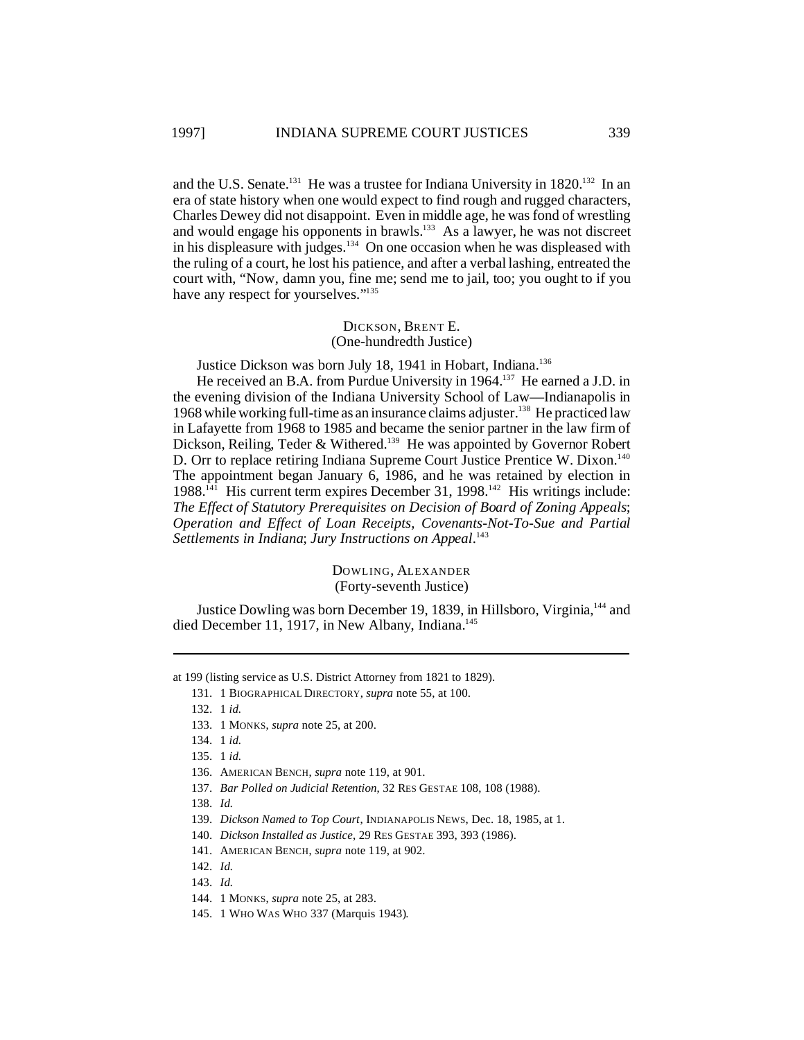and the U.S. Senate.<sup>131</sup> He was a trustee for Indiana University in 1820.<sup>132</sup> In an era of state history when one would expect to find rough and rugged characters, Charles Dewey did not disappoint. Even in middle age, he was fond of wrestling and would engage his opponents in brawls.<sup>133</sup> As a lawyer, he was not discreet in his displeasure with judges.<sup>134</sup> On one occasion when he was displeased with the ruling of a court, he lost his patience, and after a verbal lashing, entreated the court with, "Now, damn you, fine me; send me to jail, too; you ought to if you have any respect for yourselves."<sup>135</sup>

#### DICKSON, BRENT E. (One-hundredth Justice)

Justice Dickson was born July 18, 1941 in Hobart, Indiana.<sup>136</sup>

He received an B.A. from Purdue University in 1964.<sup>137</sup> He earned a J.D. in the evening division of the Indiana University School of Law—Indianapolis in 1968 while working full-time as an insurance claims adjuster.<sup>138</sup> He practiced law in Lafayette from 1968 to 1985 and became the senior partner in the law firm of Dickson, Reiling, Teder & Withered.<sup>139</sup> He was appointed by Governor Robert D. Orr to replace retiring Indiana Supreme Court Justice Prentice W. Dixon.<sup>140</sup> The appointment began January 6, 1986, and he was retained by election in 1988.<sup>141</sup> His current term expires December 31, 1998.<sup>142</sup> His writings include: *The Effect of Statutory Prerequisites on Decision of Board of Zoning Appeals*; *Operation and Effect of Loan Receipts, Covenants-Not-To-Sue and Partial Settlements in Indiana*; *Jury Instructions on Appeal*. 143

> DOWLING, ALEXANDER (Forty-seventh Justice)

Justice Dowling was born December 19, 1839, in Hillsboro, Virginia,<sup>144</sup> and died December 11, 1917, in New Albany, Indiana.<sup>145</sup>

at 199 (listing service as U.S. District Attorney from 1821 to 1829).

132. 1 *id.*

145. 1 WHO WAS WHO 337 (Marquis 1943).

<sup>131.</sup> 1 BIOGRAPHICAL DIRECTORY, *supra* note 55, at 100.

<sup>133.</sup> 1 MONKS, *supra* note 25, at 200.

<sup>134.</sup> 1 *id.*

<sup>135.</sup> 1 *id.*

<sup>136.</sup> AMERICAN BENCH, *supra* note 119, at 901.

<sup>137.</sup> *Bar Polled on Judicial Retention*, 32 RES GESTAE 108, 108 (1988).

<sup>138.</sup> *Id.*

<sup>139.</sup> *Dickson Named to Top Court*, INDIANAPOLIS NEWS, Dec. 18, 1985, at 1.

<sup>140.</sup> *Dickson Installed as Justice*, 29 RES GESTAE 393, 393 (1986).

<sup>141.</sup> AMERICAN BENCH, *supra* note 119, at 902.

<sup>142.</sup> *Id.*

<sup>143.</sup> *Id.*

<sup>144.</sup> 1 MONKS, *supra* note 25, at 283.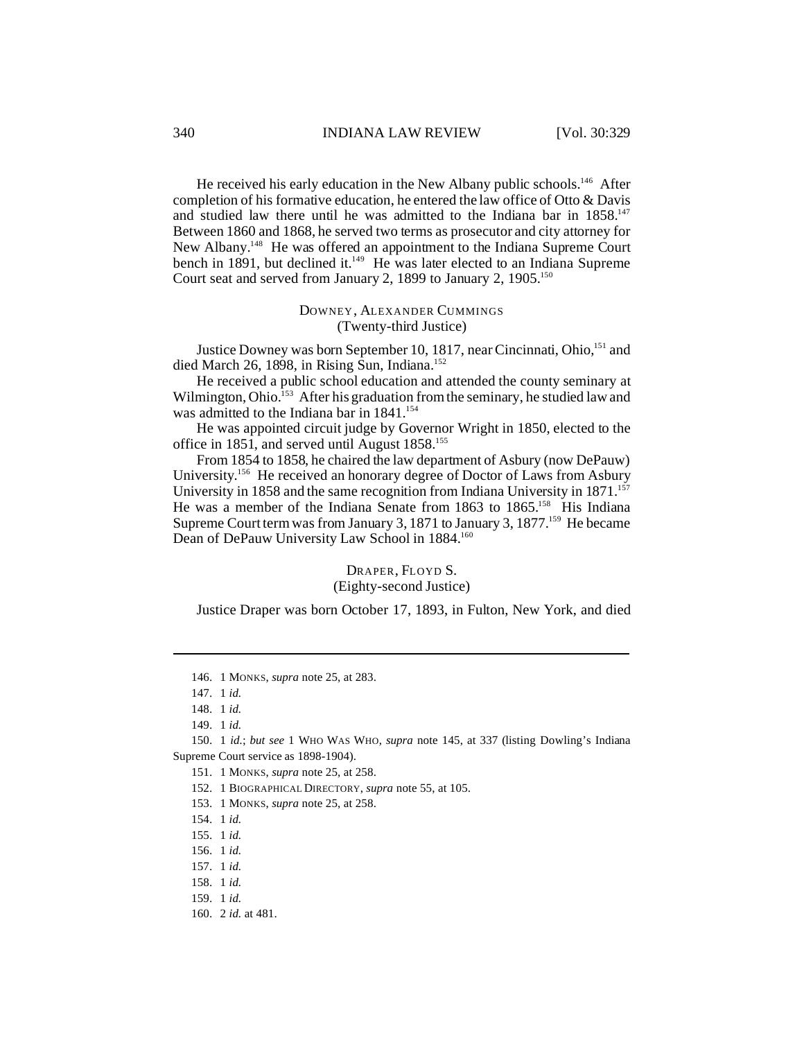He received his early education in the New Albany public schools.<sup>146</sup> After completion of his formative education, he entered the law office of Otto & Davis and studied law there until he was admitted to the Indiana bar in 1858.<sup>147</sup> Between 1860 and 1868, he served two terms as prosecutor and city attorney for New Albany.<sup>148</sup> He was offered an appointment to the Indiana Supreme Court bench in 1891, but declined it.<sup>149</sup> He was later elected to an Indiana Supreme Court seat and served from January 2, 1899 to January 2,  $1905$ .<sup>150</sup>

## DOWNEY, ALEXANDER CUMMINGS (Twenty-third Justice)

Justice Downey was born September 10, 1817, near Cincinnati, Ohio,<sup>151</sup> and died March 26, 1898, in Rising Sun, Indiana.<sup>152</sup>

He received a public school education and attended the county seminary at Wilmington, Ohio.<sup>153</sup> After his graduation from the seminary, he studied law and was admitted to the Indiana bar in  $1841$ .<sup>154</sup>

He was appointed circuit judge by Governor Wright in 1850, elected to the office in 1851, and served until August 1858.<sup>155</sup>

From 1854 to 1858, he chaired the law department of Asbury (now DePauw) University. <sup>156</sup> He received an honorary degree of Doctor of Laws from Asbury University in 1858 and the same recognition from Indiana University in  $1871$ <sup>157</sup> He was a member of the Indiana Senate from 1863 to 1865.<sup>158</sup> His Indiana Supreme Court term was from January 3, 1871 to January 3, 1877.<sup>159</sup> He became Dean of DePauw University Law School in 1884.<sup>160</sup>

> DRAPER, FLOYD S. (Eighty-second Justice)

Justice Draper was born October 17, 1893, in Fulton, New York, and died

<sup>146.</sup> 1 MONKS, *supra* note 25, at 283.

<sup>147.</sup> 1 *id.*

<sup>148.</sup> 1 *id.*

<sup>149.</sup> 1 *id.*

<sup>150.</sup> 1 *id.*; *but see* 1 WHO WAS WHO, *supra* note 145, at 337 (listing Dowling's Indiana Supreme Court service as 1898-1904).

<sup>151.</sup> 1 MONKS, *supra* note 25, at 258.

<sup>152.</sup> 1 BIOGRAPHICAL DIRECTORY, *supra* note 55, at 105.

<sup>153.</sup> 1 MONKS, *supra* note 25, at 258.

<sup>154.</sup> 1 *id.*

<sup>155.</sup> 1 *id.*

<sup>156.</sup> 1 *id.*

<sup>157.</sup> 1 *id.*

<sup>158.</sup> 1 *id.*

<sup>159.</sup> 1 *id.*

<sup>160.</sup> 2 *id.* at 481.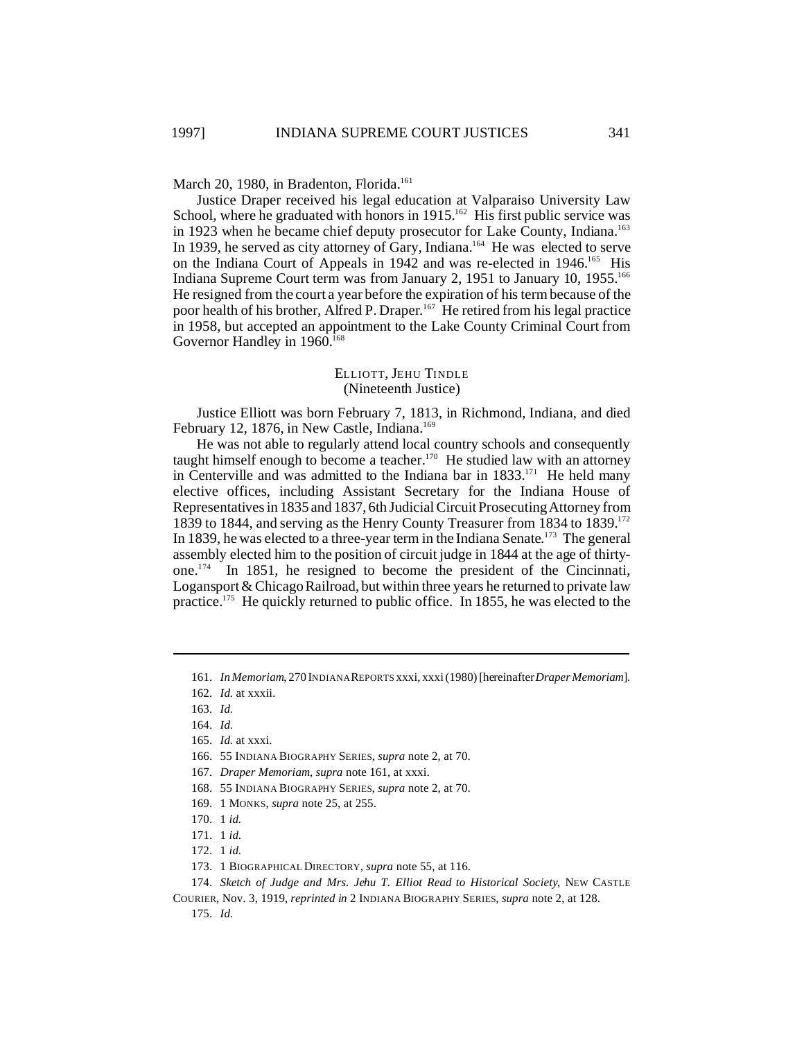March 20, 1980, in Bradenton, Florida.<sup>161</sup>

Justice Draper received his legal education at Valparaiso University Law School, where he graduated with honors in 1915.<sup>162</sup> His first public service was in 1923 when he became chief deputy prosecutor for Lake County, Indiana.<sup>163</sup> In 1939, he served as city attorney of Gary, Indiana.<sup>164</sup> He was elected to serve on the Indiana Court of Appeals in 1942 and was re-elected in 1946.<sup>165</sup> His Indiana Supreme Court term was from January 2, 1951 to January 10, 1955.<sup>166</sup> He resigned from the court a year before the expiration of his term because of the poor health of his brother, Alfred P. Draper.<sup>167</sup> He retired from his legal practice in 1958, but accepted an appointment to the Lake County Criminal Court from Governor Handley in 1960.<sup>168</sup>

#### ELLIOTT, JEHU TINDLE (Nineteenth Justice)

Justice Elliott was born February 7, 1813, in Richmond, Indiana, and died February 12, 1876, in New Castle, Indiana.<sup>169</sup>

He was not able to regularly attend local country schools and consequently taught himself enough to become a teacher.<sup>170</sup> He studied law with an attorney in Centerville and was admitted to the Indiana bar in  $1833$ <sup>171</sup> He held many elective offices, including Assistant Secretary for the Indiana House of Representatives in 1835 and 1837, 6th Judicial Circuit Prosecuting Attorney from 1839 to 1844, and serving as the Henry County Treasurer from 1834 to  $1839$ .<sup>172</sup> In 1839, he was elected to a three-year term in the Indiana Senate.<sup>173</sup> The general assembly elected him to the position of circuit judge in 1844 at the age of thirtyone.<sup>174</sup> In 1851, he resigned to become the president of the Cincinnati, Logansport & Chicago Railroad, but within three years he returned to private law practice.175 He quickly returned to public office. In 1855, he was elected to the

- 166. 55 INDIANA BIOGRAPHY SERIES, *supra* note 2, at 70.
- 167. *Draper Memoriam*, *supra* note 161, at xxxi.
- 168. 55 INDIANA BIOGRAPHY SERIES, *supra* note 2, at 70.
- 169. 1 MONKS, *supra* note 25, at 255.
- 170. 1 *id.*
- 171. 1 *id.*
- 172. 1 *id.*
- 173. 1 BIOGRAPHICAL DIRECTORY, *supra* note 55, at 116.
- 174. *Sketch of Judge and Mrs. Jehu T. Elliot Read to Historical Society*, NEW CASTLE

COURIER, Nov. 3, 1919, *reprinted in* 2 INDIANA BIOGRAPHY SERIES, *supra* note 2, at 128.

175. *Id.*

<sup>161.</sup> *In Memoriam*, 270 INDIANA REPORTS xxxi, xxxi (1980) [hereinafter*Draper Memoriam*].

<sup>162.</sup> *Id.* at xxxii.

<sup>163.</sup> *Id.*

<sup>164.</sup> *Id.*

<sup>165.</sup> *Id.* at xxxi.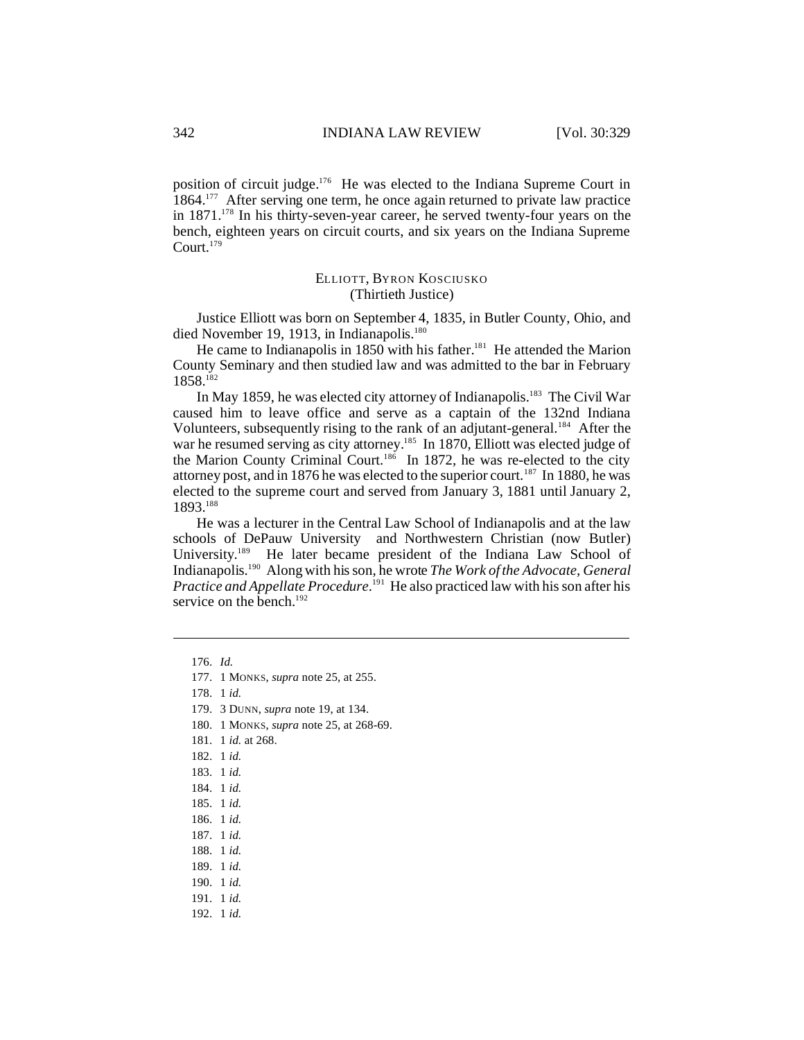position of circuit judge.<sup>176</sup> He was elected to the Indiana Supreme Court in 1864.<sup>177</sup> After serving one term, he once again returned to private law practice in 1871.<sup>178</sup> In his thirty-seven-year career, he served twenty-four years on the bench, eighteen years on circuit courts, and six years on the Indiana Supreme Court.<sup>179</sup>

## ELLIOTT, BYRON KOSCIUSKO (Thirtieth Justice)

Justice Elliott was born on September 4, 1835, in Butler County, Ohio, and died November 19, 1913, in Indianapolis.<sup>180</sup>

He came to Indianapolis in  $1850$  with his father.<sup>181</sup> He attended the Marion County Seminary and then studied law and was admitted to the bar in February 1858.<sup>182</sup>

In May 1859, he was elected city attorney of Indianapolis.<sup>183</sup> The Civil War caused him to leave office and serve as a captain of the 132nd Indiana Volunteers, subsequently rising to the rank of an adjutant-general.<sup>184</sup> After the war he resumed serving as city attorney.<sup>185</sup> In 1870, Elliott was elected judge of the Marion County Criminal Court.<sup>186</sup> In 1872, he was re-elected to the city attorney post, and in 1876 he was elected to the superior court.<sup>187</sup> In 1880, he was elected to the supreme court and served from January 3, 1881 until January 2, 1893.<sup>188</sup>

He was a lecturer in the Central Law School of Indianapolis and at the law schools of DePauw University and Northwestern Christian (now Butler) University.<sup>189</sup> He later became president of the Indiana Law School of Indianapolis.<sup>190</sup> Along with his son, he wrote *The Work of the Advocate, General Practice and Appellate Procedure*. <sup>191</sup> He also practiced law with his son after his service on the bench. $192$ 

180. 1 MONKS, *supra* note 25, at 268-69.

181. 1 *id.* at 268.

- 182. 1 *id.*
- 183. 1 *id.*
- 184. 1 *id.*
- 185. 1 *id.*
- 186. 1 *id.*
- 187. 1 *id.*
- 188. 1 *id.*
- 189. 1 *id.*
- 190. 1 *id.*
- 191. 1 *id.*
- 
- 192. 1 *id.*

<sup>176.</sup> *Id.*

<sup>177.</sup> 1 MONKS, *supra* note 25, at 255.

<sup>178.</sup> 1 *id.*

<sup>179.</sup> 3 DUNN, *supra* note 19, at 134.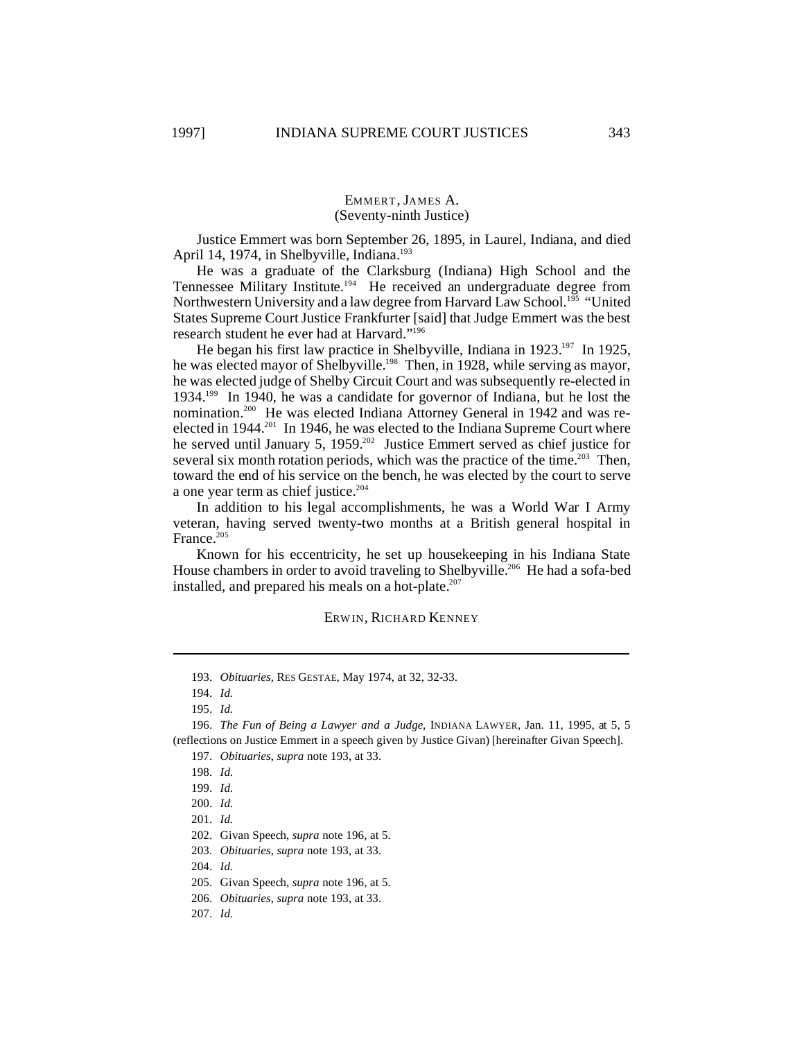## EMMERT, JAMES A. (Seventy-ninth Justice)

Justice Emmert was born September 26, 1895, in Laurel, Indiana, and died April 14, 1974, in Shelbyville, Indiana.<sup>193</sup>

He was a graduate of the Clarksburg (Indiana) High School and the Tennessee Military Institute.<sup>194</sup> He received an undergraduate degree from Northwestern University and a law degree from Harvard Law School.<sup>195</sup> "United States Supreme Court Justice Frankfurter [said] that Judge Emmert was the best research student he ever had at Harvard."<sup>196</sup>

He began his first law practice in Shelbyville, Indiana in 1923.<sup>197</sup> In 1925, he was elected mayor of Shelbyville.<sup>198</sup> Then, in 1928, while serving as mayor, he was elected judge of Shelby Circuit Court and was subsequently re-elected in 1934.<sup>199</sup> In 1940, he was a candidate for governor of Indiana, but he lost the nomination.200 He was elected Indiana Attorney General in 1942 and was reelected in 1944.<sup>201</sup> In 1946, he was elected to the Indiana Supreme Court where he served until January 5, 1959.<sup>202</sup> Justice Emmert served as chief justice for several six month rotation periods, which was the practice of the time.<sup>203</sup> Then, toward the end of his service on the bench, he was elected by the court to serve a one year term as chief justice.<sup>204</sup>

In addition to his legal accomplishments, he was a World War I Army veteran, having served twenty-two months at a British general hospital in France.<sup>205</sup>

Known for his eccentricity, he set up housekeeping in his Indiana State House chambers in order to avoid traveling to Shelbyville.<sup>206</sup> He had a sofa-bed installed, and prepared his meals on a hot-plate. $207$ 

#### ERW IN, RICHARD KENNEY

196. *The Fun of Being a Lawyer and a Judge*, INDIANA LAWYER, Jan. 11, 1995, at 5, 5 (reflections on Justice Emmert in a speech given by Justice Givan) [hereinafter Givan Speech].

<sup>193.</sup> *Obituaries*, RES GESTAE, May 1974, at 32, 32-33.

<sup>194.</sup> *Id.*

<sup>195.</sup> *Id.*

<sup>197.</sup> *Obituaries*, *supra* note 193, at 33.

<sup>198.</sup> *Id.*

<sup>199.</sup> *Id.*

<sup>200.</sup> *Id.*

<sup>201.</sup> *Id.*

<sup>202.</sup> Givan Speech, *supra* note 196, at 5.

<sup>203.</sup> *Obituaries*, *supra* note 193, at 33.

<sup>204.</sup> *Id.*

<sup>205.</sup> Givan Speech, *supra* note 196, at 5.

<sup>206.</sup> *Obituaries*, *supra* note 193, at 33.

<sup>207.</sup> *Id.*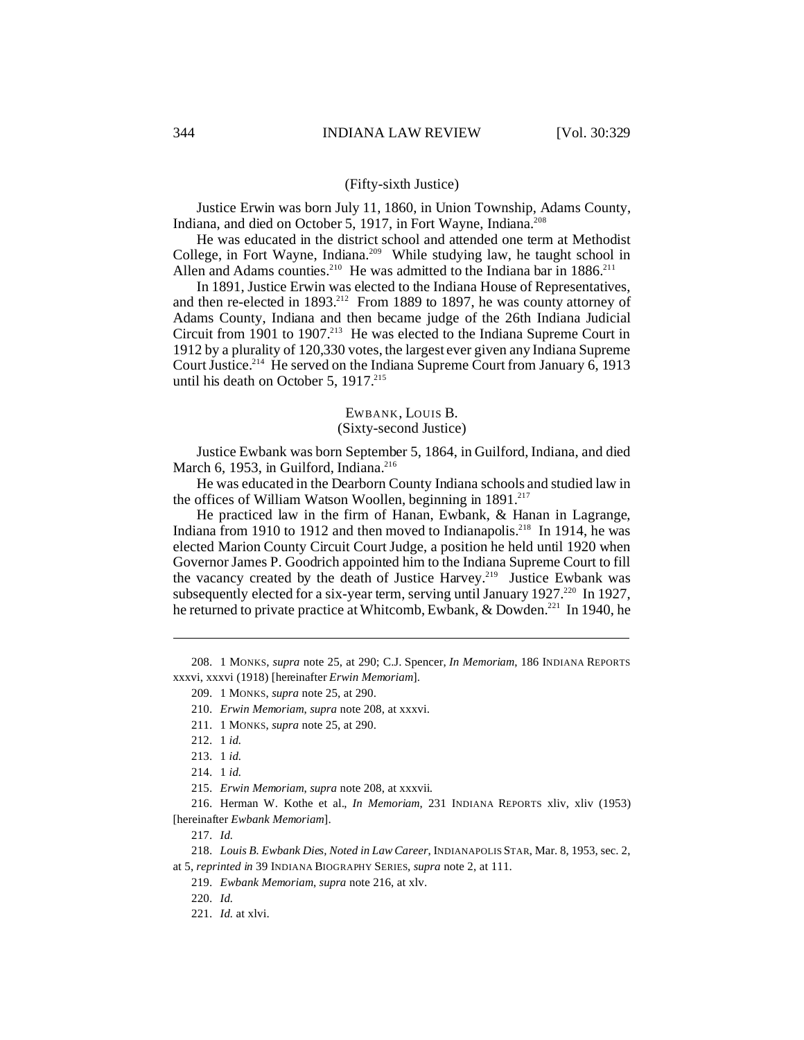#### (Fifty-sixth Justice)

Justice Erwin was born July 11, 1860, in Union Township, Adams County, Indiana, and died on October 5, 1917, in Fort Wayne, Indiana.<sup>208</sup>

He was educated in the district school and attended one term at Methodist College, in Fort Wayne, Indiana.<sup>209</sup> While studying law, he taught school in Allen and Adams counties.<sup>210</sup> He was admitted to the Indiana bar in 1886.<sup>211</sup>

In 1891, Justice Erwin was elected to the Indiana House of Representatives, and then re-elected in  $1893<sup>212</sup>$  From 1889 to 1897, he was county attorney of Adams County, Indiana and then became judge of the 26th Indiana Judicial Circuit from 1901 to 1907.<sup>213</sup> He was elected to the Indiana Supreme Court in 1912 by a plurality of 120,330 votes, the largest ever given any Indiana Supreme Court Justice.<sup>214</sup> He served on the Indiana Supreme Court from January 6, 1913 until his death on October 5,  $1917.^{215}$ 

#### EWBANK, LOUIS B.

#### (Sixty-second Justice)

Justice Ewbank was born September 5, 1864, in Guilford, Indiana, and died March 6, 1953, in Guilford, Indiana.<sup>216</sup>

He was educated in the Dearborn County Indiana schools and studied law in the offices of William Watson Woollen, beginning in  $1891<sup>217</sup>$ 

He practiced law in the firm of Hanan, Ewbank, & Hanan in Lagrange, Indiana from 1910 to 1912 and then moved to Indianapolis.<sup>218</sup> In 1914, he was elected Marion County Circuit Court Judge, a position he held until 1920 when Governor James P. Goodrich appointed him to the Indiana Supreme Court to fill the vacancy created by the death of Justice Harvey.<sup>219</sup> Justice Ewbank was subsequently elected for a six-year term, serving until January 1927.<sup>220</sup> In 1927, he returned to private practice at Whitcomb, Ewbank, & Dowden.<sup>221</sup> In 1940, he

208. 1 MONKS, *supra* note 25, at 290; C.J. Spencer, *In Memoriam*, 186 INDIANA REPORTS xxxvi, xxxvi (1918) [hereinafter *Erwin Memoriam*].

216. Herman W. Kothe et al., *In Memoriam*, 231 INDIANA REPORTS xliv, xliv (1953) [hereinafter *Ewbank Memoriam*].

217. *Id.*

218. *Louis B. Ewbank Dies, Noted in Law Career*, INDIANAPOLIS STAR, Mar. 8, 1953, sec. 2, at 5, *reprinted in* 39 INDIANA BIOGRAPHY SERIES, *supra* note 2, at 111.

219. *Ewbank Memoriam*, *supra* note 216, at xlv.

220. *Id.*

221. *Id.* at xlvi.

<sup>209.</sup> 1 MONKS, *supra* note 25, at 290.

<sup>210.</sup> *Erwin Memoriam*, *supra* note 208, at xxxvi.

<sup>211.</sup> 1 MONKS, *supra* note 25, at 290.

<sup>212.</sup> 1 *id.*

<sup>213.</sup> 1 *id.*

<sup>214.</sup> 1 *id.*

<sup>215.</sup> *Erwin Memoriam*, *supra* note 208, at xxxvii.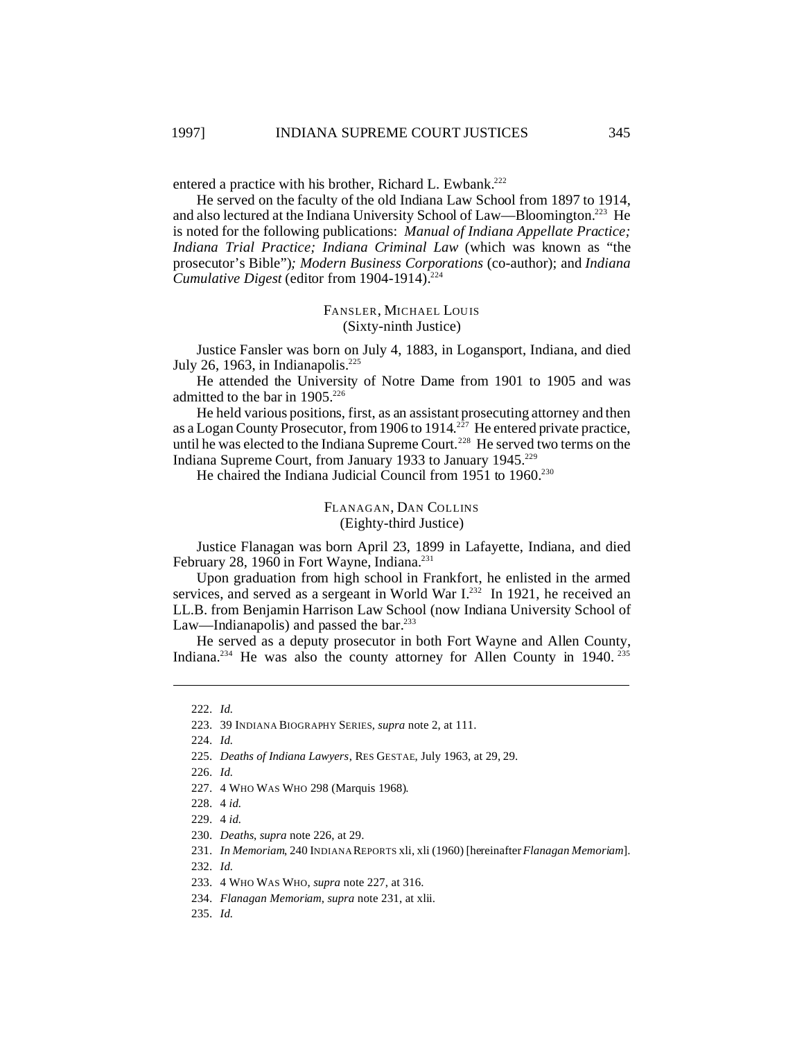entered a practice with his brother, Richard L. Ewbank.<sup>222</sup>

He served on the faculty of the old Indiana Law School from 1897 to 1914, and also lectured at the Indiana University School of Law—Bloomington.<sup>223</sup> He is noted for the following publications: *Manual of Indiana Appellate Practice; Indiana Trial Practice; Indiana Criminal Law* (which was known as "the prosecutor's Bible")*; Modern Business Corporations* (co-author); and *Indiana Cumulative Digest* (editor from 1904-1914).<sup>224</sup>

#### FANSLER, MICHAEL LOUIS (Sixty-ninth Justice)

Justice Fansler was born on July 4, 1883, in Logansport, Indiana, and died July 26, 1963, in Indianapolis.<sup>225</sup>

He attended the University of Notre Dame from 1901 to 1905 and was admitted to the bar in  $1905.^{226}$ 

He held various positions, first, as an assistant prosecuting attorney and then as a Logan County Prosecutor, from 1906 to 1914.<sup>227</sup> He entered private practice, until he was elected to the Indiana Supreme Court.<sup>228</sup> He served two terms on the Indiana Supreme Court, from January 1933 to January 1945.<sup>229</sup>

He chaired the Indiana Judicial Council from 1951 to 1960.<sup>230</sup>

FLANAGAN, DAN COLLINS (Eighty-third Justice)

Justice Flanagan was born April 23, 1899 in Lafayette, Indiana, and died February 28, 1960 in Fort Wayne, Indiana.<sup>231</sup>

Upon graduation from high school in Frankfort, he enlisted in the armed services, and served as a sergeant in World War I.<sup>232</sup> In 1921, he received an LL.B. from Benjamin Harrison Law School (now Indiana University School of Law—Indianapolis) and passed the bar. $233$ 

He served as a deputy prosecutor in both Fort Wayne and Allen County, Indiana.<sup>234</sup> He was also the county attorney for Allen County in 1940.<sup>235</sup>

225. *Deaths of Indiana Lawyers*, RES GESTAE, July 1963, at 29, 29.

226. *Id.*

227. 4 WHO WAS WHO 298 (Marquis 1968).

- 234. *Flanagan Memoriam*, *supra* note 231, at xlii.
- 235. *Id.*

<sup>222.</sup> *Id.*

<sup>223.</sup> 39 INDIANA BIOGRAPHY SERIES, *supra* note 2, at 111.

<sup>224.</sup> *Id.*

<sup>228.</sup> 4 *id.*

<sup>229.</sup> 4 *id.*

<sup>230.</sup> *Deaths*, *supra* note 226, at 29.

<sup>231.</sup> *In Memoriam*, 240 INDIANA REPORTS xli, xli (1960) [hereinafter*Flanagan Memoriam*].

<sup>232.</sup> *Id.*

<sup>233.</sup> 4 WHO WAS WHO, *supra* note 227, at 316.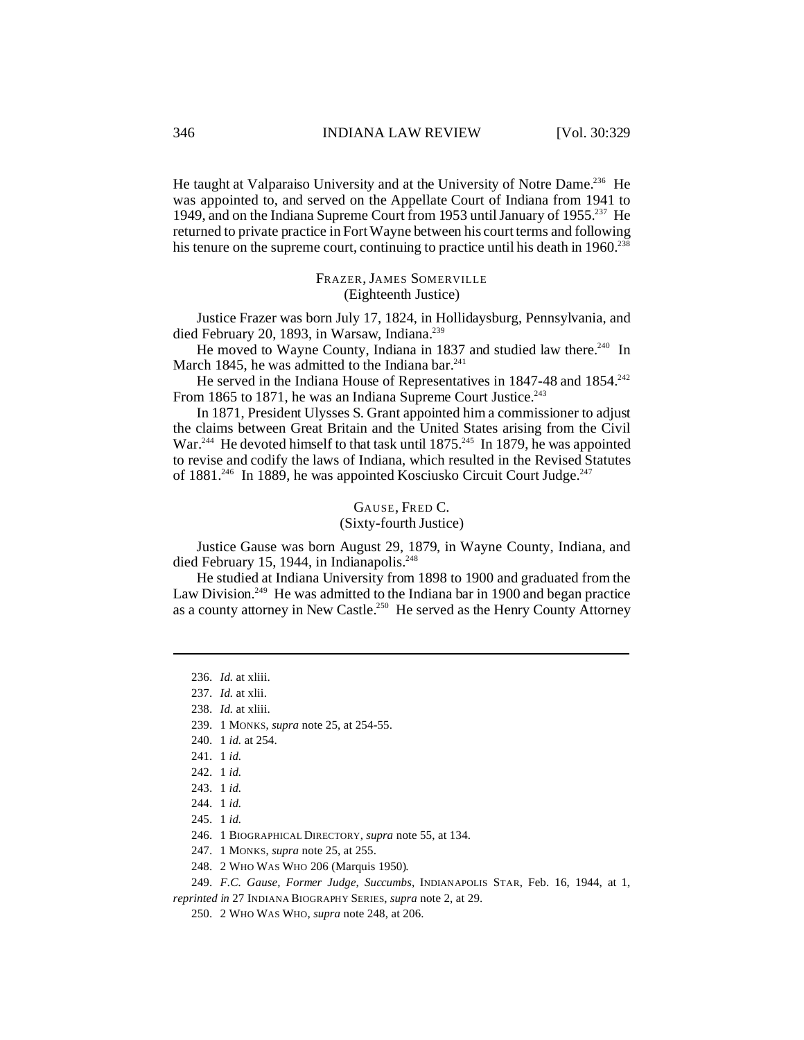He taught at Valparaiso University and at the University of Notre Dame.<sup>236</sup> He was appointed to, and served on the Appellate Court of Indiana from 1941 to 1949, and on the Indiana Supreme Court from 1953 until January of 1955.<sup>237</sup> He returned to private practice in Fort Wayne between his court terms and following his tenure on the supreme court, continuing to practice until his death in  $1960$ <sup>238</sup>

> FRAZER, JAMES SOMERVILLE (Eighteenth Justice)

Justice Frazer was born July 17, 1824, in Hollidaysburg, Pennsylvania, and died February 20, 1893, in Warsaw, Indiana.<sup>239</sup>

He moved to Wayne County, Indiana in 1837 and studied law there.<sup>240</sup> In March 1845, he was admitted to the Indiana bar. $241$ 

He served in the Indiana House of Representatives in 1847-48 and 1854.<sup>242</sup> From 1865 to 1871, he was an Indiana Supreme Court Justice.<sup>243</sup>

In 1871, President Ulysses S. Grant appointed him a commissioner to adjust the claims between Great Britain and the United States arising from the Civil War.<sup>244</sup> He devoted himself to that task until 1875.<sup>245</sup> In 1879, he was appointed to revise and codify the laws of Indiana, which resulted in the Revised Statutes of 1881.<sup>246</sup> In 1889, he was appointed Kosciusko Circuit Court Judge.<sup>247</sup>

# GAUSE, FRED C.

(Sixty-fourth Justice)

Justice Gause was born August 29, 1879, in Wayne County, Indiana, and died February 15, 1944, in Indianapolis.<sup>248</sup>

He studied at Indiana University from 1898 to 1900 and graduated from the Law Division.<sup>249</sup> He was admitted to the Indiana bar in 1900 and began practice as a county attorney in New Castle.<sup>250</sup> He served as the Henry County Attorney

248. 2 WHO WAS WHO 206 (Marquis 1950).

*reprinted in* 27 INDIANA BIOGRAPHY SERIES, *supra* note 2, at 29.

250. 2 WHO WAS WHO, *supra* note 248, at 206.

<sup>236.</sup> *Id.* at xliii.

<sup>237.</sup> *Id.* at xlii.

<sup>238.</sup> *Id.* at xliii.

<sup>239.</sup> 1 MONKS, *supra* note 25, at 254-55.

<sup>240.</sup> 1 *id.* at 254.

<sup>241.</sup> 1 *id.*

<sup>242.</sup> 1 *id.*

<sup>243.</sup> 1 *id.*

<sup>244.</sup> 1 *id.*

<sup>245.</sup> 1 *id.*

<sup>246.</sup> 1 BIOGRAPHICAL DIRECTORY, *supra* note 55, at 134.

<sup>247.</sup> 1 MONKS, *supra* note 25, at 255.

<sup>249.</sup> *F.C. Gause, Former Judge, Succumbs,* INDIANAPOLIS STAR, Feb. 16, 1944, at 1,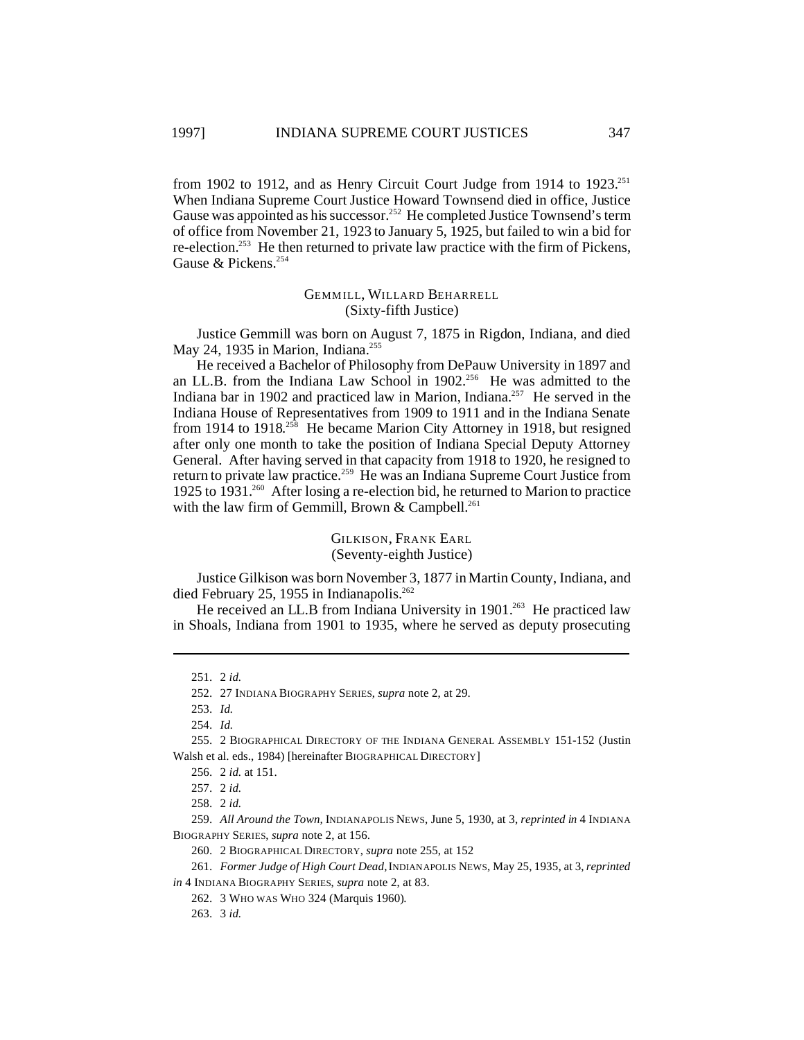from 1902 to 1912, and as Henry Circuit Court Judge from 1914 to  $1923.^{251}$ When Indiana Supreme Court Justice Howard Townsend died in office, Justice Gause was appointed as his successor.<sup>252</sup> He completed Justice Townsend's term of office from November 21, 1923 to January 5, 1925, but failed to win a bid for re-election.<sup>253</sup> He then returned to private law practice with the firm of Pickens, Gause & Pickens.<sup>254</sup>

## GEMMILL, WILLARD BEHARRELL (Sixty-fifth Justice)

Justice Gemmill was born on August 7, 1875 in Rigdon, Indiana, and died May 24, 1935 in Marion, Indiana.<sup>255</sup>

He received a Bachelor of Philosophy from DePauw University in 1897 and an LL.B. from the Indiana Law School in 1902.<sup>256</sup> He was admitted to the Indiana bar in 1902 and practiced law in Marion, Indiana.<sup>257</sup> He served in the Indiana House of Representatives from 1909 to 1911 and in the Indiana Senate from 1914 to 1918.<sup>258</sup> He became Marion City Attorney in 1918, but resigned after only one month to take the position of Indiana Special Deputy Attorney General. After having served in that capacity from 1918 to 1920, he resigned to return to private law practice.<sup>259</sup> He was an Indiana Supreme Court Justice from 1925 to 1931.<sup>260</sup> After losing a re-election bid, he returned to Marion to practice with the law firm of Gemmill, Brown & Campbell.<sup>261</sup>

## GILKISON, FRANK EARL (Seventy-eighth Justice)

Justice Gilkison was born November 3, 1877 in Martin County, Indiana, and died February 25, 1955 in Indianapolis.<sup>262</sup>

He received an LL.B from Indiana University in 1901.<sup>263</sup> He practiced law in Shoals, Indiana from 1901 to 1935, where he served as deputy prosecuting

253. *Id.*

254. *Id.*

<sup>251.</sup> 2 *id.*

<sup>252.</sup> 27 INDIANA BIOGRAPHY SERIES, *supra* note 2, at 29.

<sup>255.</sup> 2 BIOGRAPHICAL DIRECTORY OF THE INDIANA GENERAL ASSEMBLY 151-152 (Justin Walsh et al. eds., 1984) [hereinafter BIOGRAPHICAL DIRECTORY]

<sup>256.</sup> 2 *id.* at 151.

<sup>257.</sup> 2 *id.*

<sup>258.</sup> 2 *id.*

<sup>259.</sup> *All Around the Town,* INDIANAPOLIS NEWS, June 5, 1930, at 3, *reprinted in* 4 INDIANA BIOGRAPHY SERIES, *supra* note 2, at 156.

<sup>260.</sup> 2 BIOGRAPHICAL DIRECTORY, *supra* note 255, at 152

<sup>261.</sup> *Former Judge of High Court Dead,*INDIANAPOLIS NEWS, May 25, 1935, at 3, *reprinted in* 4 INDIANA BIOGRAPHY SERIES, *supra* note 2, at 83.

<sup>262.</sup> 3 WHO WAS WHO 324 (Marquis 1960).

<sup>263.</sup> 3 *id.*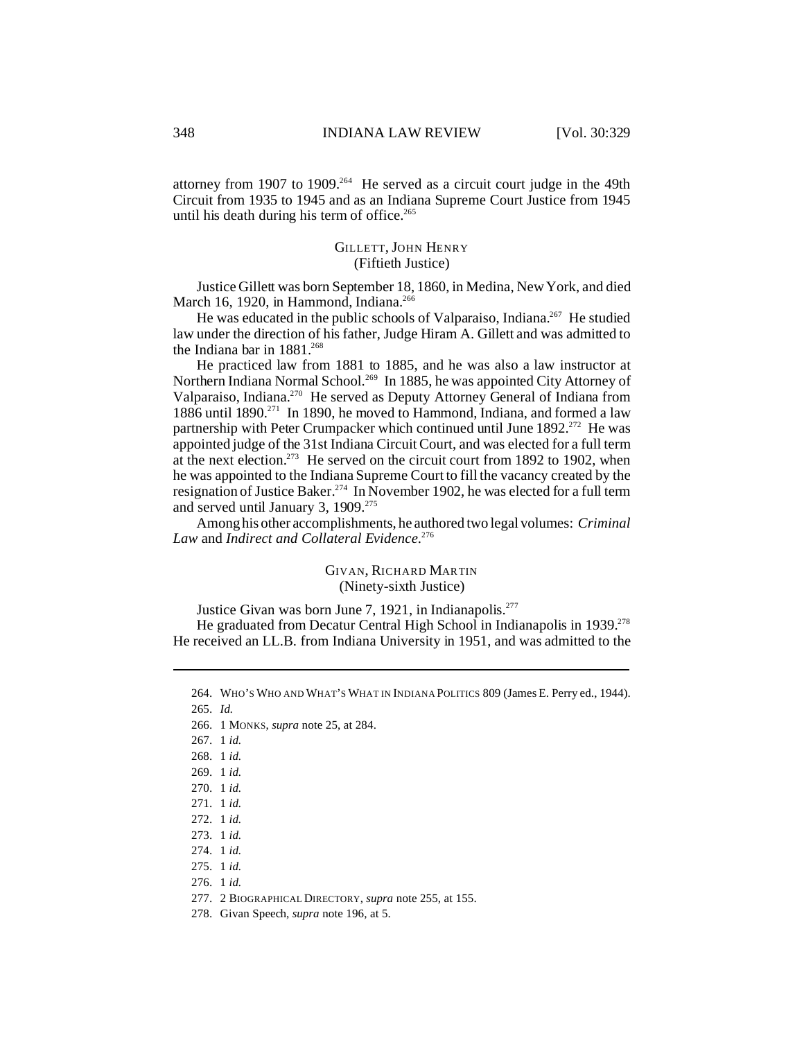attorney from 1907 to 1909.<sup>264</sup> He served as a circuit court judge in the 49th Circuit from 1935 to 1945 and as an Indiana Supreme Court Justice from 1945 until his death during his term of office.<sup>265</sup>

## GILLETT, JOHN HENRY (Fiftieth Justice)

Justice Gillett was born September 18, 1860, in Medina, New York, and died March 16, 1920, in Hammond, Indiana.<sup>266</sup>

He was educated in the public schools of Valparaiso, Indiana.<sup>267</sup> He studied law under the direction of his father, Judge Hiram A. Gillett and was admitted to the Indiana bar in  $1881^{268}$ 

He practiced law from 1881 to 1885, and he was also a law instructor at Northern Indiana Normal School.<sup>269</sup> In 1885, he was appointed City Attorney of Valparaiso, Indiana.<sup>270</sup> He served as Deputy Attorney General of Indiana from  $1886$  until  $1890$ <sup>271</sup> In 1890, he moved to Hammond, Indiana, and formed a law partnership with Peter Crumpacker which continued until June 1892.<sup>272</sup> He was appointed judge of the 31st Indiana Circuit Court, and was elected for a full term at the next election.<sup>273</sup> He served on the circuit court from 1892 to 1902, when he was appointed to the Indiana Supreme Court to fill the vacancy created by the resignation of Justice Baker.<sup>274</sup> In November 1902, he was elected for a full term and served until January 3, 1909.<sup>275</sup>

Among his other accomplishments, he authored two legal volumes: *Criminal Law* and *Indirect and Collateral Evidence*. 276

## GIVAN, RICHARD MARTIN (Ninety-sixth Justice)

Justice Givan was born June 7, 1921, in Indianapolis.<sup>277</sup>

He graduated from Decatur Central High School in Indianapolis in 1939.<sup>278</sup> He received an LL.B. from Indiana University in 1951, and was admitted to the

264. WHO'S WHO AND WHAT'S WHAT IN INDIANA POLITICS 809 (James E. Perry ed., 1944).

265. *Id.*

266. 1 MONKS, *supra* note 25, at 284.

- 267. 1 *id.*
- 268. 1 *id.*

269. 1 *id.*

- 270. 1 *id.*
- 271. 1 *id.*
- 272. 1 *id.*
- 273. 1 *id.*

274. 1 *id.*

275. 1 *id.*

276. 1 *id.*

277. 2 BIOGRAPHICAL DIRECTORY, *supra* note 255, at 155.

278. Givan Speech, *supra* note 196, at 5.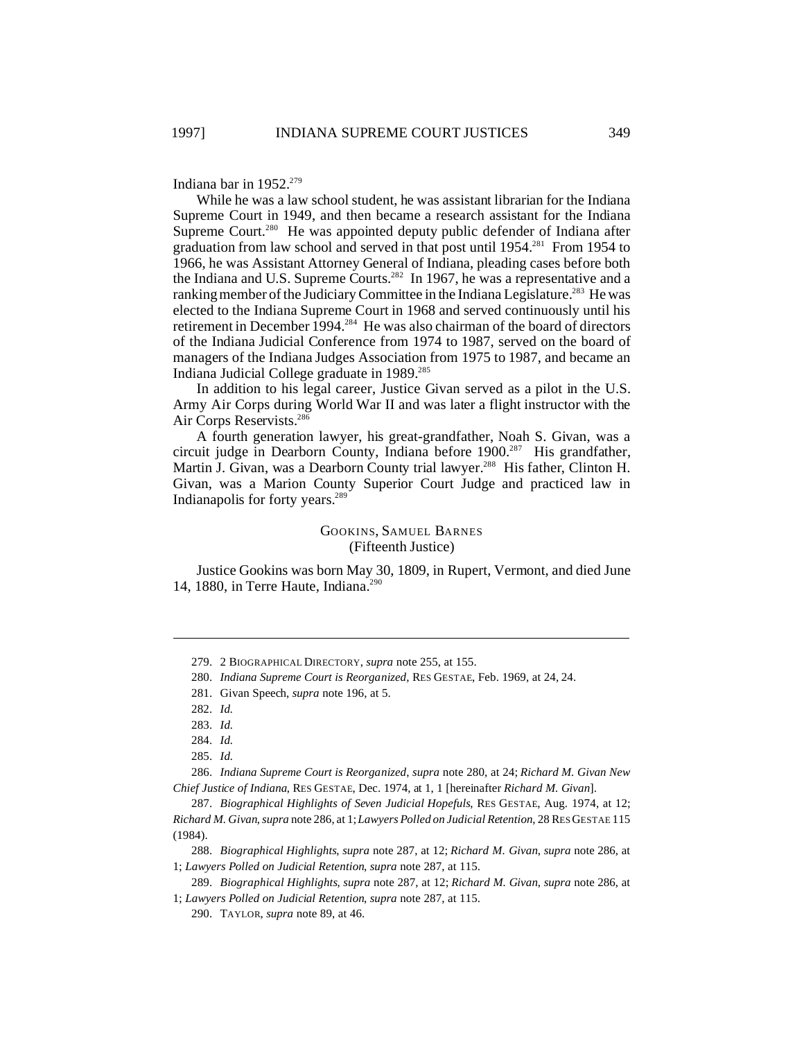Indiana bar in  $1952.^{279}$ 

While he was a law school student, he was assistant librarian for the Indiana Supreme Court in 1949, and then became a research assistant for the Indiana Supreme Court.<sup>280</sup> He was appointed deputy public defender of Indiana after graduation from law school and served in that post until 1954.<sup>281</sup> From 1954 to 1966, he was Assistant Attorney General of Indiana, pleading cases before both the Indiana and U.S. Supreme Courts.<sup>282</sup> In 1967, he was a representative and a ranking member of the Judiciary Committee in the Indiana Legislature.<sup>283</sup> He was elected to the Indiana Supreme Court in 1968 and served continuously until his retirement in December 1994.<sup>284</sup> He was also chairman of the board of directors of the Indiana Judicial Conference from 1974 to 1987, served on the board of managers of the Indiana Judges Association from 1975 to 1987, and became an Indiana Judicial College graduate in 1989.<sup>285</sup>

In addition to his legal career, Justice Givan served as a pilot in the U.S. Army Air Corps during World War II and was later a flight instructor with the Air Corps Reservists.<sup>286</sup>

A fourth generation lawyer, his great-grandfather, Noah S. Givan, was a circuit judge in Dearborn County, Indiana before 1900.<sup>287</sup> His grandfather, Martin J. Givan, was a Dearborn County trial lawyer.<sup>288</sup> His father, Clinton H. Givan, was a Marion County Superior Court Judge and practiced law in Indianapolis for forty years.<sup>289</sup>

## GOOKINS, SAMUEL BARNES (Fifteenth Justice)

Justice Gookins was born May 30, 1809, in Rupert, Vermont, and died June 14, 1880, in Terre Haute, Indiana.<sup>290</sup>

286. *Indiana Supreme Court is Reorganized*, *supra* note 280, at 24; *Richard M. Givan New Chief Justice of Indiana*, RES GESTAE, Dec. 1974, at 1, 1 [hereinafter *Richard M. Givan*].

288. *Biographical Highlights*, *supra* note 287, at 12; *Richard M. Givan*, *supra* note 286, at 1; *Lawyers Polled on Judicial Retention*, *supra* note 287, at 115.

<sup>279.</sup> 2 BIOGRAPHICAL DIRECTORY, *supra* note 255, at 155.

<sup>280.</sup> *Indiana Supreme Court is Reorganized*, RES GESTAE, Feb. 1969, at 24, 24.

<sup>281.</sup> Givan Speech, *supra* note 196, at 5.

<sup>282.</sup> *Id.*

<sup>283.</sup> *Id.*

<sup>284.</sup> *Id.*

<sup>285.</sup> *Id.*

<sup>287.</sup> *Biographical Highlights of Seven Judicial Hopefuls*, RES GESTAE, Aug. 1974, at 12; *Richard M. Givan*, *supra* note 286, at 1; *Lawyers Polled on Judicial Retention*, 28 RES GESTAE 115 (1984).

<sup>289.</sup> *Biographical Highlights*, *supra* note 287, at 12; *Richard M. Givan*, *supra* note 286, at 1; *Lawyers Polled on Judicial Retention*, *supra* note 287, at 115.

<sup>290.</sup> TAYLOR, *supra* note 89, at 46.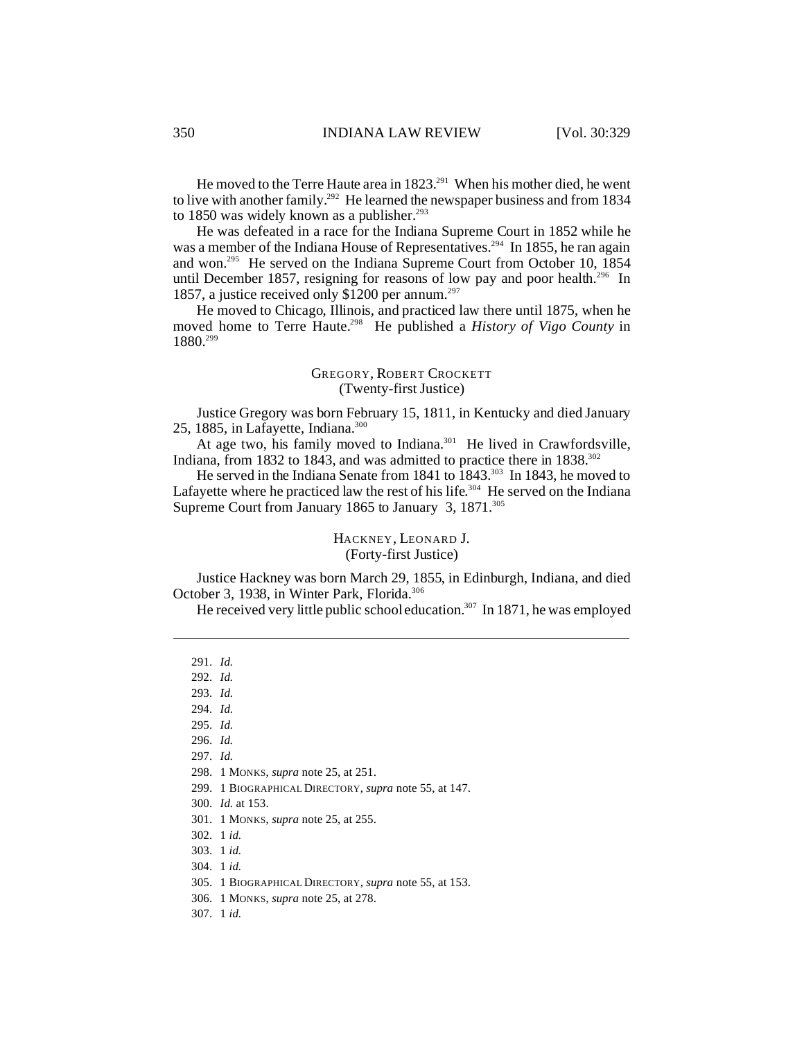He moved to the Terre Haute area in 1823.<sup>291</sup> When his mother died, he went to live with another family.<sup>292</sup> He learned the newspaper business and from 1834 to 1850 was widely known as a publisher. $293$ 

He was defeated in a race for the Indiana Supreme Court in 1852 while he was a member of the Indiana House of Representatives.<sup>294</sup> In 1855, he ran again and won.<sup>295</sup> He served on the Indiana Supreme Court from October 10, 1854 until December 1857, resigning for reasons of low pay and poor health.<sup>296</sup> In 1857, a justice received only \$1200 per annum.<sup>297</sup>

He moved to Chicago, Illinois, and practiced law there until 1875, when he moved home to Terre Haute.<sup>298</sup> He published a *History of Vigo County* in 1880.<sup>299</sup>

#### GREGORY, ROBERT CROCKETT (Twenty-first Justice)

Justice Gregory was born February 15, 1811, in Kentucky and died January 25, 1885, in Lafayette, Indiana.<sup>300</sup>

At age two, his family moved to Indiana.<sup>301</sup> He lived in Crawfordsville, Indiana, from 1832 to 1843, and was admitted to practice there in  $1838$ <sup>302</sup>

He served in the Indiana Senate from 1841 to 1843.<sup>303</sup> In 1843, he moved to Lafayette where he practiced law the rest of his life.<sup>304</sup> He served on the Indiana Supreme Court from January 1865 to January 3, 1871.<sup>305</sup>

## HACKNEY, LEONARD J. (Forty-first Justice)

Justice Hackney was born March 29, 1855, in Edinburgh, Indiana, and died October 3, 1938, in Winter Park, Florida.<sup>306</sup>

He received very little public school education.<sup>307</sup> In 1871, he was employed

299. 1 BIOGRAPHICAL DIRECTORY, *supra* note 55, at 147.

- 304. 1 *id.*
- 305. 1 BIOGRAPHICAL DIRECTORY, *supra* note 55, at 153.
- 306. 1 MONKS, *supra* note 25, at 278.

307. 1 *id.*

<sup>291.</sup> *Id.*

<sup>292.</sup> *Id.*

<sup>293.</sup> *Id.*

<sup>294.</sup> *Id.*

<sup>295.</sup> *Id.*

<sup>296.</sup> *Id.* 297. *Id.*

<sup>298.</sup> 1 MONKS, *supra* note 25, at 251.

<sup>300.</sup> *Id.* at 153.

<sup>301.</sup> 1 MONKS, *supra* note 25, at 255.

<sup>302.</sup> 1 *id.*

<sup>303.</sup> 1 *id.*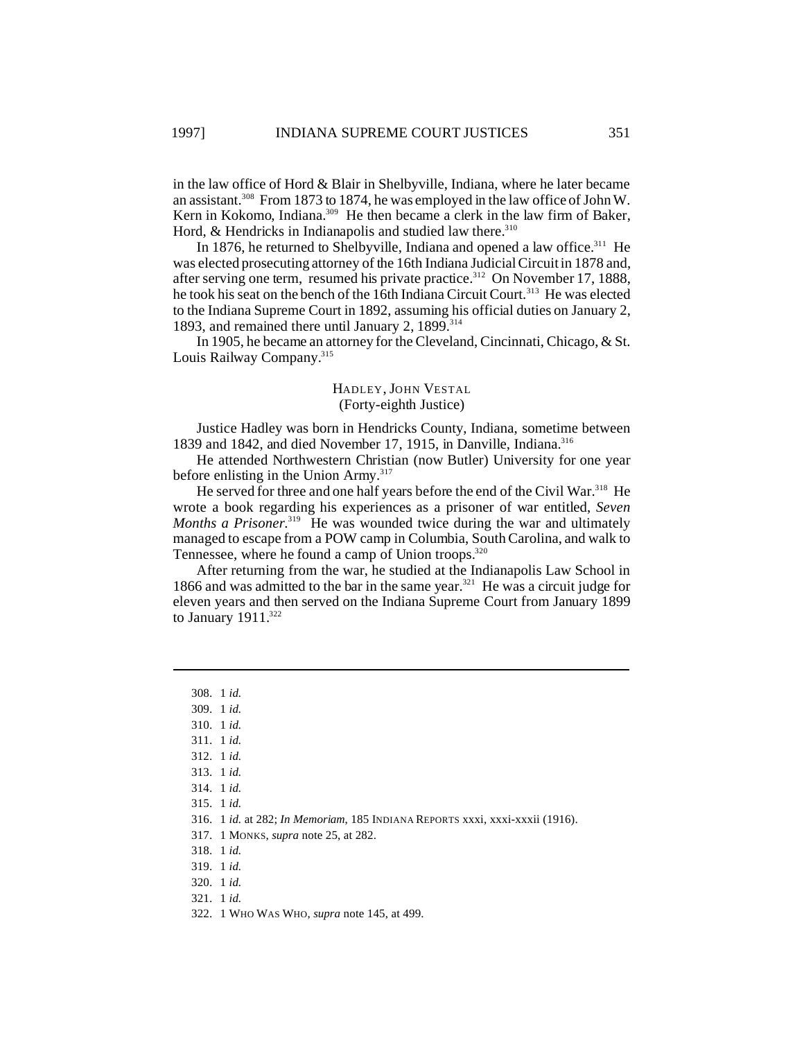in the law office of Hord & Blair in Shelbyville, Indiana, where he later became an assistant.<sup>308</sup> From 1873 to 1874, he was employed in the law office of John W. Kern in Kokomo, Indiana.<sup>309</sup> He then became a clerk in the law firm of Baker, Hord,  $&$  Hendricks in Indianapolis and studied law there.  $310$ 

In 1876, he returned to Shelbyville, Indiana and opened a law office.<sup>311</sup> He was elected prosecuting attorney of the 16th Indiana Judicial Circuit in 1878 and, after serving one term, resumed his private practice.<sup>312</sup> On November 17, 1888, he took his seat on the bench of the 16th Indiana Circuit Court.<sup>313</sup> He was elected to the Indiana Supreme Court in 1892, assuming his official duties on January 2, 1893, and remained there until January 2, 1899.<sup>314</sup>

In 1905, he became an attorney for the Cleveland, Cincinnati, Chicago, & St. Louis Railway Company.<sup>315</sup>

## HADLEY, JOHN VESTAL (Forty-eighth Justice)

Justice Hadley was born in Hendricks County, Indiana, sometime between 1839 and 1842, and died November 17, 1915, in Danville, Indiana.<sup>316</sup>

He attended Northwestern Christian (now Butler) University for one year before enlisting in the Union Army.<sup>317</sup>

He served for three and one half years before the end of the Civil War.<sup>318</sup> He wrote a book regarding his experiences as a prisoner of war entitled, *Seven Months a Prisoner*. <sup>319</sup> He was wounded twice during the war and ultimately managed to escape from a POW camp in Columbia, South Carolina, and walk to Tennessee, where he found a camp of Union troops.<sup>320</sup>

After returning from the war, he studied at the Indianapolis Law School in 1866 and was admitted to the bar in the same year.<sup>321</sup> He was a circuit judge for eleven years and then served on the Indiana Supreme Court from January 1899 to January  $1911^{322}$ 

- 309. 1 *id.* 310. 1 *id.*
- 311. 1 *id.*
- 312. 1 *id.*
- 313. 1 *id.*
- 314. 1 *id.*
- 315. 1 *id.*
- 
- 316. 1 *id.* at 282; *In Memoriam*, 185 INDIANA REPORTS xxxi, xxxi-xxxii (1916).
- 317. 1 MONKS, *supra* note 25, at 282.
- 318. 1 *id.*
- 319. 1 *id.*
- 320. 1 *id.*
- 321. 1 *id.*

<sup>308.</sup> 1 *id.*

<sup>322.</sup> 1 WHO WAS WHO, *supra* note 145, at 499.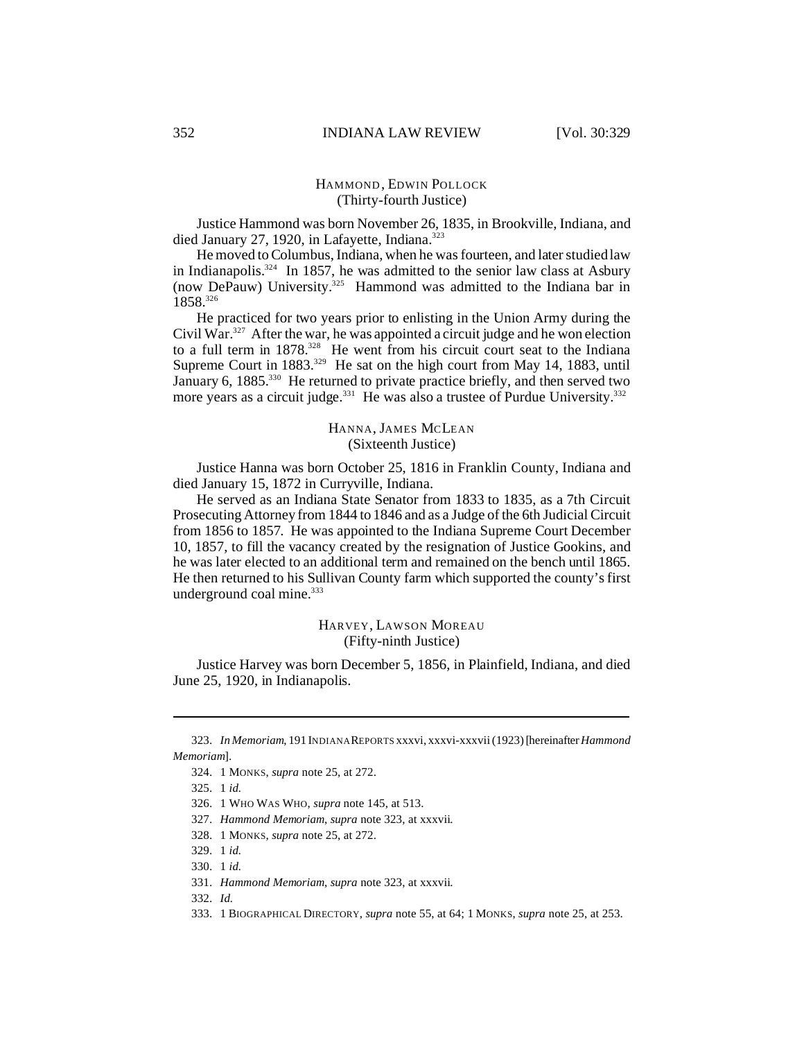## HAMMOND , EDWIN POLLOCK (Thirty-fourth Justice)

Justice Hammond was born November 26, 1835, in Brookville, Indiana, and died January 27, 1920, in Lafayette, Indiana.<sup>323</sup>

He moved to Columbus, Indiana, when he was fourteen, and later studied law in Indianapolis.<sup>324</sup> In 1857, he was admitted to the senior law class at Asbury (now DePauw) University.<sup>325</sup> Hammond was admitted to the Indiana bar in 1858.<sup>326</sup>

He practiced for two years prior to enlisting in the Union Army during the Civil War.<sup>327</sup> After the war, he was appointed a circuit judge and he won election to a full term in  $1878^{328}$  He went from his circuit court seat to the Indiana Supreme Court in 1883.<sup>329</sup> He sat on the high court from May 14, 1883, until January 6, 1885.<sup>330</sup> He returned to private practice briefly, and then served two more years as a circuit judge.<sup>331</sup> He was also a trustee of Purdue University.<sup>332</sup>

#### HANNA, JAMES MCLEAN (Sixteenth Justice)

Justice Hanna was born October 25, 1816 in Franklin County, Indiana and died January 15, 1872 in Curryville, Indiana.

He served as an Indiana State Senator from 1833 to 1835, as a 7th Circuit Prosecuting Attorney from 1844 to 1846 and as a Judge of the 6th Judicial Circuit from 1856 to 1857. He was appointed to the Indiana Supreme Court December 10, 1857, to fill the vacancy created by the resignation of Justice Gookins, and he was later elected to an additional term and remained on the bench until 1865. He then returned to his Sullivan County farm which supported the county's first underground coal mine.<sup>333</sup>

#### HARVEY, LAWSON MOREAU (Fifty-ninth Justice)

Justice Harvey was born December 5, 1856, in Plainfield, Indiana, and died June 25, 1920, in Indianapolis.

<sup>323.</sup> *In Memoriam*, 191 INDIANA REPORTS xxxvi, xxxvi-xxxvii (1923) [hereinafter *Hammond Memoriam*].

<sup>324.</sup> 1 MONKS, *supra* note 25, at 272.

<sup>325.</sup> 1 *id.*

<sup>326.</sup> 1 WHO WAS WHO, *supra* note 145, at 513.

<sup>327.</sup> *Hammond Memoriam*, *supra* note 323, at xxxvii.

<sup>328.</sup> 1 MONKS, *supra* note 25, at 272.

<sup>329.</sup> 1 *id.*

<sup>330.</sup> 1 *id.*

<sup>331.</sup> *Hammond Memoriam*, *supra* note 323, at xxxvii.

<sup>332.</sup> *Id.*

<sup>333.</sup> 1 BIOGRAPHICAL DIRECTORY, *supra* note 55, at 64; 1 MONKS, *supra* note 25, at 253.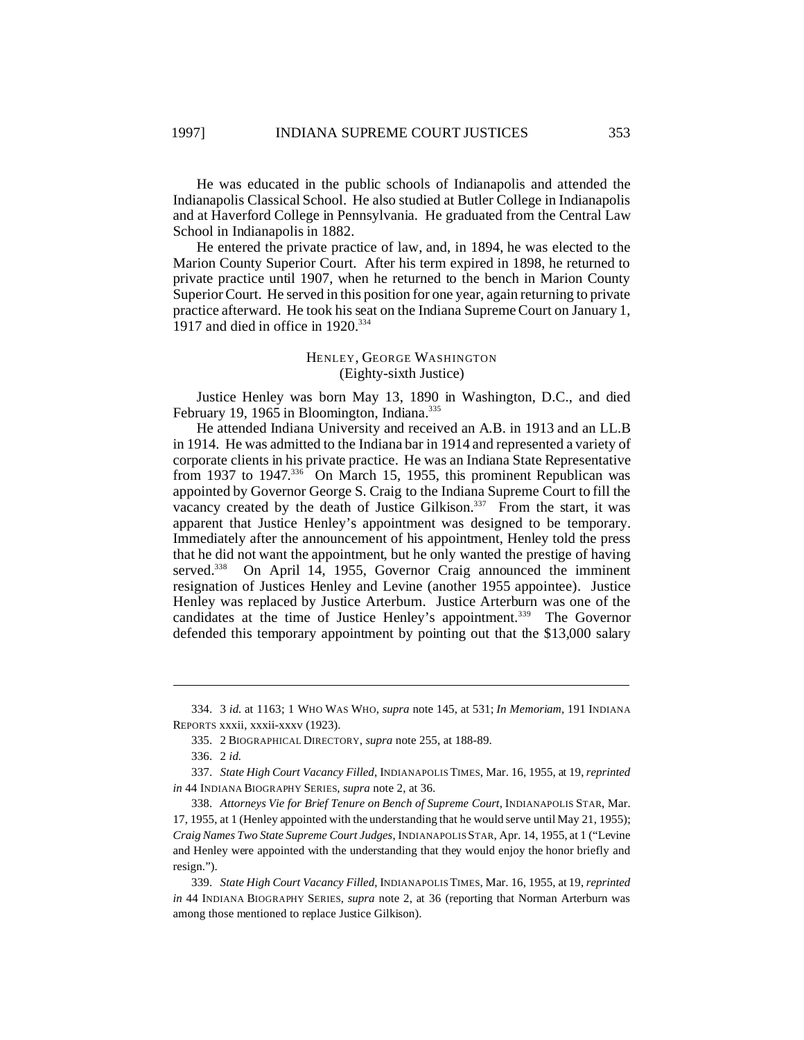He was educated in the public schools of Indianapolis and attended the Indianapolis Classical School. He also studied at Butler College in Indianapolis and at Haverford College in Pennsylvania. He graduated from the Central Law School in Indianapolis in 1882.

He entered the private practice of law, and, in 1894, he was elected to the Marion County Superior Court. After his term expired in 1898, he returned to private practice until 1907, when he returned to the bench in Marion County Superior Court. He served in this position for one year, again returning to private practice afterward. He took his seat on the Indiana Supreme Court on January 1, 1917 and died in office in  $1920$ .<sup>334</sup>

## HENLEY, GEORGE WASHINGTON (Eighty-sixth Justice)

Justice Henley was born May 13, 1890 in Washington, D.C., and died February 19, 1965 in Bloomington, Indiana.<sup>335</sup>

He attended Indiana University and received an A.B. in 1913 and an LL.B in 1914. He was admitted to the Indiana bar in 1914 and represented a variety of corporate clients in his private practice. He was an Indiana State Representative from 1937 to 1947.<sup>336</sup> On March 15, 1955, this prominent Republican was appointed by Governor George S. Craig to the Indiana Supreme Court to fill the vacancy created by the death of Justice Gilkison. $337$  From the start, it was apparent that Justice Henley's appointment was designed to be temporary. Immediately after the announcement of his appointment, Henley told the press that he did not want the appointment, but he only wanted the prestige of having served.<sup>338</sup> On April 14, 1955, Governor Craig announced the imminent On April 14, 1955, Governor Craig announced the imminent resignation of Justices Henley and Levine (another 1955 appointee). Justice Henley was replaced by Justice Arterburn. Justice Arterburn was one of the candidates at the time of Justice Henley's appointment.<sup>339</sup> The Governor defended this temporary appointment by pointing out that the \$13,000 salary

<sup>334.</sup> 3 *id.* at 1163; 1 WHO WAS WHO, *supra* note 145, at 531; *In Memoriam*, 191 INDIANA REPORTS xxxii, xxxii-xxxv (1923).

<sup>335.</sup> 2 BIOGRAPHICAL DIRECTORY, *supra* note 255, at 188-89.

<sup>336.</sup> 2 *id.*

<sup>337.</sup> *State High Court Vacancy Filled*, INDIANAPOLIS TIMES, Mar. 16, 1955, at 19, *reprinted in* 44 INDIANA BIOGRAPHY SERIES, *supra* note 2, at 36.

<sup>338.</sup> *Attorneys Vie for Brief Tenure on Bench of Supreme Court*, INDIANAPOLIS STAR, Mar. 17, 1955, at 1 (Henley appointed with the understanding that he would serve until May 21, 1955); *Craig Names Two State Supreme Court Judges*, INDIANAPOLIS STAR, Apr. 14, 1955, at 1 ("Levine and Henley were appointed with the understanding that they would enjoy the honor briefly and resign.").

<sup>339.</sup> *State High Court Vacancy Filled*, INDIANAPOLIS TIMES, Mar. 16, 1955, at 19, *reprinted in* 44 INDIANA BIOGRAPHY SERIES, *supra* note 2, at 36 (reporting that Norman Arterburn was among those mentioned to replace Justice Gilkison).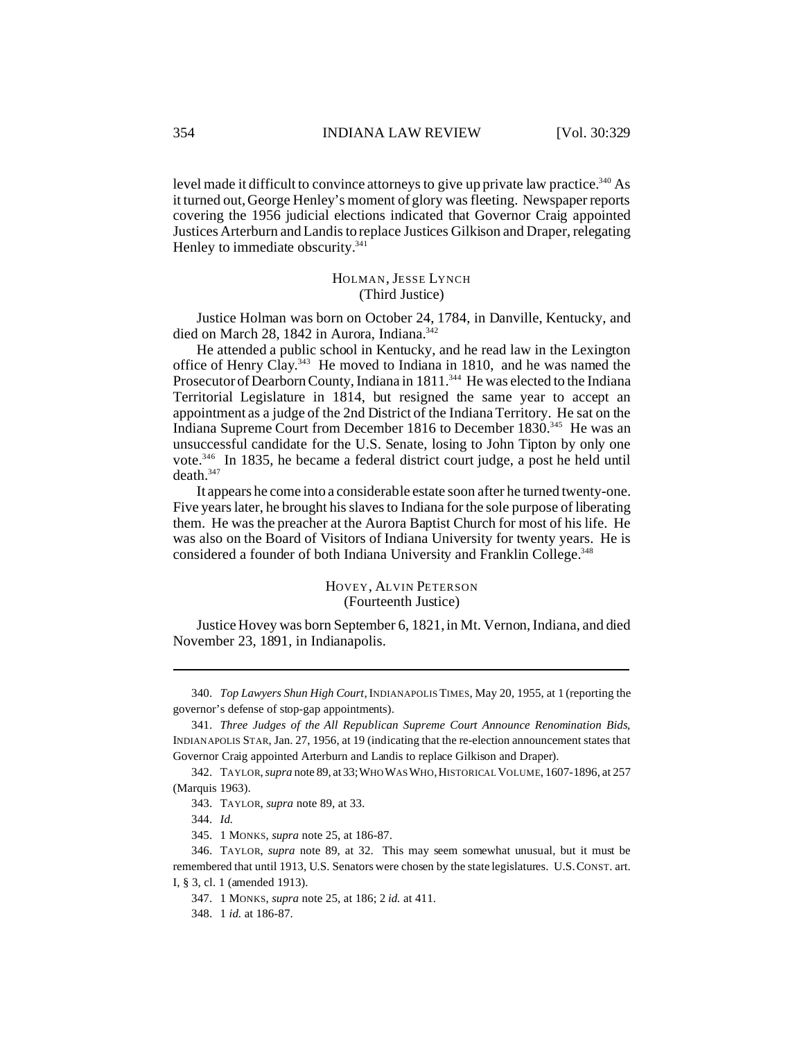level made it difficult to convince attorneys to give up private law practice.<sup>340</sup> As it turned out, George Henley's moment of glory was fleeting. Newspaper reports covering the 1956 judicial elections indicated that Governor Craig appointed Justices Arterburn and Landis to replace Justices Gilkison and Draper, relegating Henley to immediate obscurity.<sup>341</sup>

#### HOLMAN, JESSE LYNCH (Third Justice)

Justice Holman was born on October 24, 1784, in Danville, Kentucky, and died on March 28, 1842 in Aurora, Indiana.<sup>342</sup>

He attended a public school in Kentucky, and he read law in the Lexington office of Henry Clay.<sup>343</sup> He moved to Indiana in 1810, and he was named the Prosecutor of Dearborn County, Indiana in 1811.<sup>344</sup> He was elected to the Indiana Territorial Legislature in 1814, but resigned the same year to accept an appointment as a judge of the 2nd District of the Indiana Territory. He sat on the Indiana Supreme Court from December 1816 to December 1830.<sup>345</sup> He was an unsuccessful candidate for the U.S. Senate, losing to John Tipton by only one vote.<sup>346</sup> In 1835, he became a federal district court judge, a post he held until death.<sup>347</sup>

It appears he come into a considerable estate soon after he turned twenty-one. Five years later, he brought his slaves to Indiana for the sole purpose of liberating them. He was the preacher at the Aurora Baptist Church for most of his life. He was also on the Board of Visitors of Indiana University for twenty years. He is considered a founder of both Indiana University and Franklin College.<sup>348</sup>

#### HOVEY, ALVIN PETERSON (Fourteenth Justice)

Justice Hovey was born September 6, 1821, in Mt. Vernon, Indiana, and died November 23, 1891, in Indianapolis.

<sup>340.</sup> *Top Lawyers Shun High Court*,INDIANAPOLIS TIMES, May 20, 1955, at 1 (reporting the governor's defense of stop-gap appointments).

<sup>341.</sup> *Three Judges of the All Republican Supreme Court Announce Renomination Bids*, INDIANAPOLIS STAR, Jan. 27, 1956, at 19 (indicating that the re-election announcement states that Governor Craig appointed Arterburn and Landis to replace Gilkison and Draper).

<sup>342.</sup> TAYLOR,*supra* note 89, at 33;WHOWASWHO,HISTORICAL VOLUME, 1607-1896, at 257 (Marquis 1963).

<sup>343.</sup> TAYLOR, *supra* note 89, at 33.

<sup>344.</sup> *Id.*

<sup>345.</sup> 1 MONKS, *supra* note 25, at 186-87.

<sup>346.</sup> TAYLOR, *supra* note 89, at 32. This may seem somewhat unusual, but it must be remembered that until 1913, U.S. Senators were chosen by the state legislatures. U.S.CONST. art. I, § 3, cl. 1 (amended 1913).

<sup>347.</sup> 1 MONKS, *supra* note 25, at 186; 2 *id.* at 411.

<sup>348.</sup> 1 *id.* at 186-87.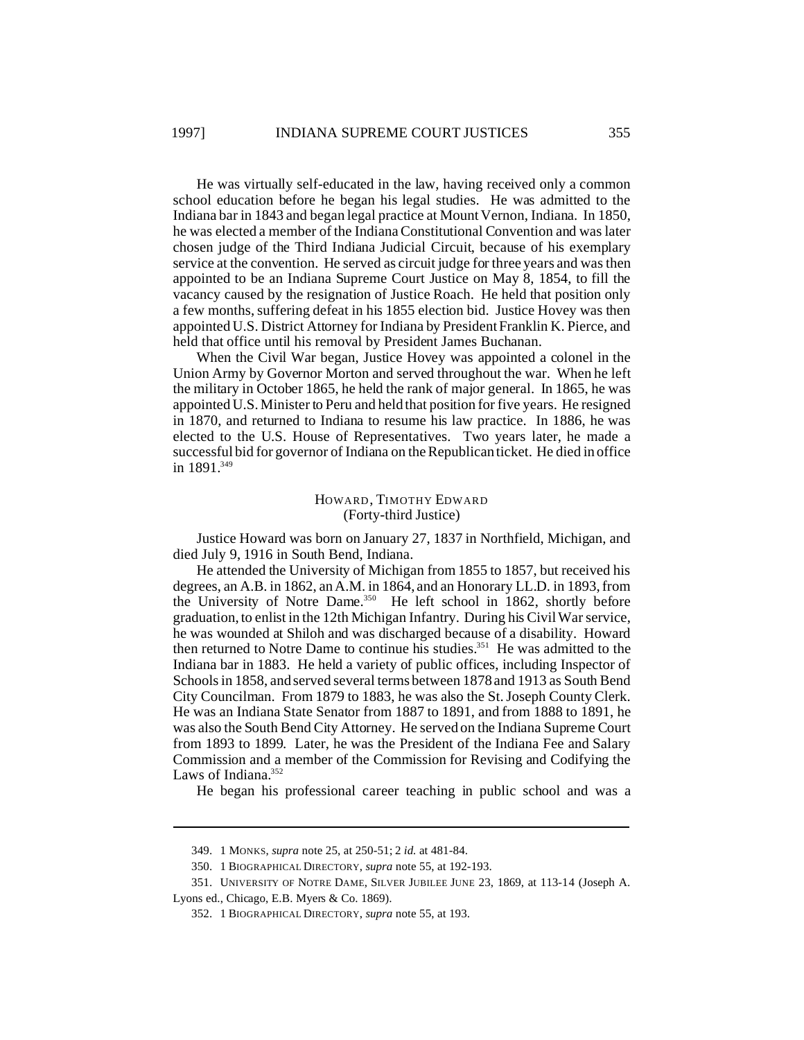He was virtually self-educated in the law, having received only a common school education before he began his legal studies. He was admitted to the Indiana bar in 1843 and began legal practice at Mount Vernon, Indiana. In 1850, he was elected a member of the Indiana Constitutional Convention and was later chosen judge of the Third Indiana Judicial Circuit, because of his exemplary service at the convention. He served as circuit judge for three years and was then appointed to be an Indiana Supreme Court Justice on May 8, 1854, to fill the vacancy caused by the resignation of Justice Roach. He held that position only a few months, suffering defeat in his 1855 election bid. Justice Hovey was then appointed U.S. District Attorney for Indiana by President Franklin K. Pierce, and held that office until his removal by President James Buchanan.

When the Civil War began, Justice Hovey was appointed a colonel in the Union Army by Governor Morton and served throughout the war. When he left the military in October 1865, he held the rank of major general. In 1865, he was appointed U.S. Minister to Peru and held that position for five years. He resigned in 1870, and returned to Indiana to resume his law practice. In 1886, he was elected to the U.S. House of Representatives. Two years later, he made a successful bid for governor of Indiana on the Republican ticket. He died in office in  $1891^{349}$ 

#### HOWARD, TIMOTHY EDWARD (Forty-third Justice)

Justice Howard was born on January 27, 1837 in Northfield, Michigan, and died July 9, 1916 in South Bend, Indiana.

He attended the University of Michigan from 1855 to 1857, but received his degrees, an A.B. in 1862, an A.M. in 1864, and an Honorary LL.D. in 1893, from the University of Notre Dame.<sup>350</sup> He left school in 1862, shortly before graduation, to enlist in the 12th Michigan Infantry. During his Civil War service, he was wounded at Shiloh and was discharged because of a disability. Howard then returned to Notre Dame to continue his studies.<sup>351</sup> He was admitted to the Indiana bar in 1883. He held a variety of public offices, including Inspector of Schools in 1858, and served several terms between 1878 and 1913 as South Bend City Councilman. From 1879 to 1883, he was also the St. Joseph County Clerk. He was an Indiana State Senator from 1887 to 1891, and from 1888 to 1891, he was also the South Bend City Attorney. He served on the Indiana Supreme Court from 1893 to 1899. Later, he was the President of the Indiana Fee and Salary Commission and a member of the Commission for Revising and Codifying the Laws of Indiana.<sup>352</sup>

He began his professional career teaching in public school and was a

<sup>349.</sup> 1 MONKS, *supra* note 25, at 250-51; 2 *id.* at 481-84.

<sup>350.</sup> 1 BIOGRAPHICAL DIRECTORY, *supra* note 55, at 192-193.

<sup>351.</sup> UNIVERSITY OF NOTRE DAME, SILVER JUBILEE JUNE 23, 1869, at 113-14 (Joseph A. Lyons ed., Chicago, E.B. Myers & Co. 1869).

<sup>352.</sup> 1 BIOGRAPHICAL DIRECTORY, *supra* note 55, at 193.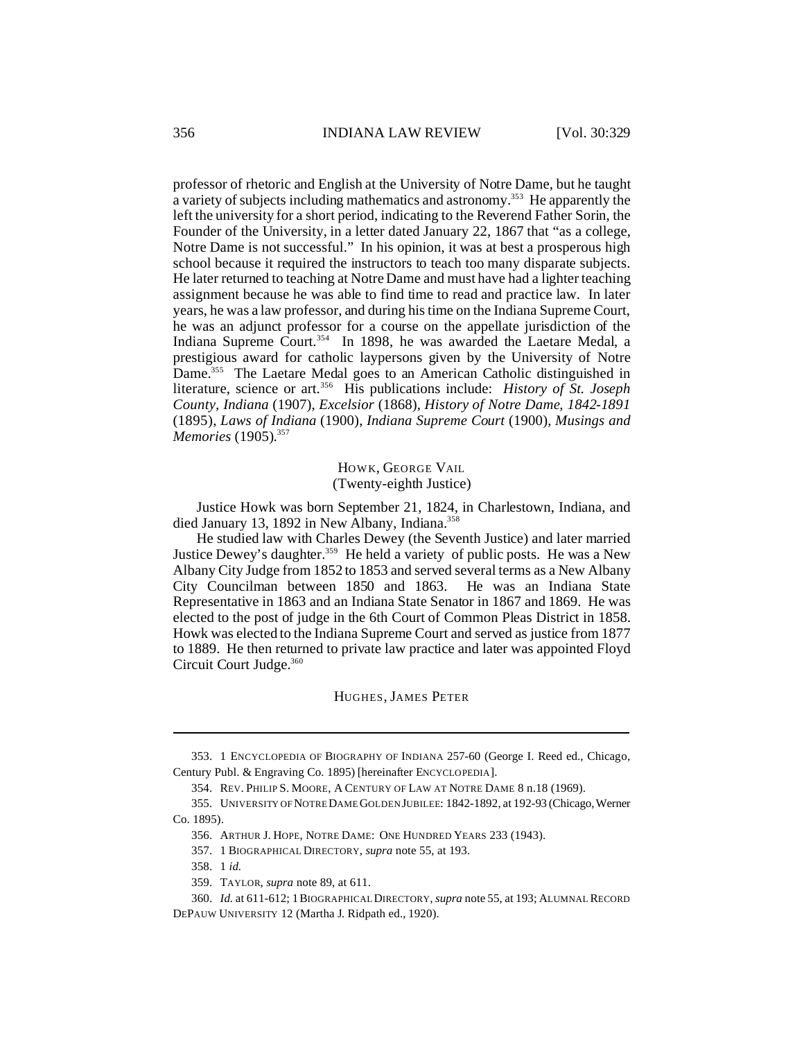professor of rhetoric and English at the University of Notre Dame, but he taught a variety of subjects including mathematics and astronomy.<sup>353</sup> He apparently the left the university for a short period, indicating to the Reverend Father Sorin, the Founder of the University, in a letter dated January 22, 1867 that "as a college, Notre Dame is not successful." In his opinion, it was at best a prosperous high school because it required the instructors to teach too many disparate subjects. He later returned to teaching at Notre Dame and must have had a lighter teaching assignment because he was able to find time to read and practice law. In later years, he was a law professor, and during his time on the Indiana Supreme Court, he was an adjunct professor for a course on the appellate jurisdiction of the Indiana Supreme Court.<sup>354</sup> In 1898, he was awarded the Laetare Medal, a prestigious award for catholic laypersons given by the University of Notre Dame.<sup>355</sup> The Laetare Medal goes to an American Catholic distinguished in literature, science or art.<sup>356</sup> His publications include: *History of St. Joseph County, Indiana* (1907), *Excelsior* (1868), *History of Notre Dame, 1842-1891* (1895), *Laws of Indiana* (1900), *Indiana Supreme Court* (1900), *Musings and Memories* (1905). 357

> HOWK, GEORGE VAIL (Twenty-eighth Justice)

Justice Howk was born September 21, 1824, in Charlestown, Indiana, and died January 13, 1892 in New Albany, Indiana.<sup>358</sup>

He studied law with Charles Dewey (the Seventh Justice) and later married Justice Dewey's daughter.<sup>359</sup> He held a variety of public posts. He was a New Albany City Judge from 1852 to 1853 and served several terms as a New Albany City Councilman between 1850 and 1863. He was an Indiana State Representative in 1863 and an Indiana State Senator in 1867 and 1869. He was elected to the post of judge in the 6th Court of Common Pleas District in 1858. Howk was elected to the Indiana Supreme Court and served as justice from 1877 to 1889. He then returned to private law practice and later was appointed Floyd Circuit Court Judge.<sup>360</sup>

#### HUGHES, JAMES PETER

<sup>353.</sup> 1 ENCYCLOPEDIA OF BIOGRAPHY OF INDIANA 257-60 (George I. Reed ed., Chicago, Century Publ. & Engraving Co. 1895) [hereinafter ENCYCLOPEDIA].

<sup>354.</sup> REV. PHILIP S. MOORE, A CENTURY OF LAW AT NOTRE DAME 8 n.18 (1969).

<sup>355.</sup> UNIVERSITY OF NOTRE DAME GOLDEN JUBILEE: 1842-1892, at 192-93 (Chicago,Werner Co. 1895).

<sup>356.</sup> ARTHUR J. HOPE, NOTRE DAME: ONE HUNDRED YEARS 233 (1943).

<sup>357.</sup> 1 BIOGRAPHICAL DIRECTORY, *supra* note 55, at 193.

<sup>358.</sup> 1 *id.*

<sup>359.</sup> TAYLOR, *supra* note 89, at 611.

<sup>360.</sup> *Id.* at 611-612; 1BIOGRAPHICAL DIRECTORY, *supra* note 55, at 193; ALUMNAL RECORD DEPAUW UNIVERSITY 12 (Martha J. Ridpath ed., 1920).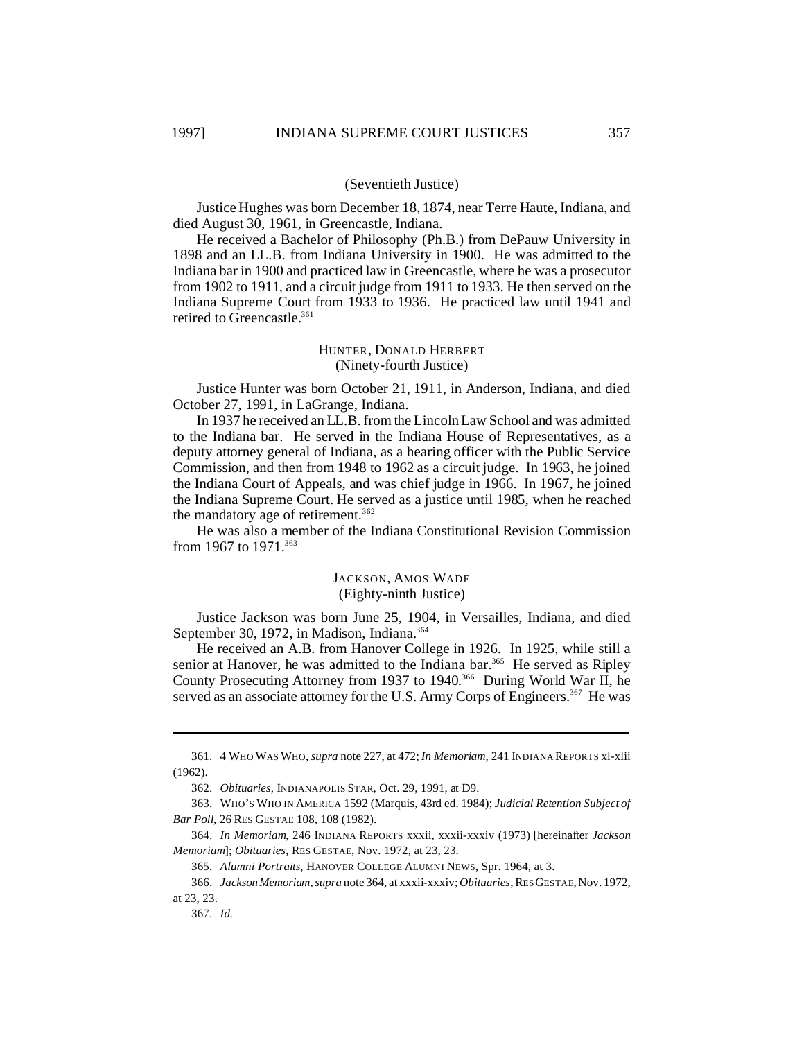#### (Seventieth Justice)

Justice Hughes was born December 18, 1874, near Terre Haute, Indiana, and died August 30, 1961, in Greencastle, Indiana.

He received a Bachelor of Philosophy (Ph.B.) from DePauw University in 1898 and an LL.B. from Indiana University in 1900. He was admitted to the Indiana bar in 1900 and practiced law in Greencastle, where he was a prosecutor from 1902 to 1911, and a circuit judge from 1911 to 1933. He then served on the Indiana Supreme Court from 1933 to 1936. He practiced law until 1941 and retired to Greencastle.<sup>361</sup>

## HUNTER, DONALD HERBERT (Ninety-fourth Justice)

Justice Hunter was born October 21, 1911, in Anderson, Indiana, and died October 27, 1991, in LaGrange, Indiana.

In 1937 he received an LL.B. from the Lincoln Law School and was admitted to the Indiana bar. He served in the Indiana House of Representatives, as a deputy attorney general of Indiana, as a hearing officer with the Public Service Commission, and then from 1948 to 1962 as a circuit judge. In 1963, he joined the Indiana Court of Appeals, and was chief judge in 1966. In 1967, he joined the Indiana Supreme Court. He served as a justice until 1985, when he reached the mandatory age of retirement.<sup>362</sup>

He was also a member of the Indiana Constitutional Revision Commission from 1967 to 1971.<sup>363</sup>

#### JACKSON, AMOS WADE (Eighty-ninth Justice)

Justice Jackson was born June 25, 1904, in Versailles, Indiana, and died September 30, 1972, in Madison, Indiana.<sup>364</sup>

He received an A.B. from Hanover College in 1926. In 1925, while still a senior at Hanover, he was admitted to the Indiana bar.<sup>365</sup> He served as Ripley County Prosecuting Attorney from 1937 to 1940. <sup>366</sup> During World War II, he served as an associate attorney for the U.S. Army Corps of Engineers.<sup>367</sup> He was

<sup>361.</sup> 4 WHO WAS WHO, *supra* note 227, at 472; *In Memoriam*, 241 INDIANA REPORTS xl-xlii (1962).

<sup>362.</sup> *Obituaries*, INDIANAPOLIS STAR, Oct. 29, 1991, at D9.

<sup>363.</sup> WHO'S WHO IN AMERICA 1592 (Marquis, 43rd ed. 1984); *Judicial Retention Subject of Bar Poll*, 26 RES GESTAE 108, 108 (1982).

<sup>364.</sup> *In Memoriam*, 246 INDIANA REPORTS xxxii, xxxii-xxxiv (1973) [hereinafter *Jackson Memoriam*]; *Obituaries*, RES GESTAE, Nov. 1972, at 23, 23.

<sup>365.</sup> *Alumni Portraits*, HANOVER COLLEGE ALUMNI NEWS, Spr. 1964, at 3.

<sup>366.</sup> *JacksonMemoriam*, *supra* note 364, at xxxii-xxxiv; *Obituaries*, RES GESTAE, Nov. 1972, at 23, 23.

<sup>367.</sup> *Id.*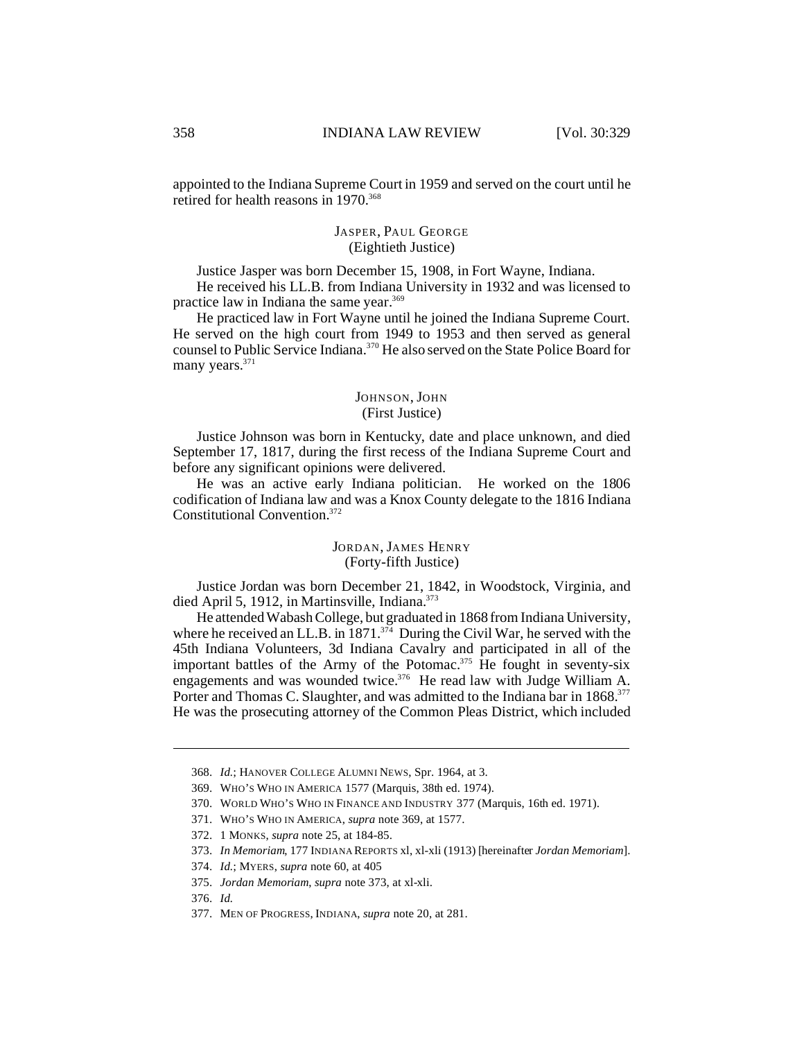appointed to the Indiana Supreme Court in 1959 and served on the court until he retired for health reasons in 1970.<sup>368</sup>

## JASPER, PAUL GEORGE (Eightieth Justice)

Justice Jasper was born December 15, 1908, in Fort Wayne, Indiana.

He received his LL.B. from Indiana University in 1932 and was licensed to practice law in Indiana the same year.<sup>369</sup>

He practiced law in Fort Wayne until he joined the Indiana Supreme Court. He served on the high court from 1949 to 1953 and then served as general counsel to Public Service Indiana.<sup>370</sup> He also served on the State Police Board for many years.<sup>371</sup>

## JOHNSON, JOHN (First Justice)

Justice Johnson was born in Kentucky, date and place unknown, and died September 17, 1817, during the first recess of the Indiana Supreme Court and before any significant opinions were delivered.

He was an active early Indiana politician. He worked on the 1806 codification of Indiana law and was a Knox County delegate to the 1816 Indiana Constitutional Convention.<sup>372</sup>

## JORDAN, JAMES HENRY (Forty-fifth Justice)

Justice Jordan was born December 21, 1842, in Woodstock, Virginia, and died April 5, 1912, in Martinsville, Indiana.<sup>373</sup>

He attended Wabash College, but graduated in 1868 from Indiana University, where he received an LL.B. in  $1871^{374}$  During the Civil War, he served with the 45th Indiana Volunteers, 3d Indiana Cavalry and participated in all of the important battles of the Army of the Potomac.<sup>375</sup> He fought in seventy-six engagements and was wounded twice.<sup>376</sup> He read law with Judge William A. Porter and Thomas C. Slaughter, and was admitted to the Indiana bar in 1868.<sup>377</sup> He was the prosecuting attorney of the Common Pleas District, which included

<sup>368.</sup> *Id.*; HANOVER COLLEGE ALUMNI NEWS, Spr. 1964, at 3.

<sup>369.</sup> WHO'S WHO IN AMERICA 1577 (Marquis, 38th ed. 1974).

<sup>370.</sup> WORLD WHO'S WHO IN FINANCE AND INDUSTRY 377 (Marquis, 16th ed. 1971).

<sup>371.</sup> WHO'S WHO IN AMERICA, *supra* note 369, at 1577.

<sup>372.</sup> 1 MONKS, *supra* note 25, at 184-85.

<sup>373.</sup> *In Memoriam*, 177 INDIANA REPORTS xl, xl-xli (1913) [hereinafter *Jordan Memoriam*].

<sup>374.</sup> *Id.*; MYERS, *supra* note 60, at 405

<sup>375.</sup> *Jordan Memoriam*, *supra* note 373, at xl-xli.

<sup>376.</sup> *Id.*

<sup>377.</sup> MEN OF PROGRESS, INDIANA, *supra* note 20, at 281.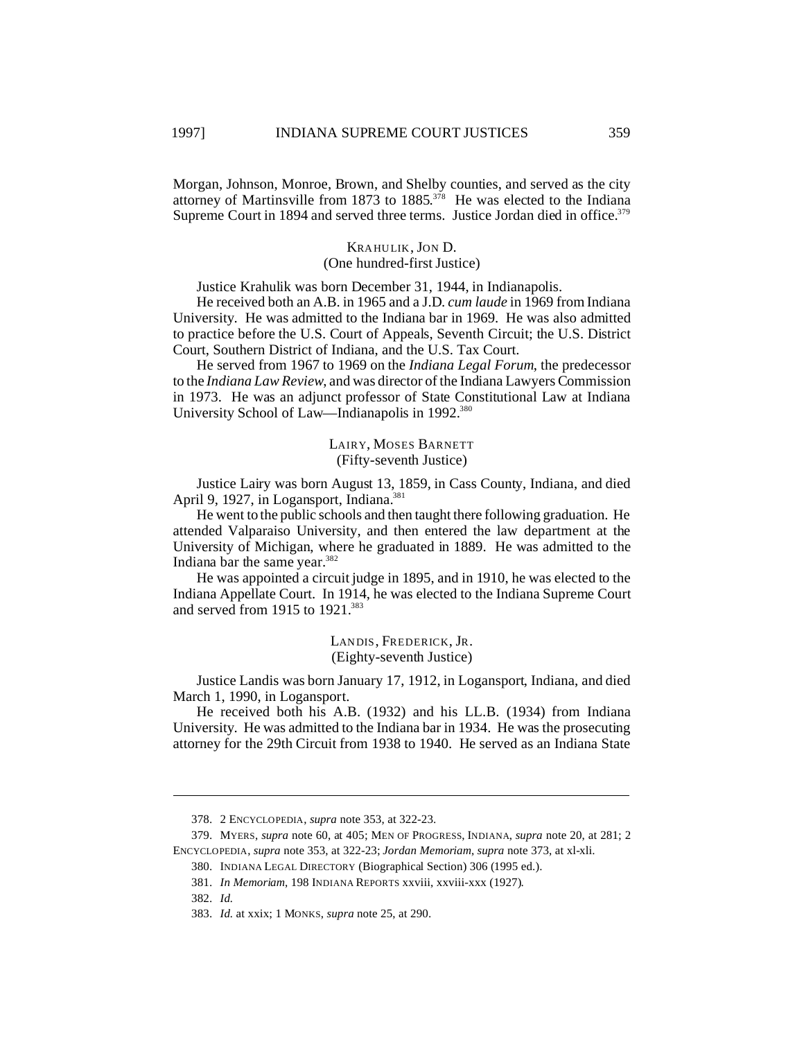Morgan, Johnson, Monroe, Brown, and Shelby counties, and served as the city attorney of Martinsville from 1873 to 1885. <sup>378</sup> He was elected to the Indiana Supreme Court in 1894 and served three terms. Justice Jordan died in office.<sup>379</sup>

## KRAHULIK, JON D. (One hundred-first Justice)

Justice Krahulik was born December 31, 1944, in Indianapolis.

He received both an A.B. in 1965 and a J.D. *cum laude* in 1969 from Indiana University. He was admitted to the Indiana bar in 1969. He was also admitted to practice before the U.S. Court of Appeals, Seventh Circuit; the U.S. District Court, Southern District of Indiana, and the U.S. Tax Court.

He served from 1967 to 1969 on the *Indiana Legal Forum*, the predecessor to the *Indiana Law Review*, and was director of the Indiana Lawyers Commission in 1973. He was an adjunct professor of State Constitutional Law at Indiana University School of Law—Indianapolis in 1992.<sup>380</sup>

> LAIRY, MOSES BARNETT (Fifty-seventh Justice)

Justice Lairy was born August 13, 1859, in Cass County, Indiana, and died April 9, 1927, in Logansport, Indiana.<sup>381</sup>

He went to the public schools and then taught there following graduation. He attended Valparaiso University, and then entered the law department at the University of Michigan, where he graduated in 1889. He was admitted to the Indiana bar the same year. $382$ 

He was appointed a circuit judge in 1895, and in 1910, he was elected to the Indiana Appellate Court. In 1914, he was elected to the Indiana Supreme Court and served from 1915 to 1921.<sup>383</sup>

> LANDIS, FREDERICK, JR. (Eighty-seventh Justice)

Justice Landis was born January 17, 1912, in Logansport, Indiana, and died March 1, 1990, in Logansport.

He received both his A.B. (1932) and his LL.B. (1934) from Indiana University. He was admitted to the Indiana bar in 1934. He was the prosecuting attorney for the 29th Circuit from 1938 to 1940. He served as an Indiana State

<sup>378.</sup> 2 ENCYCLOPEDIA, *supra* note 353, at 322-23.

<sup>379.</sup> MYERS, *supra* note 60, at 405; MEN OF PROGRESS, INDIANA, *supra* note 20, at 281; 2 ENCYCLOPEDIA, *supra* note 353, at 322-23; *Jordan Memoriam*, *supra* note 373, at xl-xli.

<sup>380.</sup> INDIANA LEGAL DIRECTORY (Biographical Section) 306 (1995 ed.).

<sup>381.</sup> *In Memoriam*, 198 INDIANA REPORTS xxviii, xxviii-xxx (1927).

<sup>382.</sup> *Id.*

<sup>383.</sup> *Id.* at xxix; 1 MONKS, *supra* note 25, at 290.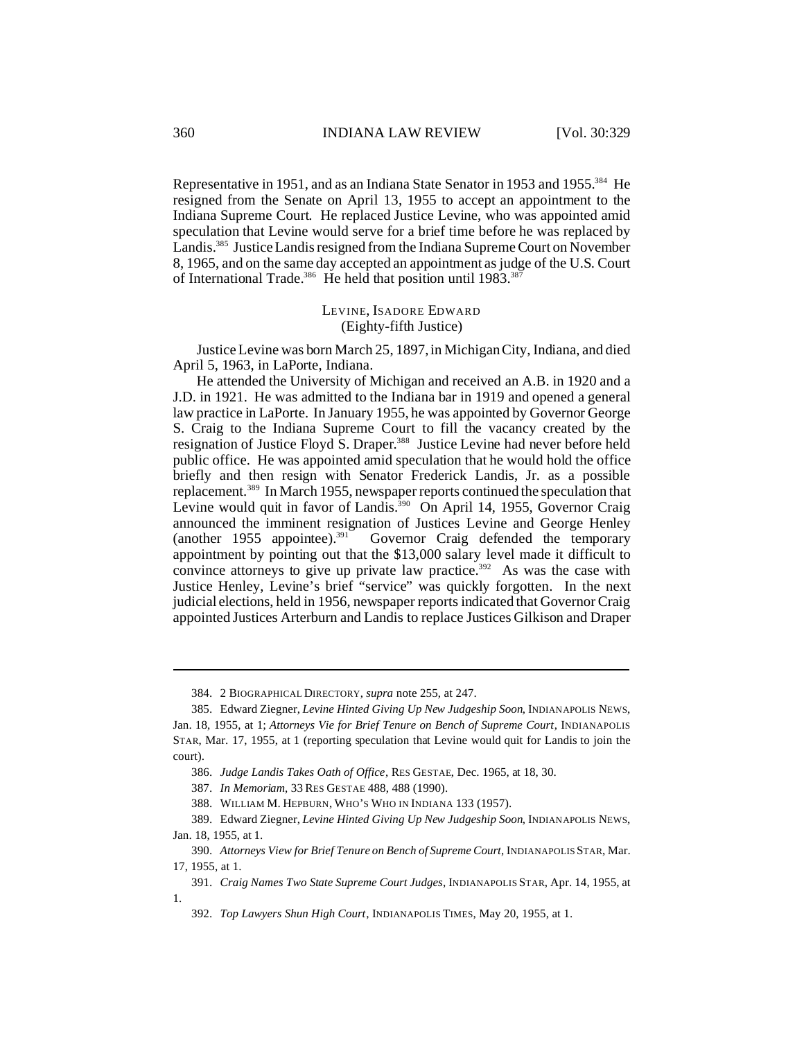Representative in 1951, and as an Indiana State Senator in 1953 and 1955.<sup>384</sup> He resigned from the Senate on April 13, 1955 to accept an appointment to the Indiana Supreme Court. He replaced Justice Levine, who was appointed amid speculation that Levine would serve for a brief time before he was replaced by Landis.<sup>385</sup> Justice Landis resigned from the Indiana Supreme Court on November 8, 1965, and on the same day accepted an appointment as judge of the U.S. Court of International Trade.<sup>386</sup> He held that position until 1983.<sup>387</sup>

## LEVINE, ISADORE EDWARD (Eighty-fifth Justice)

Justice Levine was born March 25, 1897, in Michigan City, Indiana, and died April 5, 1963, in LaPorte, Indiana.

He attended the University of Michigan and received an A.B. in 1920 and a J.D. in 1921. He was admitted to the Indiana bar in 1919 and opened a general law practice in LaPorte. In January 1955, he was appointed by Governor George S. Craig to the Indiana Supreme Court to fill the vacancy created by the resignation of Justice Floyd S. Draper.<sup>388</sup> Justice Levine had never before held public office. He was appointed amid speculation that he would hold the office briefly and then resign with Senator Frederick Landis, Jr. as a possible replacement.<sup>389</sup> In March 1955, newspaper reports continued the speculation that Levine would quit in favor of Landis.<sup>390</sup> On April 14, 1955, Governor Craig announced the imminent resignation of Justices Levine and George Henley (another 1955 appointee).<sup>391</sup> Governor Craig defended the temporary Governor Craig defended the temporary appointment by pointing out that the \$13,000 salary level made it difficult to convince attorneys to give up private law practice.<sup>392</sup> As was the case with Justice Henley, Levine's brief "service" was quickly forgotten. In the next judicial elections, held in 1956, newspaper reports indicated that Governor Craig appointed Justices Arterburn and Landis to replace Justices Gilkison and Draper

<sup>384.</sup> 2 BIOGRAPHICAL DIRECTORY, *supra* note 255, at 247.

<sup>385.</sup> Edward Ziegner, *Levine Hinted Giving Up New Judgeship Soon*, INDIANAPOLIS NEWS, Jan. 18, 1955, at 1; *Attorneys Vie for Brief Tenure on Bench of Supreme Court*, INDIANAPOLIS STAR, Mar. 17, 1955, at 1 (reporting speculation that Levine would quit for Landis to join the court).

<sup>386.</sup> *Judge Landis Takes Oath of Office*, RES GESTAE, Dec. 1965, at 18, 30.

<sup>387.</sup> *In Memoriam*, 33 RES GESTAE 488, 488 (1990).

<sup>388.</sup> WILLIAM M. HEPBURN, WHO'S WHO IN INDIANA 133 (1957).

<sup>389.</sup> Edward Ziegner, *Levine Hinted Giving Up New Judgeship Soon*, INDIANAPOLIS NEWS, Jan. 18, 1955, at 1.

<sup>390.</sup> *Attorneys View for Brief Tenure on Bench of Supreme Court*, INDIANAPOLIS STAR, Mar. 17, 1955, at 1.

<sup>391.</sup> *Craig Names Two State Supreme Court Judges*, INDIANAPOLIS STAR, Apr. 14, 1955, at 1.

<sup>392.</sup> *Top Lawyers Shun High Court*, INDIANAPOLIS TIMES, May 20, 1955, at 1.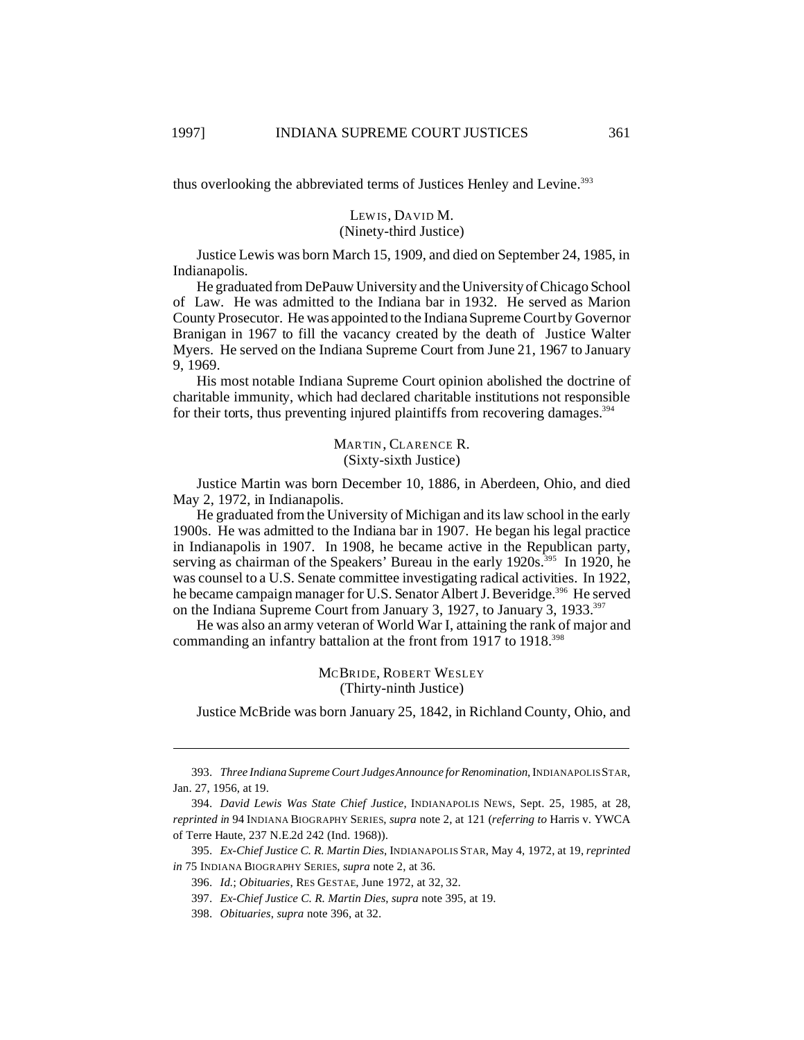thus overlooking the abbreviated terms of Justices Henley and Levine.<sup>393</sup>

## LEW IS, DAVID M. (Ninety-third Justice)

Justice Lewis was born March 15, 1909, and died on September 24, 1985, in Indianapolis.

He graduated from DePauw University and the University of Chicago School of Law. He was admitted to the Indiana bar in 1932. He served as Marion County Prosecutor. He was appointed to the Indiana Supreme Court by Governor Branigan in 1967 to fill the vacancy created by the death of Justice Walter Myers. He served on the Indiana Supreme Court from June 21, 1967 to January 9, 1969.

His most notable Indiana Supreme Court opinion abolished the doctrine of charitable immunity, which had declared charitable institutions not responsible for their torts, thus preventing injured plaintiffs from recovering damages.<sup>394</sup>

> MARTIN, CLARENCE R. (Sixty-sixth Justice)

Justice Martin was born December 10, 1886, in Aberdeen, Ohio, and died May 2, 1972, in Indianapolis.

He graduated from the University of Michigan and its law school in the early 1900s. He was admitted to the Indiana bar in 1907. He began his legal practice in Indianapolis in 1907. In 1908, he became active in the Republican party, serving as chairman of the Speakers' Bureau in the early  $1920s^{395}$  In 1920, he was counsel to a U.S. Senate committee investigating radical activities. In 1922, he became campaign manager for U.S. Senator Albert J. Beveridge.<sup>396</sup> He served on the Indiana Supreme Court from January 3, 1927, to January 3, 1933.<sup>397</sup>

He was also an army veteran of World War I, attaining the rank of major and commanding an infantry battalion at the front from 1917 to 1918.<sup>398</sup>

> MCBRIDE, ROBERT WESLEY (Thirty-ninth Justice)

Justice McBride was born January 25, 1842, in Richland County, Ohio, and

<sup>393.</sup> *Three Indiana Supreme Court Judges Announce for Renomination*, INDIANAPOLIS STAR, Jan. 27, 1956, at 19.

<sup>394.</sup> *David Lewis Was State Chief Justice*, INDIANAPOLIS NEWS, Sept. 25, 1985, at 28, *reprinted in* 94 INDIANA BIOGRAPHY SERIES, *supra* note 2, at 121 (*referring to* Harris v. YWCA of Terre Haute, 237 N.E.2d 242 (Ind. 1968)).

<sup>395.</sup> *Ex-Chief Justice C. R. Martin Dies*, INDIANAPOLIS STAR, May 4, 1972, at 19, *reprinted in* 75 INDIANA BIOGRAPHY SERIES, *supra* note 2, at 36.

<sup>396.</sup> *Id.*; *Obituaries*, RES GESTAE, June 1972, at 32, 32.

<sup>397.</sup> *Ex-Chief Justice C. R. Martin Dies*, *supra* note 395, at 19.

<sup>398.</sup> *Obituaries*, *supra* note 396, at 32.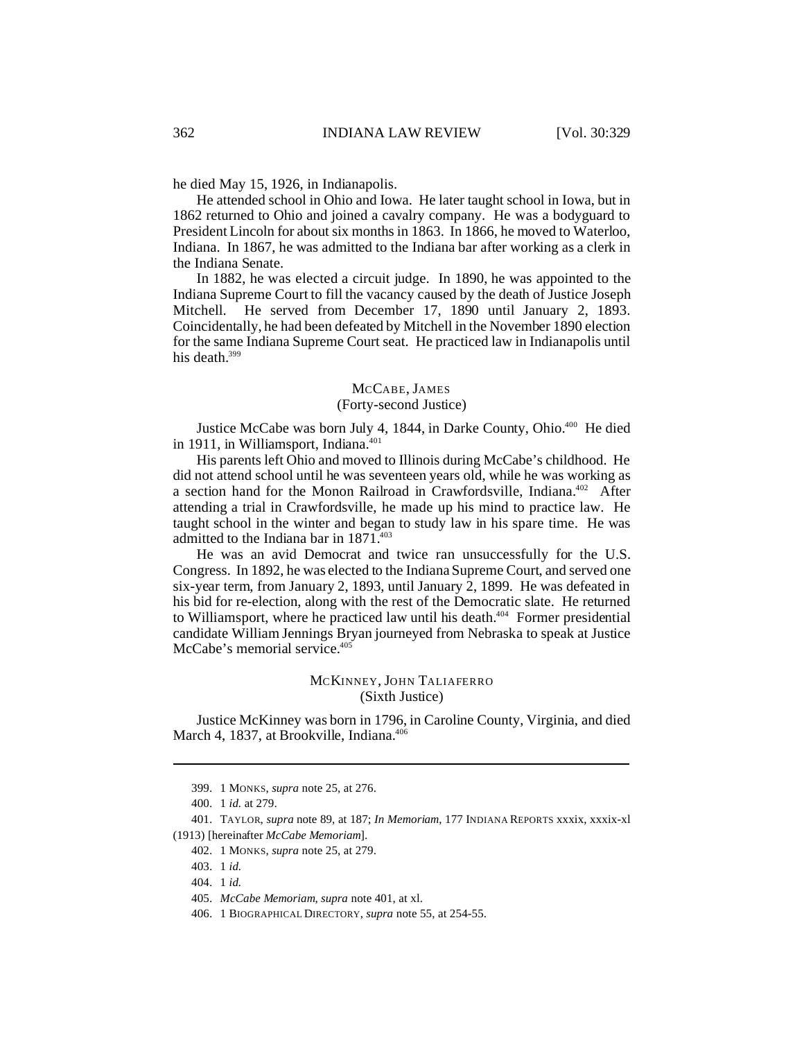he died May 15, 1926, in Indianapolis.

He attended school in Ohio and Iowa. He later taught school in Iowa, but in 1862 returned to Ohio and joined a cavalry company. He was a bodyguard to President Lincoln for about six months in 1863. In 1866, he moved to Waterloo, Indiana. In 1867, he was admitted to the Indiana bar after working as a clerk in the Indiana Senate.

In 1882, he was elected a circuit judge. In 1890, he was appointed to the Indiana Supreme Court to fill the vacancy caused by the death of Justice Joseph Mitchell. He served from December 17, 1890 until January 2, 1893. Coincidentally, he had been defeated by Mitchell in the November 1890 election for the same Indiana Supreme Court seat. He practiced law in Indianapolis until his death.<sup>399</sup>

#### MCCABE, JAMES (Forty-second Justice)

Justice McCabe was born July 4, 1844, in Darke County, Ohio.<sup>400</sup> He died in 1911, in Williamsport, Indiana.<sup>401</sup>

His parents left Ohio and moved to Illinois during McCabe's childhood. He did not attend school until he was seventeen years old, while he was working as a section hand for the Monon Railroad in Crawfordsville, Indiana.<sup>402</sup> After attending a trial in Crawfordsville, he made up his mind to practice law. He taught school in the winter and began to study law in his spare time. He was admitted to the Indiana bar in 1871.<sup>403</sup>

He was an avid Democrat and twice ran unsuccessfully for the U.S. Congress. In 1892, he was elected to the Indiana Supreme Court, and served one six-year term, from January 2, 1893, until January 2, 1899. He was defeated in his bid for re-election, along with the rest of the Democratic slate. He returned to Williamsport, where he practiced law until his death.<sup>404</sup> Former presidential candidate William Jennings Bryan journeyed from Nebraska to speak at Justice McCabe's memorial service.<sup>405</sup>

## MCKINNEY, JOHN TALIAFERRO (Sixth Justice)

Justice McKinney was born in 1796, in Caroline County, Virginia, and died March 4, 1837, at Brookville, Indiana.<sup>406</sup>

<sup>399.</sup> 1 MONKS, *supra* note 25, at 276.

<sup>400.</sup> 1 *id.* at 279.

<sup>401.</sup> TAYLOR, *supra* note 89, at 187; *In Memoriam*, 177 INDIANA REPORTS xxxix, xxxix-xl (1913) [hereinafter *McCabe Memoriam*].

<sup>402.</sup> 1 MONKS, *supra* note 25, at 279.

<sup>403.</sup> 1 *id.*

<sup>404.</sup> 1 *id.*

<sup>405.</sup> *McCabe Memoriam*, *supra* note 401, at xl.

<sup>406.</sup> 1 BIOGRAPHICAL DIRECTORY, *supra* note 55, at 254-55.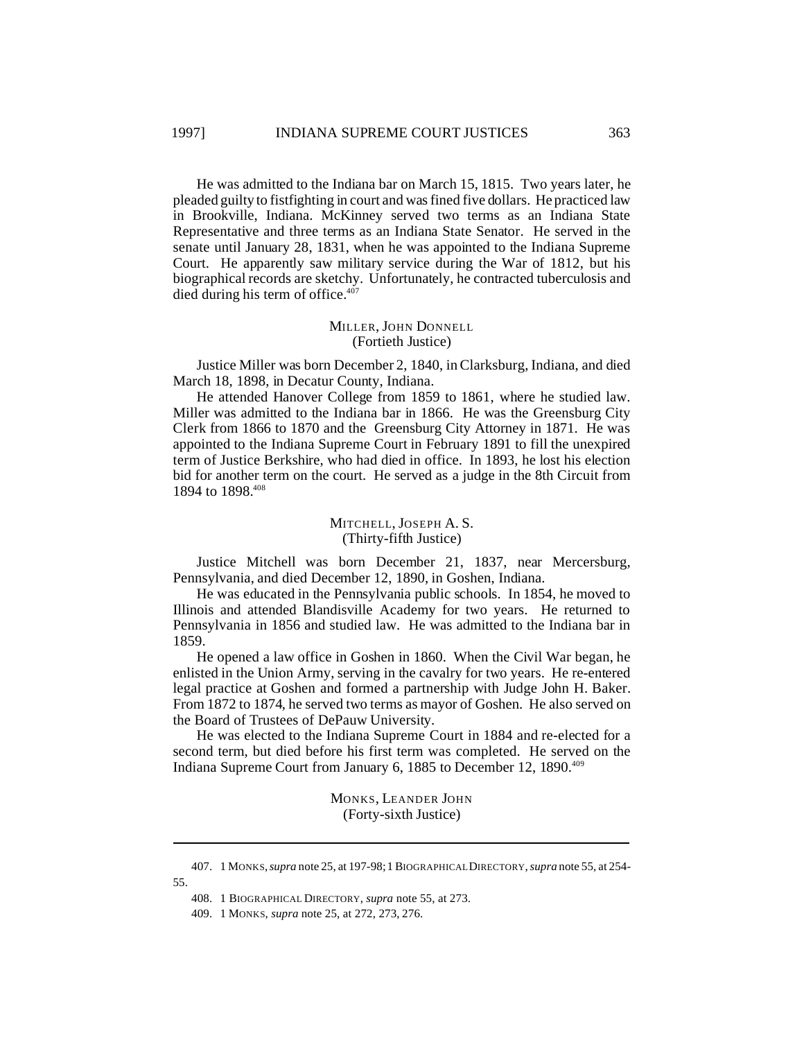He was admitted to the Indiana bar on March 15, 1815. Two years later, he pleaded guilty to fistfighting in court and was fined five dollars. He practiced law in Brookville, Indiana. McKinney served two terms as an Indiana State Representative and three terms as an Indiana State Senator. He served in the senate until January 28, 1831, when he was appointed to the Indiana Supreme Court. He apparently saw military service during the War of 1812, but his biographical records are sketchy. Unfortunately, he contracted tuberculosis and died during his term of office.<sup>407</sup>

#### MILLER, JOHN DONNELL (Fortieth Justice)

Justice Miller was born December 2, 1840, in Clarksburg, Indiana, and died March 18, 1898, in Decatur County, Indiana.

He attended Hanover College from 1859 to 1861, where he studied law. Miller was admitted to the Indiana bar in 1866. He was the Greensburg City Clerk from 1866 to 1870 and the Greensburg City Attorney in 1871. He was appointed to the Indiana Supreme Court in February 1891 to fill the unexpired term of Justice Berkshire, who had died in office. In 1893, he lost his election bid for another term on the court. He served as a judge in the 8th Circuit from 1894 to 1898.408

## MITCHELL, JOSEPH A. S. (Thirty-fifth Justice)

Justice Mitchell was born December 21, 1837, near Mercersburg, Pennsylvania, and died December 12, 1890, in Goshen, Indiana.

He was educated in the Pennsylvania public schools. In 1854, he moved to Illinois and attended Blandisville Academy for two years. He returned to Pennsylvania in 1856 and studied law. He was admitted to the Indiana bar in 1859.

He opened a law office in Goshen in 1860. When the Civil War began, he enlisted in the Union Army, serving in the cavalry for two years. He re-entered legal practice at Goshen and formed a partnership with Judge John H. Baker. From 1872 to 1874, he served two terms as mayor of Goshen. He also served on the Board of Trustees of DePauw University.

He was elected to the Indiana Supreme Court in 1884 and re-elected for a second term, but died before his first term was completed. He served on the Indiana Supreme Court from January 6, 1885 to December 12, 1890.<sup>409</sup>

> MONKS, LEANDER JOHN (Forty-sixth Justice)

<sup>407.</sup> 1 MONKS,*supra* note 25, at 197-98; 1 BIOGRAPHICAL DIRECTORY, *supra* note 55, at 254- 55.

<sup>408.</sup> 1 BIOGRAPHICAL DIRECTORY, *supra* note 55, at 273.

<sup>409.</sup> 1 MONKS, *supra* note 25, at 272, 273, 276.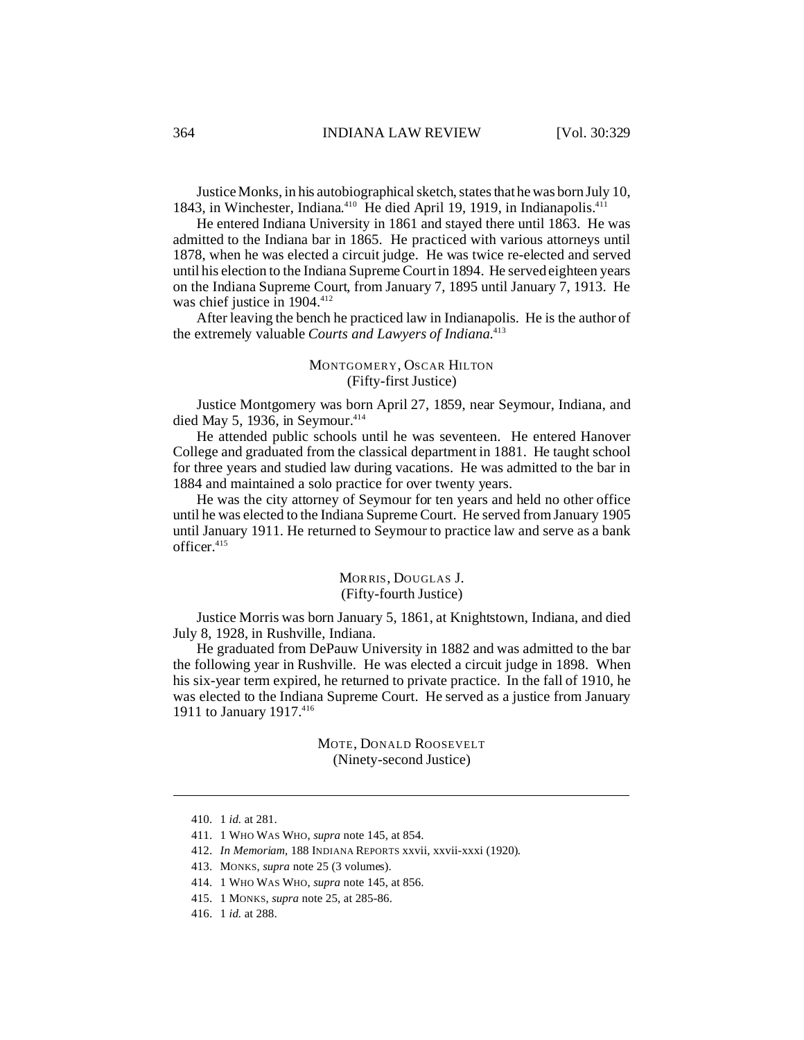Justice Monks, in his autobiographical sketch, states that he was born July 10, 1843, in Winchester, Indiana.<sup>410</sup> He died April 19, 1919, in Indianapolis.<sup>411</sup>

He entered Indiana University in 1861 and stayed there until 1863. He was admitted to the Indiana bar in 1865. He practiced with various attorneys until 1878, when he was elected a circuit judge. He was twice re-elected and served until his election to the Indiana Supreme Court in 1894. He served eighteen years on the Indiana Supreme Court, from January 7, 1895 until January 7, 1913. He was chief justice in 1904.<sup>412</sup>

After leaving the bench he practiced law in Indianapolis. He is the author of the extremely valuable *Courts and Lawyers of Indiana*. 413

#### MONTGOMERY, OSCAR HILTON (Fifty-first Justice)

Justice Montgomery was born April 27, 1859, near Seymour, Indiana, and died May 5, 1936, in Seymour. $414$ 

He attended public schools until he was seventeen. He entered Hanover College and graduated from the classical department in 1881. He taught school for three years and studied law during vacations. He was admitted to the bar in 1884 and maintained a solo practice for over twenty years.

He was the city attorney of Seymour for ten years and held no other office until he was elected to the Indiana Supreme Court. He served from January 1905 until January 1911. He returned to Seymour to practice law and serve as a bank officer.<sup>415</sup>

#### MORRIS, DOUGLAS J. (Fifty-fourth Justice)

Justice Morris was born January 5, 1861, at Knightstown, Indiana, and died July 8, 1928, in Rushville, Indiana.

He graduated from DePauw University in 1882 and was admitted to the bar the following year in Rushville. He was elected a circuit judge in 1898. When his six-year term expired, he returned to private practice. In the fall of 1910, he was elected to the Indiana Supreme Court. He served as a justice from January 1911 to January 1917.<sup>416</sup>

> MOTE, DONALD ROOSEVELT (Ninety-second Justice)

<sup>410.</sup> 1 *id.* at 281.

<sup>411.</sup> 1 WHO WAS WHO, *supra* note 145, at 854.

<sup>412.</sup> *In Memoriam*, 188 INDIANA REPORTS xxvii, xxvii-xxxi (1920).

<sup>413.</sup> MONKS, *supra* note 25 (3 volumes).

<sup>414.</sup> 1 WHO WAS WHO, *supra* note 145, at 856.

<sup>415.</sup> 1 MONKS, *supra* note 25, at 285-86.

<sup>416.</sup> 1 *id.* at 288.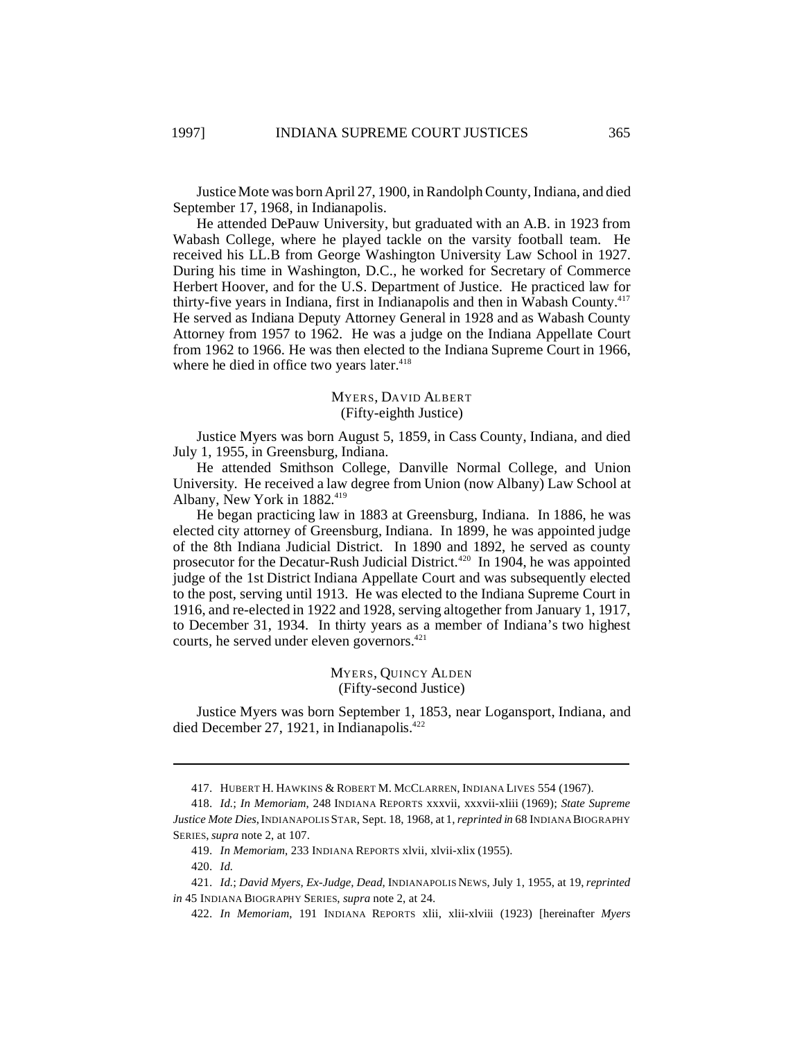Justice Mote was born April 27, 1900, in Randolph County, Indiana, and died September 17, 1968, in Indianapolis.

He attended DePauw University, but graduated with an A.B. in 1923 from Wabash College, where he played tackle on the varsity football team. He received his LL.B from George Washington University Law School in 1927. During his time in Washington, D.C., he worked for Secretary of Commerce Herbert Hoover, and for the U.S. Department of Justice. He practiced law for thirty-five years in Indiana, first in Indianapolis and then in Wabash County.<sup>417</sup> He served as Indiana Deputy Attorney General in 1928 and as Wabash County Attorney from 1957 to 1962. He was a judge on the Indiana Appellate Court from 1962 to 1966. He was then elected to the Indiana Supreme Court in 1966, where he died in office two years later.<sup>418</sup>

#### MYERS, DAVID ALBERT (Fifty-eighth Justice)

Justice Myers was born August 5, 1859, in Cass County, Indiana, and died July 1, 1955, in Greensburg, Indiana.

He attended Smithson College, Danville Normal College, and Union University. He received a law degree from Union (now Albany) Law School at Albany, New York in 1882. 419

He began practicing law in 1883 at Greensburg, Indiana. In 1886, he was elected city attorney of Greensburg, Indiana. In 1899, he was appointed judge of the 8th Indiana Judicial District. In 1890 and 1892, he served as county prosecutor for the Decatur-Rush Judicial District.<sup>420</sup> In 1904, he was appointed judge of the 1st District Indiana Appellate Court and was subsequently elected to the post, serving until 1913. He was elected to the Indiana Supreme Court in 1916, and re-elected in 1922 and 1928, serving altogether from January 1, 1917, to December 31, 1934. In thirty years as a member of Indiana's two highest courts, he served under eleven governors.<sup>421</sup>

#### MYERS, QUINCY ALDEN (Fifty-second Justice)

Justice Myers was born September 1, 1853, near Logansport, Indiana, and died December 27, 1921, in Indianapolis. $422$ 

<sup>417.</sup> HUBERT H. HAWKINS & ROBERT M. MCCLARREN, INDIANA LIVES 554 (1967).

<sup>418.</sup> *Id.*; *In Memoriam*, 248 INDIANA REPORTS xxxvii, xxxvii-xliii (1969); *State Supreme Justice Mote Dies*,INDIANAPOLIS STAR, Sept. 18, 1968, at 1,*reprinted in* 68 INDIANA BIOGRAPHY SERIES, *supra* note 2, at 107.

<sup>419.</sup> *In Memoriam*, 233 INDIANA REPORTS xlvii, xlvii-xlix (1955).

<sup>420.</sup> *Id.*

<sup>421.</sup> *Id.*; *David Myers, Ex-Judge, Dead*, INDIANAPOLIS NEWS, July 1, 1955, at 19,*reprinted in* 45 INDIANA BIOGRAPHY SERIES, *supra* note 2, at 24.

<sup>422.</sup> *In Memoriam*, 191 INDIANA REPORTS xlii, xlii-xlviii (1923) [hereinafter *Myers*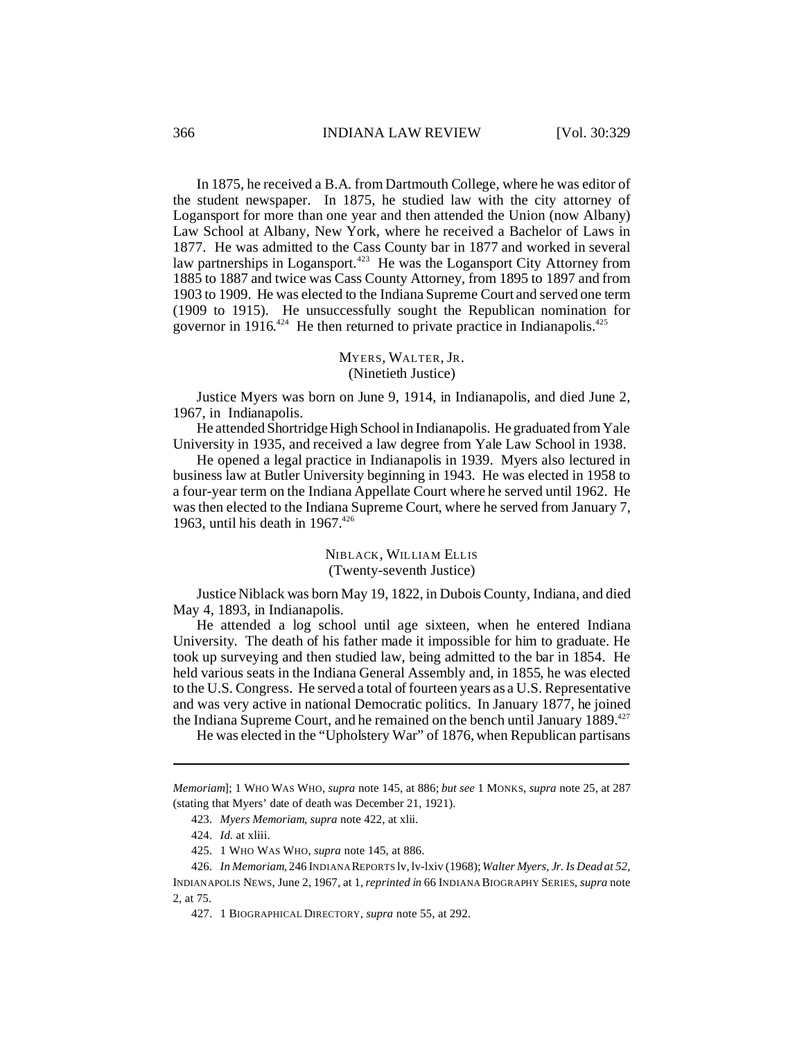In 1875, he received a B.A. from Dartmouth College, where he was editor of the student newspaper. In 1875, he studied law with the city attorney of Logansport for more than one year and then attended the Union (now Albany) Law School at Albany, New York, where he received a Bachelor of Laws in 1877. He was admitted to the Cass County bar in 1877 and worked in several law partnerships in Logansport.<sup>423</sup> He was the Logansport City Attorney from 1885 to 1887 and twice was Cass County Attorney, from 1895 to 1897 and from 1903 to 1909. He was elected to the Indiana Supreme Court and served one term (1909 to 1915). He unsuccessfully sought the Republican nomination for governor in 1916.<sup>424</sup> He then returned to private practice in Indianapolis.<sup>425</sup>

## MYERS, WALTER, JR. (Ninetieth Justice)

Justice Myers was born on June 9, 1914, in Indianapolis, and died June 2, 1967, in Indianapolis.

He attended Shortridge High School in Indianapolis. He graduated from Yale University in 1935, and received a law degree from Yale Law School in 1938.

He opened a legal practice in Indianapolis in 1939. Myers also lectured in business law at Butler University beginning in 1943. He was elected in 1958 to a four-year term on the Indiana Appellate Court where he served until 1962. He was then elected to the Indiana Supreme Court, where he served from January 7, 1963, until his death in  $1967$ <sup>426</sup>

## NIBLACK, WILLIAM ELLIS (Twenty-seventh Justice)

Justice Niblack was born May 19, 1822, in Dubois County, Indiana, and died May 4, 1893, in Indianapolis.

He attended a log school until age sixteen, when he entered Indiana University. The death of his father made it impossible for him to graduate. He took up surveying and then studied law, being admitted to the bar in 1854. He held various seats in the Indiana General Assembly and, in 1855, he was elected to the U.S. Congress. He served a total of fourteen years as a U.S. Representative and was very active in national Democratic politics. In January 1877, he joined the Indiana Supreme Court, and he remained on the bench until January  $1889$ <sup>427</sup>

He was elected in the "Upholstery War" of 1876, when Republican partisans

*Memoriam*]; 1 WHO WAS WHO, *supra* note 145, at 886; *but see* 1 MONKS, *supra* note 25, at 287 (stating that Myers' date of death was December 21, 1921).

<sup>423.</sup> *Myers Memoriam*, *supra* note 422, at xlii.

<sup>424.</sup> *Id.* at xliii.

<sup>425.</sup> 1 WHO WAS WHO, *supra* note 145, at 886.

<sup>426.</sup> *In Memoriam*, 246 INDIANA REPORTS lv, lv-lxiv (1968); *Walter Myers, Jr. Is Dead at 52,* INDIANAPOLIS NEWS, June 2, 1967, at 1, *reprinted in* 66 INDIANA BIOGRAPHY SERIES, *supra* note 2, at 75.

<sup>427.</sup> 1 BIOGRAPHICAL DIRECTORY, *supra* note 55, at 292.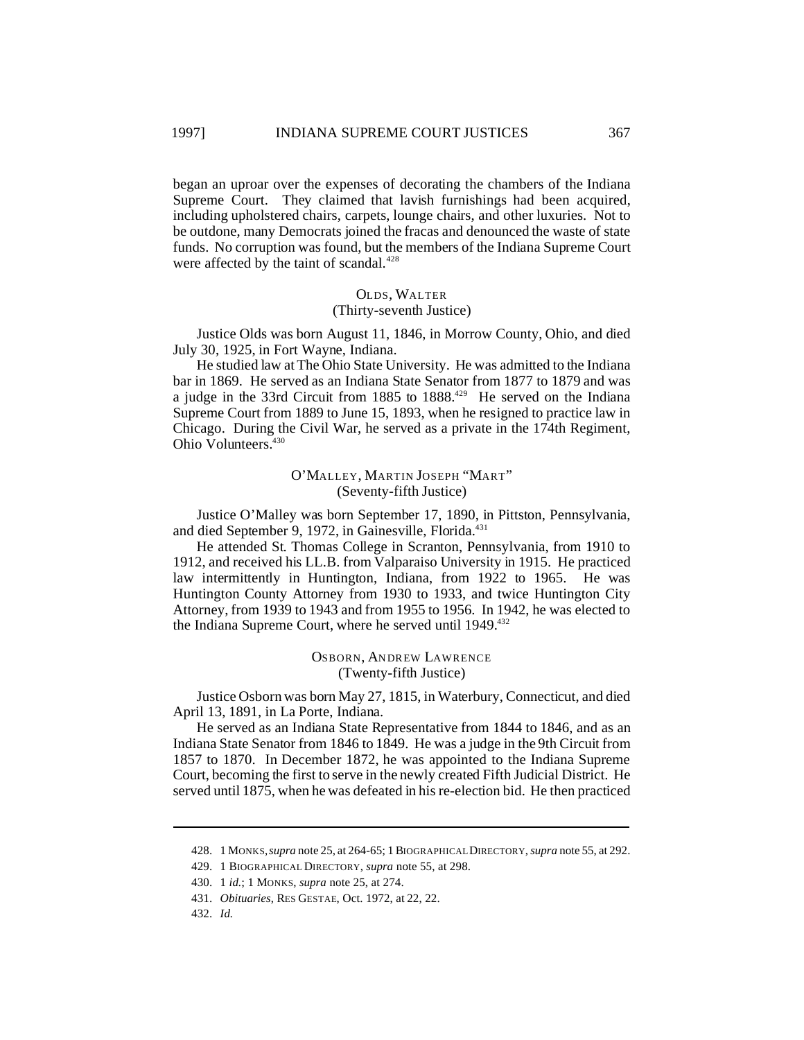began an uproar over the expenses of decorating the chambers of the Indiana Supreme Court. They claimed that lavish furnishings had been acquired, including upholstered chairs, carpets, lounge chairs, and other luxuries. Not to be outdone, many Democrats joined the fracas and denounced the waste of state funds. No corruption was found, but the members of the Indiana Supreme Court were affected by the taint of scandal.<sup>428</sup>

## OLDS, WALTER (Thirty-seventh Justice)

Justice Olds was born August 11, 1846, in Morrow County, Ohio, and died July 30, 1925, in Fort Wayne, Indiana.

He studied law at The Ohio State University. He was admitted to the Indiana bar in 1869. He served as an Indiana State Senator from 1877 to 1879 and was a judge in the 33rd Circuit from 1885 to 1888.<sup>429</sup> He served on the Indiana Supreme Court from 1889 to June 15, 1893, when he resigned to practice law in Chicago. During the Civil War, he served as a private in the 174th Regiment, Ohio Volunteers.<sup>430</sup>

> O'MALLEY, MARTIN JOSEPH "MART" (Seventy-fifth Justice)

Justice O'Malley was born September 17, 1890, in Pittston, Pennsylvania, and died September 9, 1972, in Gainesville, Florida.<sup>431</sup>

He attended St. Thomas College in Scranton, Pennsylvania, from 1910 to 1912, and received his LL.B. from Valparaiso University in 1915. He practiced law intermittently in Huntington, Indiana, from 1922 to 1965. He was Huntington County Attorney from 1930 to 1933, and twice Huntington City Attorney, from 1939 to 1943 and from 1955 to 1956. In 1942, he was elected to the Indiana Supreme Court, where he served until 1949.<sup>432</sup>

> OSBORN, ANDREW LAWRENCE (Twenty-fifth Justice)

Justice Osborn was born May 27, 1815, in Waterbury, Connecticut, and died April 13, 1891, in La Porte, Indiana.

He served as an Indiana State Representative from 1844 to 1846, and as an Indiana State Senator from 1846 to 1849. He was a judge in the 9th Circuit from 1857 to 1870. In December 1872, he was appointed to the Indiana Supreme Court, becoming the first to serve in the newly created Fifth Judicial District. He served until 1875, when he was defeated in his re-election bid. He then practiced

<sup>428.</sup> 1 MONKS,*supra* note 25, at 264-65; 1 BIOGRAPHICAL DIRECTORY, *supra* note 55, at 292.

<sup>429.</sup> 1 BIOGRAPHICAL DIRECTORY, *supra* note 55, at 298.

<sup>430.</sup> 1 *id.*; 1 MONKS, *supra* note 25, at 274.

<sup>431.</sup> *Obituaries*, RES GESTAE, Oct. 1972, at 22, 22.

<sup>432.</sup> *Id.*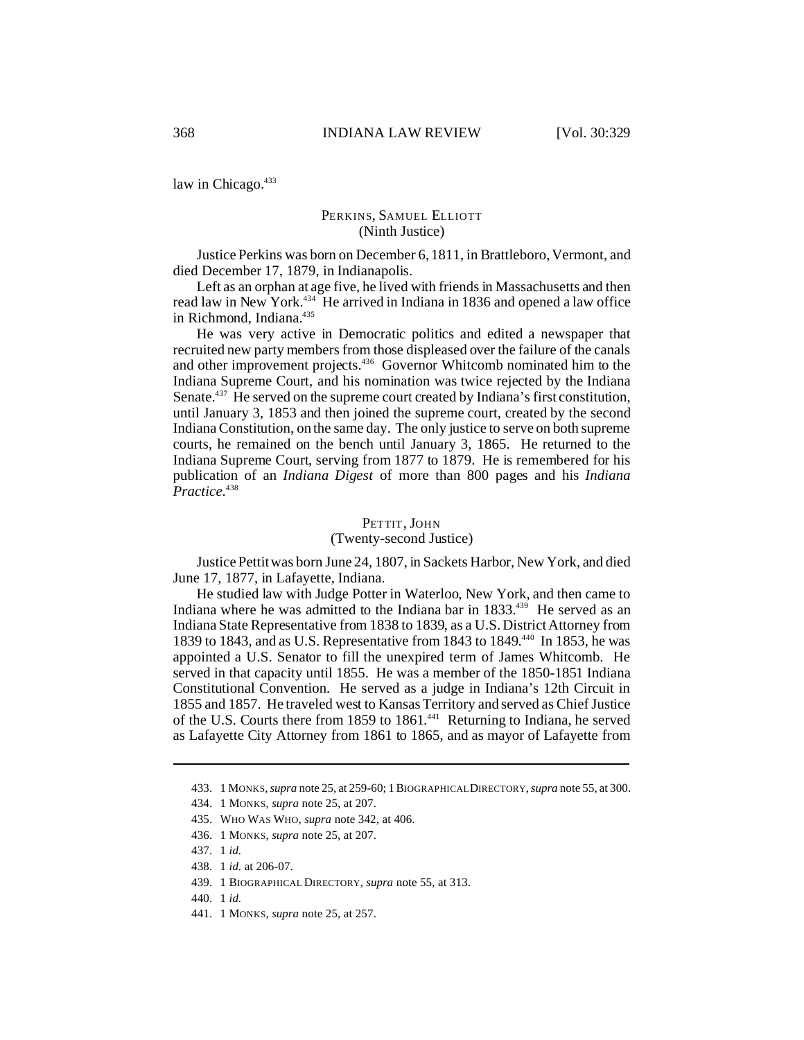law in Chicago.<sup>433</sup>

## PERKINS, SAMUEL ELLIOTT (Ninth Justice)

Justice Perkins was born on December 6, 1811, in Brattleboro, Vermont, and died December 17, 1879, in Indianapolis.

Left as an orphan at age five, he lived with friends in Massachusetts and then read law in New York.<sup>434</sup> He arrived in Indiana in 1836 and opened a law office in Richmond, Indiana.<sup>435</sup>

He was very active in Democratic politics and edited a newspaper that recruited new party members from those displeased over the failure of the canals and other improvement projects.<sup>436</sup> Governor Whitcomb nominated him to the Indiana Supreme Court, and his nomination was twice rejected by the Indiana Senate.<sup>437</sup> He served on the supreme court created by Indiana's first constitution, until January 3, 1853 and then joined the supreme court, created by the second Indiana Constitution, on the same day. The only justice to serve on both supreme courts, he remained on the bench until January 3, 1865. He returned to the Indiana Supreme Court, serving from 1877 to 1879. He is remembered for his publication of an *Indiana Digest* of more than 800 pages and his *Indiana Practice*. 438

#### PETTIT, JOHN

#### (Twenty-second Justice)

Justice Pettit was born June 24, 1807, in Sackets Harbor, New York, and died June 17, 1877, in Lafayette, Indiana.

He studied law with Judge Potter in Waterloo, New York, and then came to Indiana where he was admitted to the Indiana bar in 1833.<sup>439</sup> He served as an Indiana State Representative from 1838 to 1839, as a U.S. District Attorney from 1839 to 1843, and as U.S. Representative from 1843 to 1849. <sup>440</sup> In 1853, he was appointed a U.S. Senator to fill the unexpired term of James Whitcomb. He served in that capacity until 1855. He was a member of the 1850-1851 Indiana Constitutional Convention. He served as a judge in Indiana's 12th Circuit in 1855 and 1857. He traveled west to Kansas Territory and served as Chief Justice of the U.S. Courts there from 1859 to 1861.<sup>441</sup> Returning to Indiana, he served as Lafayette City Attorney from 1861 to 1865, and as mayor of Lafayette from

<sup>433.</sup> 1 MONKS, *supra* note 25, at 259-60; 1 BIOGRAPHICAL DIRECTORY, *supra* note 55, at 300.

<sup>434.</sup> 1 MONKS, *supra* note 25, at 207.

<sup>435.</sup> WHO WAS WHO, *supra* note 342, at 406.

<sup>436.</sup> 1 MONKS, *supra* note 25, at 207.

<sup>437.</sup> 1 *id.*

<sup>438.</sup> 1 *id.* at 206-07.

<sup>439.</sup> 1 BIOGRAPHICAL DIRECTORY, *supra* note 55, at 313.

<sup>440.</sup> 1 *id.*

<sup>441.</sup> 1 MONKS, *supra* note 25, at 257.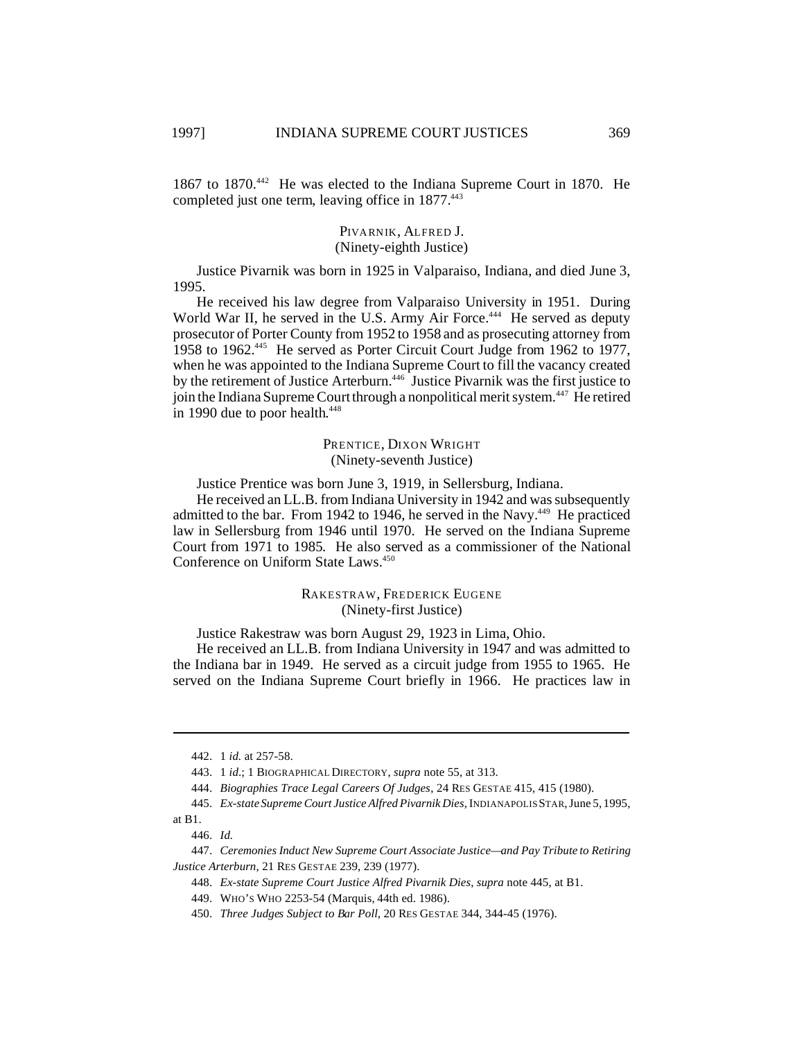1867 to 1870.<sup>442</sup> He was elected to the Indiana Supreme Court in 1870. He completed just one term, leaving office in 1877.<sup>443</sup>

#### PIVARNIK, ALFRED J. (Ninety-eighth Justice)

Justice Pivarnik was born in 1925 in Valparaiso, Indiana, and died June 3, 1995.

He received his law degree from Valparaiso University in 1951. During World War II, he served in the U.S. Army Air Force.<sup>444</sup> He served as deputy prosecutor of Porter County from 1952 to 1958 and as prosecuting attorney from 1958 to 1962.<sup>445</sup> He served as Porter Circuit Court Judge from 1962 to 1977, when he was appointed to the Indiana Supreme Court to fill the vacancy created by the retirement of Justice Arterburn.<sup>446</sup> Justice Pivarnik was the first justice to join the Indiana Supreme Court through a nonpolitical merit system.<sup>447</sup> He retired in 1990 due to poor health.<sup>448</sup>

## PRENTICE, DIXON WRIGHT (Ninety-seventh Justice)

Justice Prentice was born June 3, 1919, in Sellersburg, Indiana.

He received an LL.B. from Indiana University in 1942 and was subsequently admitted to the bar. From 1942 to 1946, he served in the Navy.<sup>449</sup> He practiced law in Sellersburg from 1946 until 1970. He served on the Indiana Supreme Court from 1971 to 1985. He also served as a commissioner of the National Conference on Uniform State Laws.<sup>450</sup>

> RAKESTRAW, FREDERICK EUGENE (Ninety-first Justice)

Justice Rakestraw was born August 29, 1923 in Lima, Ohio.

He received an LL.B. from Indiana University in 1947 and was admitted to the Indiana bar in 1949. He served as a circuit judge from 1955 to 1965. He served on the Indiana Supreme Court briefly in 1966. He practices law in

<sup>442.</sup> 1 *id.* at 257-58.

<sup>443.</sup> 1 *id*.; 1 BIOGRAPHICAL DIRECTORY, *supra* note 55, at 313.

<sup>444.</sup> *Biographies Trace Legal Careers Of Judges*, 24 RES GESTAE 415, 415 (1980).

<sup>445.</sup> *Ex-state Supreme Court Justice Alfred Pivarnik Dies*, INDIANAPOLIS STAR, June 5, 1995,

at B1.

<sup>446.</sup> *Id.*

<sup>447.</sup> *Ceremonies Induct New Supreme Court Associate Justice—and Pay Tribute to Retiring Justice Arterburn*, 21 RES GESTAE 239, 239 (1977).

<sup>448.</sup> *Ex-state Supreme Court Justice Alfred Pivarnik Dies*, *supra* note 445, at B1.

<sup>449.</sup> WHO'S WHO 2253-54 (Marquis, 44th ed. 1986).

<sup>450.</sup> *Three Judges Subject to Bar Poll*, 20 RES GESTAE 344, 344-45 (1976).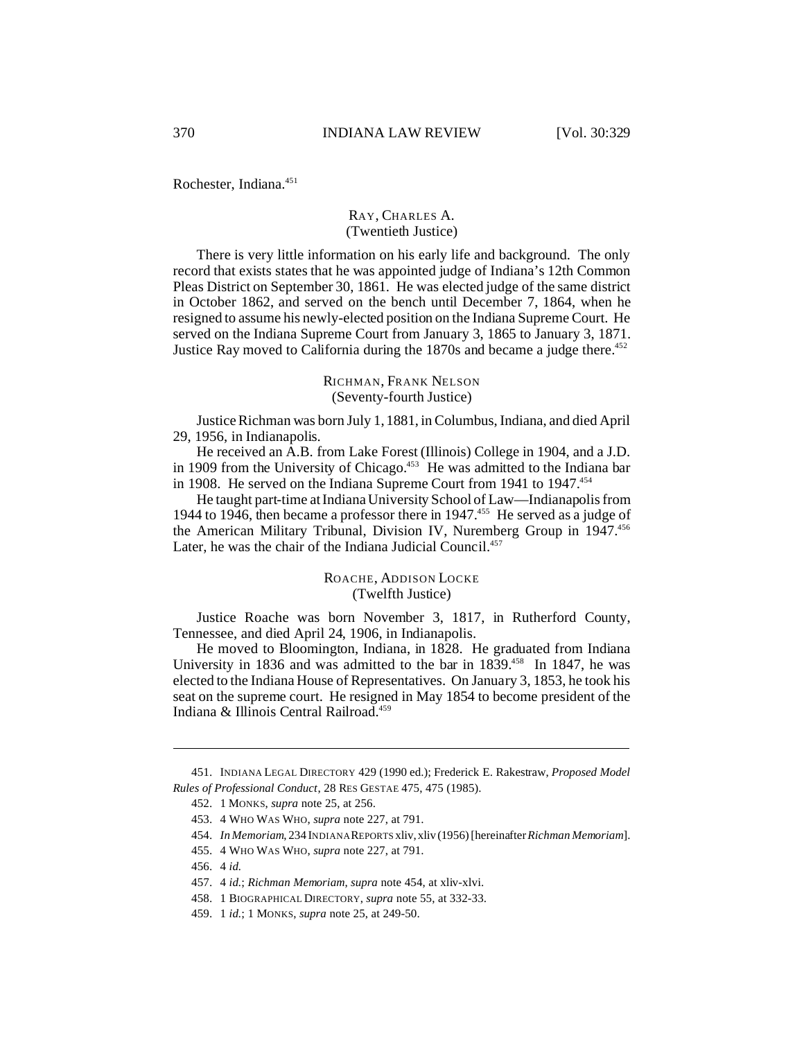Rochester, Indiana.<sup>451</sup>

## RAY, CHARLES A. (Twentieth Justice)

There is very little information on his early life and background. The only record that exists states that he was appointed judge of Indiana's 12th Common Pleas District on September 30, 1861. He was elected judge of the same district in October 1862, and served on the bench until December 7, 1864, when he resigned to assume his newly-elected position on the Indiana Supreme Court. He served on the Indiana Supreme Court from January 3, 1865 to January 3, 1871. Justice Ray moved to California during the  $1870s$  and became a judge there.<sup>452</sup>

## RICHMAN, FRANK NELSON (Seventy-fourth Justice)

Justice Richman was born July 1, 1881, in Columbus, Indiana, and died April 29, 1956, in Indianapolis.

He received an A.B. from Lake Forest (Illinois) College in 1904, and a J.D. in 1909 from the University of Chicago.<sup>453</sup> He was admitted to the Indiana bar in 1908. He served on the Indiana Supreme Court from 1941 to 1947.<sup>454</sup>

He taught part-time at Indiana University School of Law—Indianapolis from 1944 to 1946, then became a professor there in 1947.<sup>455</sup> He served as a judge of the American Military Tribunal, Division IV, Nuremberg Group in 1947.<sup>456</sup> Later, he was the chair of the Indiana Judicial Council.<sup>457</sup>

## ROACHE, ADDISON LOCKE (Twelfth Justice)

Justice Roache was born November 3, 1817, in Rutherford County, Tennessee, and died April 24, 1906, in Indianapolis.

He moved to Bloomington, Indiana, in 1828. He graduated from Indiana University in 1836 and was admitted to the bar in 1839.<sup>458</sup> In 1847, he was elected to the Indiana House of Representatives. On January 3, 1853, he took his seat on the supreme court. He resigned in May 1854 to become president of the Indiana & Illinois Central Railroad.459

<sup>451.</sup> INDIANA LEGAL DIRECTORY 429 (1990 ed.); Frederick E. Rakestraw, *Proposed Model Rules of Professional Conduct*, 28 RES GESTAE 475, 475 (1985).

<sup>452.</sup> 1 MONKS, *supra* note 25, at 256.

<sup>453.</sup> 4 WHO WAS WHO, *supra* note 227, at 791.

<sup>454.</sup> *In Memoriam*, 234 INDIANA REPORTS xliv, xliv (1956) [hereinafter *Richman Memoriam*].

<sup>455.</sup> 4 WHO WAS WHO, *supra* note 227, at 791.

<sup>456.</sup> 4 *id.*

<sup>457.</sup> 4 *id.*; *Richman Memoriam*, *supra* note 454, at xliv-xlvi.

<sup>458.</sup> 1 BIOGRAPHICAL DIRECTORY, *supra* note 55, at 332-33.

<sup>459.</sup> 1 *id.*; 1 MONKS, *supra* note 25, at 249-50.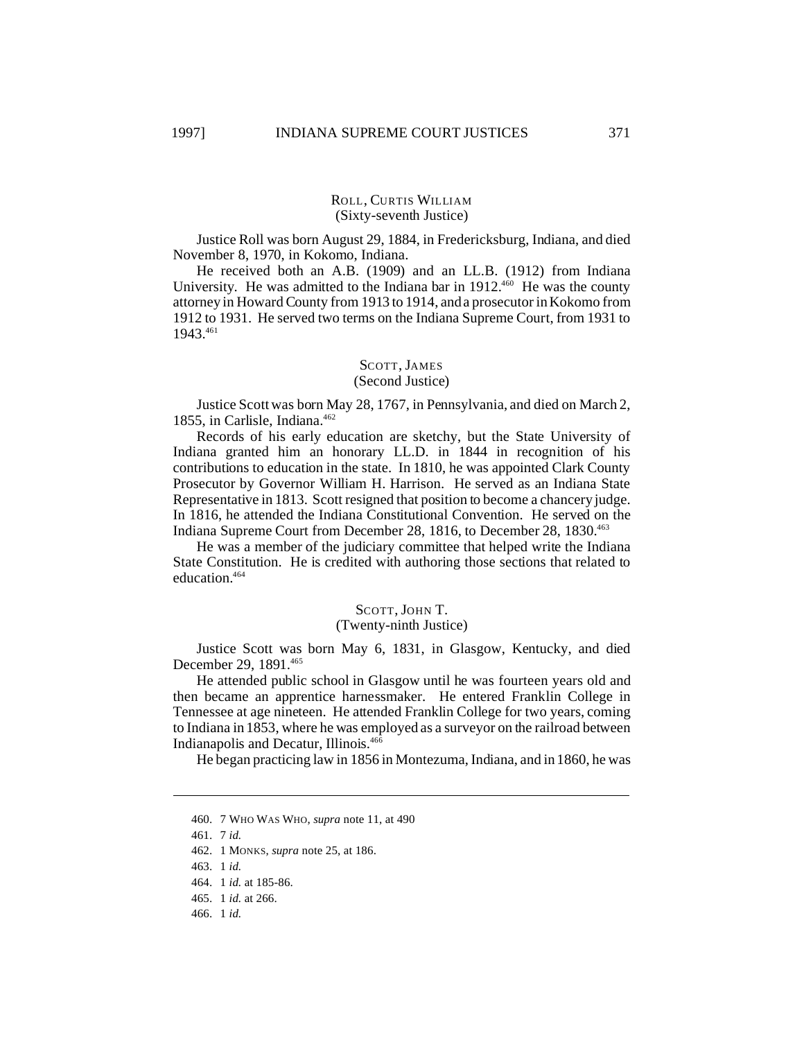## ROLL, CURTIS WILLIAM (Sixty-seventh Justice)

Justice Roll was born August 29, 1884, in Fredericksburg, Indiana, and died November 8, 1970, in Kokomo, Indiana.

He received both an A.B. (1909) and an LL.B. (1912) from Indiana University. He was admitted to the Indiana bar in  $1912^{460}$  He was the county attorney in Howard County from 1913 to 1914, and a prosecutor in Kokomo from 1912 to 1931. He served two terms on the Indiana Supreme Court, from 1931 to 1943.461

#### SCOTT, JAMES (Second Justice)

Justice Scott was born May 28, 1767, in Pennsylvania, and died on March 2, 1855, in Carlisle, Indiana.<sup>462</sup>

Records of his early education are sketchy, but the State University of Indiana granted him an honorary LL.D. in 1844 in recognition of his contributions to education in the state. In 1810, he was appointed Clark County Prosecutor by Governor William H. Harrison. He served as an Indiana State Representative in 1813. Scott resigned that position to become a chancery judge. In 1816, he attended the Indiana Constitutional Convention. He served on the Indiana Supreme Court from December 28, 1816, to December 28, 1830.<sup>463</sup>

He was a member of the judiciary committee that helped write the Indiana State Constitution. He is credited with authoring those sections that related to education.<sup>464</sup>

#### SCOTT, JOHN T.

## (Twenty-ninth Justice)

Justice Scott was born May 6, 1831, in Glasgow, Kentucky, and died December 29, 1891.<sup>465</sup>

He attended public school in Glasgow until he was fourteen years old and then became an apprentice harnessmaker. He entered Franklin College in Tennessee at age nineteen. He attended Franklin College for two years, coming to Indiana in 1853, where he was employed as a surveyor on the railroad between Indianapolis and Decatur, Illinois.<sup>466</sup>

He began practicing law in 1856 in Montezuma, Indiana, and in 1860, he was

<sup>460.</sup> 7 WHO WAS WHO, *supra* note 11, at 490

<sup>461.</sup> 7 *id.*

<sup>462.</sup> 1 MONKS, *supra* note 25, at 186.

<sup>463.</sup> 1 *id.*

<sup>464.</sup> 1 *id.* at 185-86.

<sup>465.</sup> 1 *id.* at 266.

<sup>466.</sup> 1 *id.*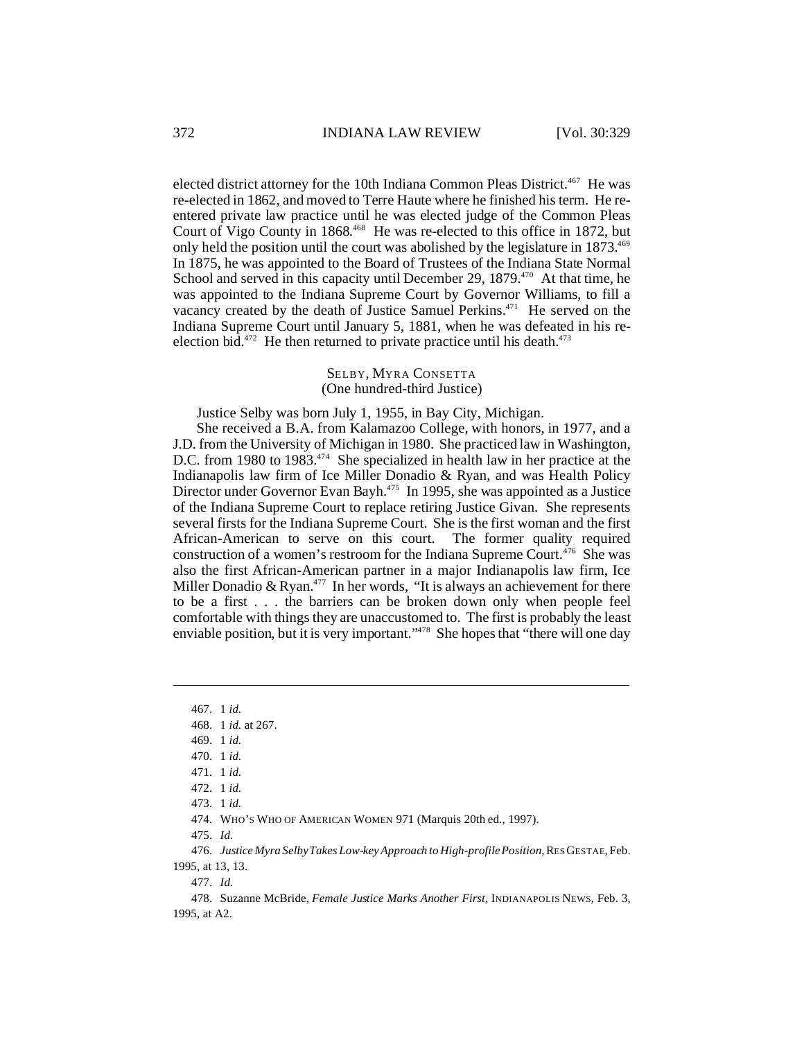elected district attorney for the 10th Indiana Common Pleas District.<sup>467</sup> He was re-elected in 1862, and moved to Terre Haute where he finished his term. He reentered private law practice until he was elected judge of the Common Pleas Court of Vigo County in 1868.<sup>468</sup> He was re-elected to this office in 1872, but only held the position until the court was abolished by the legislature in 1873.<sup>469</sup> In 1875, he was appointed to the Board of Trustees of the Indiana State Normal School and served in this capacity until December 29, 1879.<sup>470</sup> At that time, he was appointed to the Indiana Supreme Court by Governor Williams, to fill a vacancy created by the death of Justice Samuel Perkins.<sup>471</sup> He served on the Indiana Supreme Court until January 5, 1881, when he was defeated in his reelection bid.<sup>472</sup> He then returned to private practice until his death.<sup>473</sup>

## SELBY, MYRA CONSETTA (One hundred-third Justice)

Justice Selby was born July 1, 1955, in Bay City, Michigan.

She received a B.A. from Kalamazoo College, with honors, in 1977, and a J.D. from the University of Michigan in 1980. She practiced law in Washington, D.C. from 1980 to 1983.<sup>474</sup> She specialized in health law in her practice at the Indianapolis law firm of Ice Miller Donadio & Ryan, and was Health Policy Director under Governor Evan Bayh.<sup>475</sup> In 1995, she was appointed as a Justice of the Indiana Supreme Court to replace retiring Justice Givan. She represents several firsts for the Indiana Supreme Court. She is the first woman and the first African-American to serve on this court. The former quality required construction of a women's restroom for the Indiana Supreme Court.<sup>476</sup> She was also the first African-American partner in a major Indianapolis law firm, Ice Miller Donadio & Ryan.<sup>477</sup> In her words, "It is always an achievement for there to be a first . . . the barriers can be broken down only when people feel comfortable with things they are unaccustomed to. The first is probably the least enviable position, but it is very important."<sup>478</sup> She hopes that "there will one day

475. *Id.*

476. *Justice Myra Selby Takes Low-key Approach to High-profile Position,* RES GESTAE, Feb. 1995, at 13, 13.

477. *Id.*

478. Suzanne McBride, *Female Justice Marks Another First*, INDIANAPOLIS NEWS, Feb. 3, 1995, at A2.

<sup>467.</sup> 1 *id.*

<sup>468.</sup> 1 *id.* at 267.

<sup>469.</sup> 1 *id.*

<sup>470.</sup> 1 *id.*

<sup>471.</sup> 1 *id.*

<sup>472.</sup> 1 *id.*

<sup>473.</sup> 1 *id.*

<sup>474.</sup> WHO'S WHO OF AMERICAN WOMEN 971 (Marquis 20th ed., 1997).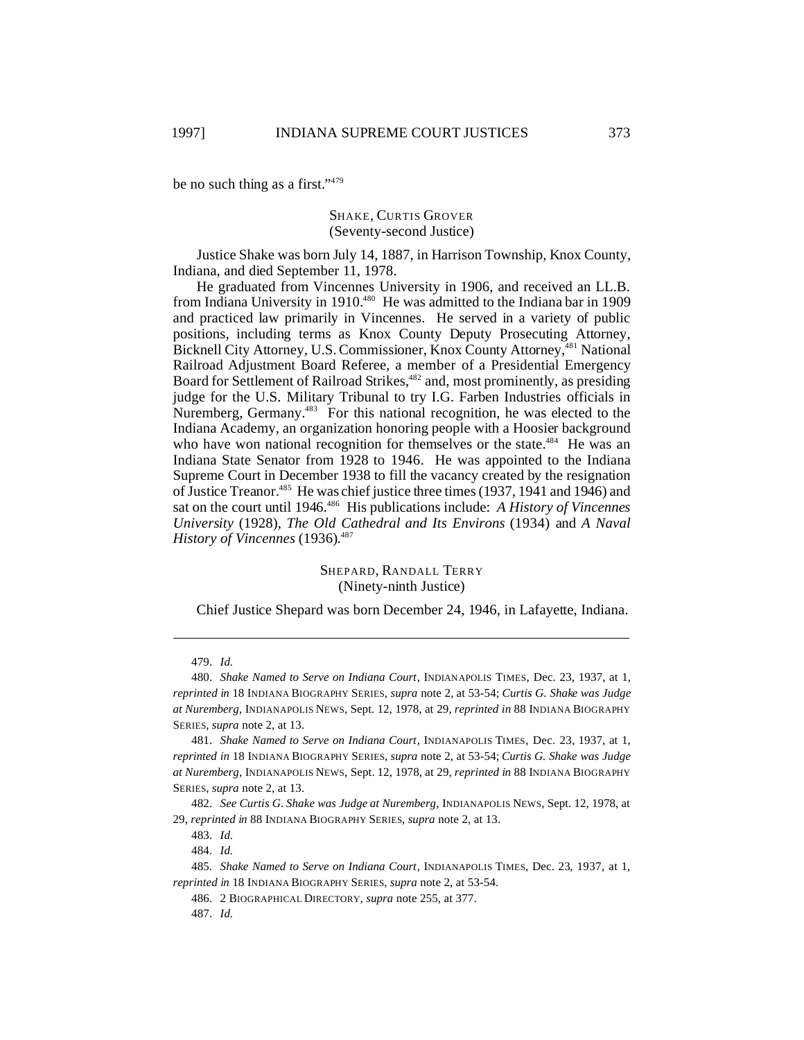be no such thing as a first." 479

## SHAKE, CURTIS GROVER (Seventy-second Justice)

Justice Shake was born July 14, 1887, in Harrison Township, Knox County, Indiana, and died September 11, 1978.

He graduated from Vincennes University in 1906, and received an LL.B. from Indiana University in 1910.<sup>480</sup> He was admitted to the Indiana bar in 1909 and practiced law primarily in Vincennes. He served in a variety of public positions, including terms as Knox County Deputy Prosecuting Attorney, Bicknell City Attorney, U.S. Commissioner, Knox County Attorney,<sup>481</sup> National Railroad Adjustment Board Referee, a member of a Presidential Emergency Board for Settlement of Railroad Strikes,<sup>482</sup> and, most prominently, as presiding judge for the U.S. Military Tribunal to try I.G. Farben Industries officials in Nuremberg, Germany.<sup>483</sup> For this national recognition, he was elected to the Indiana Academy, an organization honoring people with a Hoosier background who have won national recognition for themselves or the state.<sup>484</sup> He was an Indiana State Senator from 1928 to 1946. He was appointed to the Indiana Supreme Court in December 1938 to fill the vacancy created by the resignation of Justice Treanor.<sup>485</sup> He was chief justice three times (1937, 1941 and 1946) and sat on the court until 1946.<sup>486</sup> His publications include: *A History of Vincennes University* (1928), *The Old Cathedral and Its Environs* (1934) and *A Naval History of Vincennes* (1936). 487

> SHEPARD, RANDALL TERRY (Ninety-ninth Justice)

Chief Justice Shepard was born December 24, 1946, in Lafayette, Indiana.

482. *See Curtis G. Shake was Judge at Nuremberg*, INDIANAPOLIS NEWS, Sept. 12, 1978, at 29, *reprinted in* 88 INDIANA BIOGRAPHY SERIES, *supra* note 2, at 13.

484. *Id.*

<sup>479.</sup> *Id.*

<sup>480.</sup> *Shake Named to Serve on Indiana Court*, INDIANAPOLIS TIMES, Dec. 23, 1937, at 1, *reprinted in* 18 INDIANA BIOGRAPHY SERIES, *supra* note 2, at 53-54; *Curtis G. Shake was Judge at Nuremberg*, INDIANAPOLIS NEWS, Sept. 12, 1978, at 29, *reprinted in* 88 INDIANA BIOGRAPHY SERIES, *supra* note 2, at 13.

<sup>481.</sup> *Shake Named to Serve on Indiana Court*, INDIANAPOLIS TIMES, Dec. 23, 1937, at 1, *reprinted in* 18 INDIANA BIOGRAPHY SERIES, *supra* note 2, at 53-54; *Curtis G. Shake was Judge at Nuremberg*, INDIANAPOLIS NEWS, Sept. 12, 1978, at 29, *reprinted in* 88 INDIANA BIOGRAPHY SERIES, *supra* note 2, at 13.

<sup>483.</sup> *Id.*

<sup>485.</sup> *Shake Named to Serve on Indiana Court*, INDIANAPOLIS TIMES, Dec. 23, 1937, at 1, *reprinted in* 18 INDIANA BIOGRAPHY SERIES, *supra* note 2, at 53-54.

<sup>486.</sup> 2 BIOGRAPHICAL DIRECTORY, *supra* note 255, at 377.

<sup>487.</sup> *Id.*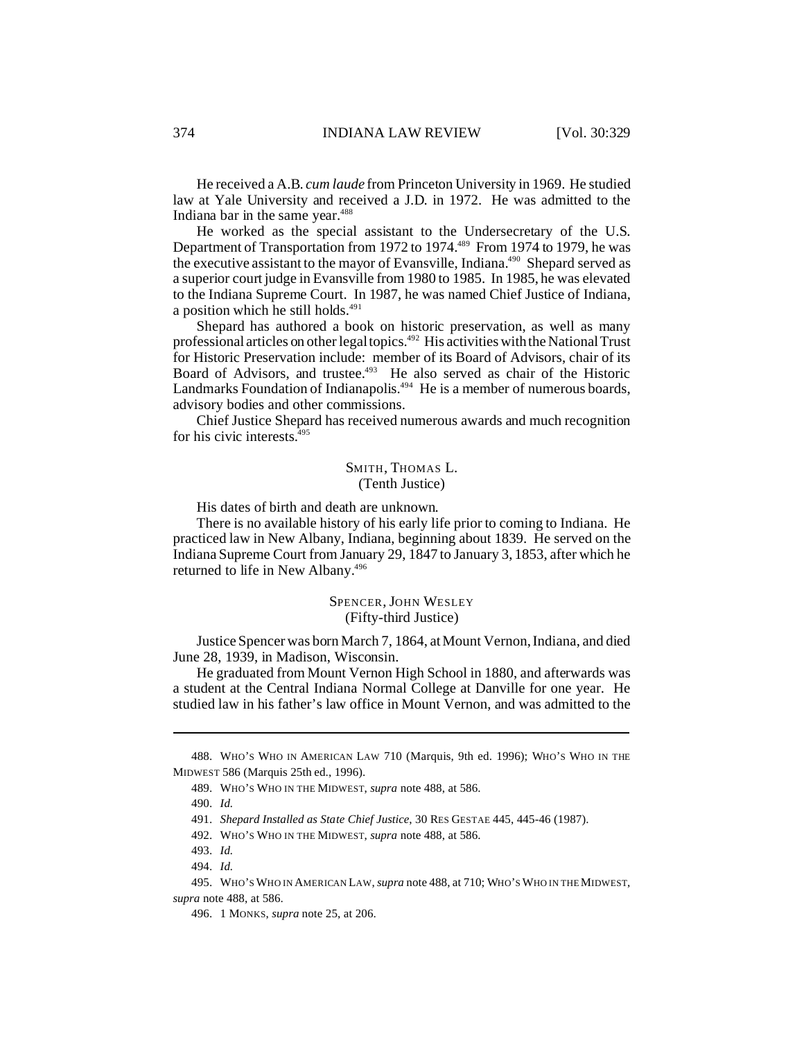He received a A.B. *cum laude* from Princeton University in 1969. He studied law at Yale University and received a J.D. in 1972. He was admitted to the Indiana bar in the same year.<sup>488</sup>

He worked as the special assistant to the Undersecretary of the U.S. Department of Transportation from 1972 to 1974.<sup>489</sup> From 1974 to 1979, he was the executive assistant to the mayor of Evansville, Indiana.<sup>490</sup> Shepard served as a superior court judge in Evansville from 1980 to 1985. In 1985, he was elevated to the Indiana Supreme Court. In 1987, he was named Chief Justice of Indiana, a position which he still holds.<sup>491</sup>

Shepard has authored a book on historic preservation, as well as many professional articles on other legal topics.<sup>492</sup> His activities with the National Trust for Historic Preservation include: member of its Board of Advisors, chair of its Board of Advisors, and trustee.<sup>493</sup> He also served as chair of the Historic Landmarks Foundation of Indianapolis.<sup>494</sup> He is a member of numerous boards, advisory bodies and other commissions.

Chief Justice Shepard has received numerous awards and much recognition for his civic interests. $495$ 

## SMITH, THOMAS L. (Tenth Justice)

His dates of birth and death are unknown.

There is no available history of his early life prior to coming to Indiana. He practiced law in New Albany, Indiana, beginning about 1839. He served on the Indiana Supreme Court from January 29, 1847 to January 3, 1853, after which he returned to life in New Albany.<sup>496</sup>

### SPENCER, JOHN WESLEY (Fifty-third Justice)

Justice Spencer was born March 7, 1864, at Mount Vernon, Indiana, and died June 28, 1939, in Madison, Wisconsin.

He graduated from Mount Vernon High School in 1880, and afterwards was a student at the Central Indiana Normal College at Danville for one year. He studied law in his father's law office in Mount Vernon, and was admitted to the

488. WHO'S WHO IN AMERICAN LAW 710 (Marquis, 9th ed. 1996); WHO'S WHO IN THE MIDWEST 586 (Marquis 25th ed., 1996).

<sup>489.</sup> WHO'S WHO IN THE MIDWEST, *supra* note 488, at 586.

<sup>490.</sup> *Id.*

<sup>491.</sup> *Shepard Installed as State Chief Justice*, 30 RES GESTAE 445, 445-46 (1987).

<sup>492.</sup> WHO'S WHO IN THE MIDWEST, *supra* note 488, at 586.

<sup>493.</sup> *Id.*

<sup>494.</sup> *Id.*

<sup>495.</sup> WHO'SWHO IN AMERICAN LAW, *supra* note 488, at 710; WHO'S WHO IN THE MIDWEST, *supra* note 488, at 586.

<sup>496.</sup> 1 MONKS, *supra* note 25, at 206.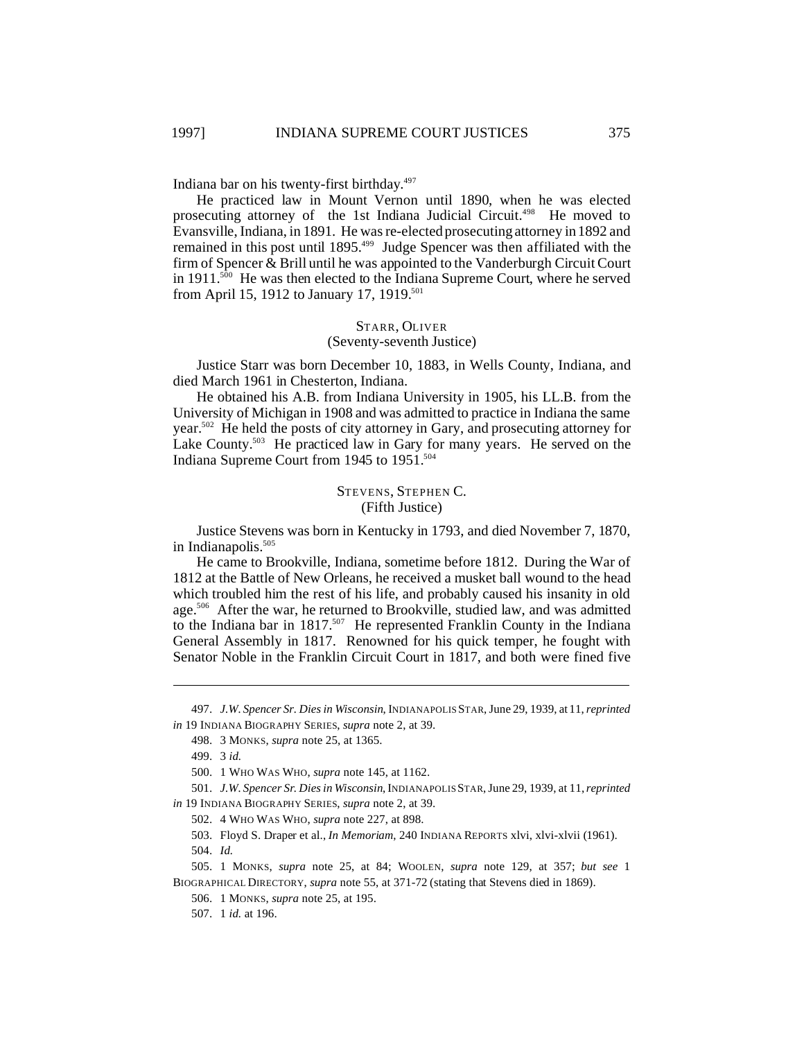Indiana bar on his twenty-first birthday. 497

He practiced law in Mount Vernon until 1890, when he was elected prosecuting attorney of the 1st Indiana Judicial Circuit.<sup>498</sup> He moved to Evansville, Indiana, in 1891. He was re-elected prosecuting attorney in 1892 and remained in this post until 1895.<sup>499</sup> Judge Spencer was then affiliated with the firm of Spencer & Brill until he was appointed to the Vanderburgh Circuit Court in  $1911$ <sup>500</sup> He was then elected to the Indiana Supreme Court, where he served from April 15, 1912 to January 17, 1919.<sup>501</sup>

# STARR, OLIVER

#### (Seventy-seventh Justice)

Justice Starr was born December 10, 1883, in Wells County, Indiana, and died March 1961 in Chesterton, Indiana.

He obtained his A.B. from Indiana University in 1905, his LL.B. from the University of Michigan in 1908 and was admitted to practice in Indiana the same year.<sup>502</sup> He held the posts of city attorney in Gary, and prosecuting attorney for Lake County.<sup>503</sup> He practiced law in Gary for many years. He served on the Indiana Supreme Court from 1945 to 1951.<sup>504</sup>

## STEVENS, STEPHEN C. (Fifth Justice)

Justice Stevens was born in Kentucky in 1793, and died November 7, 1870, in Indianapolis.<sup>505</sup>

He came to Brookville, Indiana, sometime before 1812. During the War of 1812 at the Battle of New Orleans, he received a musket ball wound to the head which troubled him the rest of his life, and probably caused his insanity in old age.<sup>506</sup> After the war, he returned to Brookville, studied law, and was admitted to the Indiana bar in 1817.<sup>507</sup> He represented Franklin County in the Indiana General Assembly in 1817. Renowned for his quick temper, he fought with Senator Noble in the Franklin Circuit Court in 1817, and both were fined five

<sup>497.</sup> *J.W. Spencer Sr. Dies in Wisconsin*, INDIANAPOLIS STAR, June 29, 1939, at 11, *reprinted in* 19 INDIANA BIOGRAPHY SERIES, *supra* note 2, at 39.

<sup>498.</sup> 3 MONKS, *supra* note 25, at 1365.

<sup>499.</sup> 3 *id.*

<sup>500.</sup> 1 WHO WAS WHO, *supra* note 145, at 1162.

<sup>501.</sup> *J.W. Spencer Sr. Dies in Wisconsin*, INDIANAPOLIS STAR, June 29, 1939, at 11, *reprinted in* 19 INDIANA BIOGRAPHY SERIES, *supra* note 2, at 39.

<sup>502.</sup> 4 WHO WAS WHO, *supra* note 227, at 898.

<sup>503.</sup> Floyd S. Draper et al., *In Memoriam*, 240 INDIANA REPORTS xlvi, xlvi-xlvii (1961). 504. *Id.*

<sup>505.</sup> 1 MONKS, *supra* note 25, at 84; WOOLEN, *supra* note 129, at 357; *but see* 1 BIOGRAPHICAL DIRECTORY, *supra* note 55, at 371-72 (stating that Stevens died in 1869).

<sup>506.</sup> 1 MONKS, *supra* note 25, at 195.

<sup>507.</sup> 1 *id.* at 196.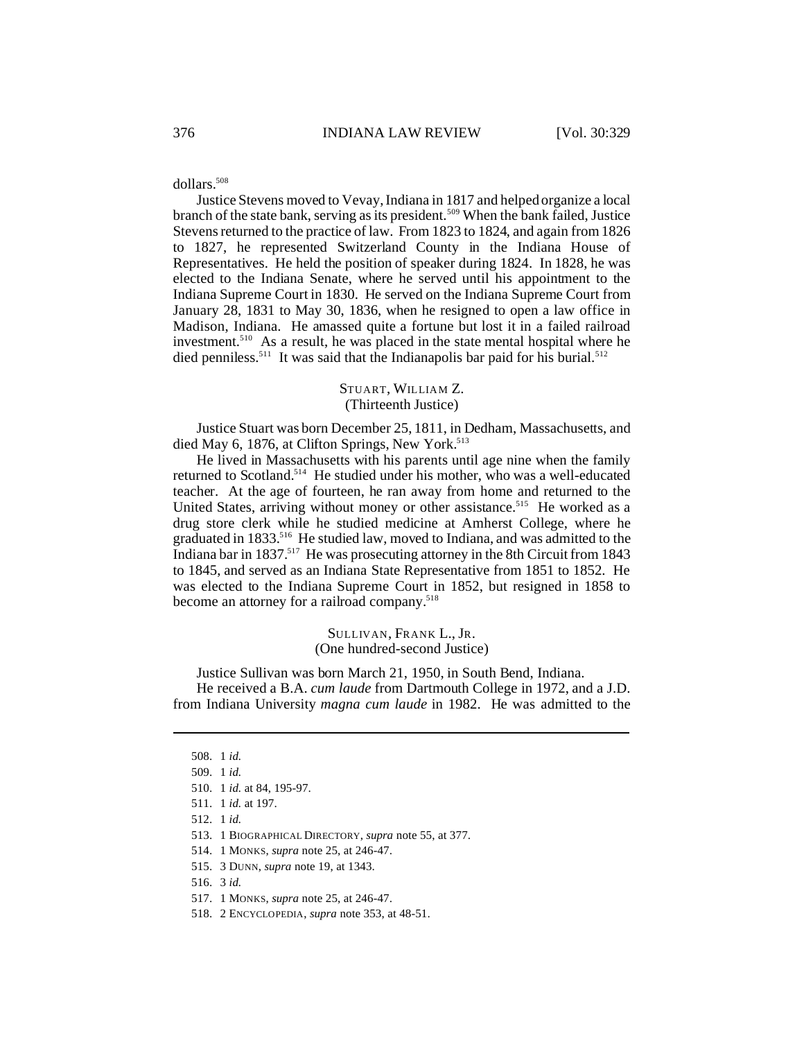dollars.<sup>508</sup>

Justice Stevens moved to Vevay, Indiana in 1817 and helped organize a local branch of the state bank, serving as its president.<sup>509</sup> When the bank failed, Justice Stevens returned to the practice of law. From 1823 to 1824, and again from 1826 to 1827, he represented Switzerland County in the Indiana House of Representatives. He held the position of speaker during 1824. In 1828, he was elected to the Indiana Senate, where he served until his appointment to the Indiana Supreme Court in 1830. He served on the Indiana Supreme Court from January 28, 1831 to May 30, 1836, when he resigned to open a law office in Madison, Indiana. He amassed quite a fortune but lost it in a failed railroad investment.<sup>510</sup> As a result, he was placed in the state mental hospital where he died penniless.<sup>511</sup> It was said that the Indianapolis bar paid for his burial.<sup>512</sup>

## STUART, WILLIAM Z. (Thirteenth Justice)

Justice Stuart was born December 25, 1811, in Dedham, Massachusetts, and died May 6, 1876, at Clifton Springs, New York. $513$ 

He lived in Massachusetts with his parents until age nine when the family returned to Scotland.<sup>514</sup> He studied under his mother, who was a well-educated teacher. At the age of fourteen, he ran away from home and returned to the United States, arriving without money or other assistance.<sup>515</sup> He worked as a drug store clerk while he studied medicine at Amherst College, where he graduated in 1833.<sup>516</sup> He studied law, moved to Indiana, and was admitted to the Indiana bar in 1837.<sup>517</sup> He was prosecuting attorney in the 8th Circuit from 1843 to 1845, and served as an Indiana State Representative from 1851 to 1852. He was elected to the Indiana Supreme Court in 1852, but resigned in 1858 to become an attorney for a railroad company.<sup>518</sup>

> SULLIVAN, FRANK L., JR. (One hundred-second Justice)

Justice Sullivan was born March 21, 1950, in South Bend, Indiana. He received a B.A. *cum laude* from Dartmouth College in 1972, and a J.D. from Indiana University *magna cum laude* in 1982. He was admitted to the

513. 1 BIOGRAPHICAL DIRECTORY, *supra* note 55, at 377.

<sup>508.</sup> 1 *id.*

<sup>509.</sup> 1 *id.*

<sup>510.</sup> 1 *id.* at 84, 195-97.

<sup>511.</sup> 1 *id.* at 197.

<sup>512.</sup> 1 *id.*

<sup>514.</sup> 1 MONKS, *supra* note 25, at 246-47.

<sup>515.</sup> 3 DUNN, *supra* note 19, at 1343.

<sup>516.</sup> 3 *id.*

<sup>517.</sup> 1 MONKS, *supra* note 25, at 246-47.

<sup>518.</sup> 2 ENCYCLOPEDIA, *supra* note 353, at 48-51.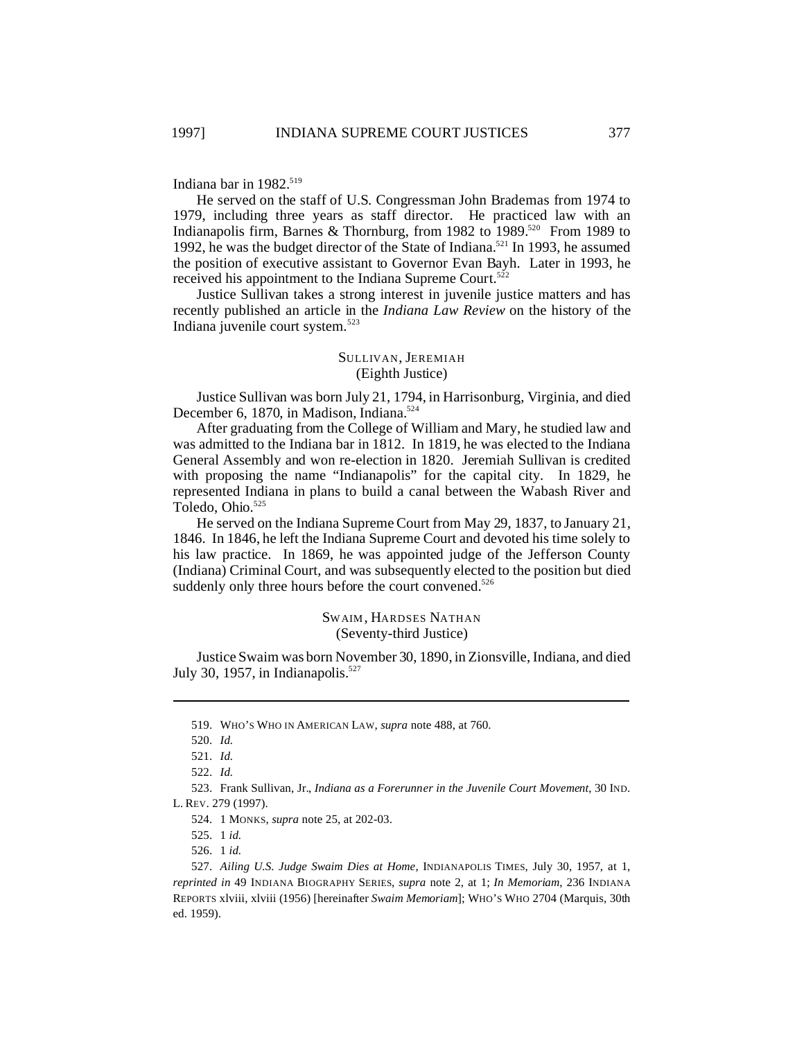Indiana bar in 1982.<sup>519</sup>

He served on the staff of U.S. Congressman John Brademas from 1974 to 1979, including three years as staff director. He practiced law with an Indianapolis firm, Barnes & Thornburg, from 1982 to  $1989^{520}$  From 1989 to 1992, he was the budget director of the State of Indiana.<sup>521</sup> In 1993, he assumed the position of executive assistant to Governor Evan Bayh. Later in 1993, he received his appointment to the Indiana Supreme Court.<sup>522</sup>

Justice Sullivan takes a strong interest in juvenile justice matters and has recently published an article in the *Indiana Law Review* on the history of the Indiana juvenile court system.<sup>523</sup>

## SULLIVAN, JEREMIAH (Eighth Justice)

Justice Sullivan was born July 21, 1794, in Harrisonburg, Virginia, and died December 6, 1870, in Madison, Indiana.<sup>524</sup>

After graduating from the College of William and Mary, he studied law and was admitted to the Indiana bar in 1812. In 1819, he was elected to the Indiana General Assembly and won re-election in 1820. Jeremiah Sullivan is credited with proposing the name "Indianapolis" for the capital city. In 1829, he represented Indiana in plans to build a canal between the Wabash River and Toledo, Ohio.<sup>525</sup>

He served on the Indiana Supreme Court from May 29, 1837, to January 21, 1846. In 1846, he left the Indiana Supreme Court and devoted his time solely to his law practice. In 1869, he was appointed judge of the Jefferson County (Indiana) Criminal Court, and was subsequently elected to the position but died suddenly only three hours before the court convened.<sup>526</sup>

#### SWAIM , HARDSES NATHAN (Seventy-third Justice)

Justice Swaim was born November 30, 1890, in Zionsville, Indiana, and died July 30, 1957, in Indianapolis. $527$ 

523. Frank Sullivan, Jr., *Indiana as a Forerunner in the Juvenile Court Movement*, 30 IND. L. REV. 279 (1997).

526. 1 *id.*

<sup>519.</sup> WHO'S WHO IN AMERICAN LAW, *supra* note 488, at 760.

<sup>520.</sup> *Id.*

<sup>521.</sup> *Id.*

<sup>522.</sup> *Id.*

<sup>524.</sup> 1 MONKS, *supra* note 25, at 202-03.

<sup>525.</sup> 1 *id.*

<sup>527.</sup> *Ailing U.S. Judge Swaim Dies at Home*, INDIANAPOLIS TIMES, July 30, 1957, at 1, *reprinted in* 49 INDIANA BIOGRAPHY SERIES, *supra* note 2, at 1; *In Memoriam*, 236 INDIANA REPORTS xlviii, xlviii (1956) [hereinafter *Swaim Memoriam*]; WHO'S WHO 2704 (Marquis, 30th ed. 1959).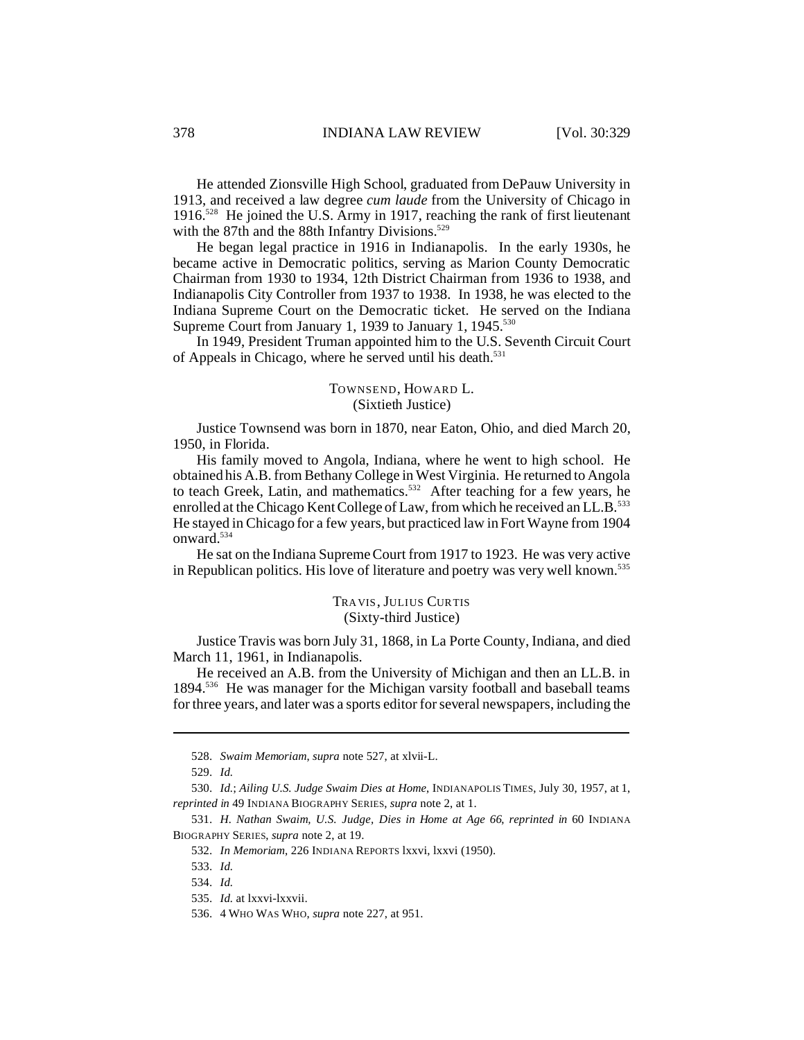He attended Zionsville High School, graduated from DePauw University in 1913, and received a law degree *cum laude* from the University of Chicago in 1916.<sup>528</sup> He joined the U.S. Army in 1917, reaching the rank of first lieutenant with the 87th and the 88th Infantry Divisions. $529$ 

He began legal practice in 1916 in Indianapolis. In the early 1930s, he became active in Democratic politics, serving as Marion County Democratic Chairman from 1930 to 1934, 12th District Chairman from 1936 to 1938, and Indianapolis City Controller from 1937 to 1938. In 1938, he was elected to the Indiana Supreme Court on the Democratic ticket. He served on the Indiana Supreme Court from January 1, 1939 to January 1, 1945.<sup>530</sup>

In 1949, President Truman appointed him to the U.S. Seventh Circuit Court of Appeals in Chicago, where he served until his death.<sup>531</sup>

## TOWNSEND, HOWARD L. (Sixtieth Justice)

Justice Townsend was born in 1870, near Eaton, Ohio, and died March 20, 1950, in Florida.

His family moved to Angola, Indiana, where he went to high school. He obtained his A.B. from Bethany College in West Virginia. He returned to Angola to teach Greek, Latin, and mathematics.<sup>532</sup> After teaching for a few years, he enrolled at the Chicago Kent College of Law, from which he received an LL.B.<sup>533</sup> He stayed in Chicago for a few years, but practiced law in Fort Wayne from 1904 onward.<sup>534</sup>

He sat on the Indiana Supreme Court from 1917 to 1923. He was very active in Republican politics. His love of literature and poetry was very well known.<sup>535</sup>

### TRAVIS, JULIUS CURTIS (Sixty-third Justice)

Justice Travis was born July 31, 1868, in La Porte County, Indiana, and died March 11, 1961, in Indianapolis.

He received an A.B. from the University of Michigan and then an LL.B. in 1894.<sup>536</sup> He was manager for the Michigan varsity football and baseball teams for three years, and later was a sports editor for several newspapers, including the

<sup>528.</sup> *Swaim Memoriam*, *supra* note 527, at xlvii-L.

<sup>529.</sup> *Id.*

<sup>530.</sup> *Id.*; *Ailing U.S. Judge Swaim Dies at Home*, INDIANAPOLIS TIMES, July 30, 1957, at 1, *reprinted in* 49 INDIANA BIOGRAPHY SERIES, *supra* note 2, at 1.

<sup>531.</sup> *H. Nathan Swaim, U.S. Judge, Dies in Home at Age 66*, *reprinted in* 60 INDIANA BIOGRAPHY SERIES, *supra* note 2, at 19.

<sup>532.</sup> *In Memoriam*, 226 INDIANA REPORTS lxxvi, lxxvi (1950).

<sup>533.</sup> *Id.*

<sup>534.</sup> *Id.*

<sup>535.</sup> *Id.* at lxxvi-lxxvii.

<sup>536.</sup> 4 WHO WAS WHO, *supra* note 227, at 951.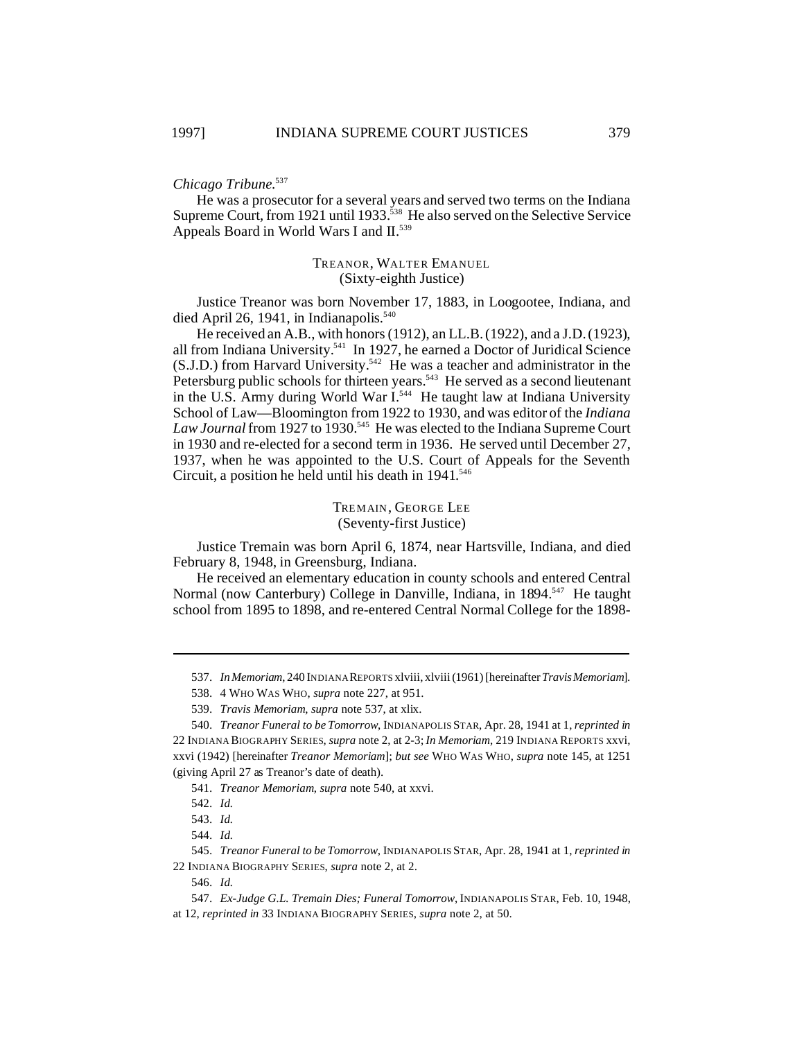## *Chicago Tribune*. 537

He was a prosecutor for a several years and served two terms on the Indiana Supreme Court, from 1921 until 1933.<sup>538</sup> He also served on the Selective Service Appeals Board in World Wars I and II.<sup>539</sup>

## TREANOR, WALTER EMANUEL (Sixty-eighth Justice)

Justice Treanor was born November 17, 1883, in Loogootee, Indiana, and died April 26, 1941, in Indianapolis.<sup>540</sup>

He received an A.B., with honors (1912), an LL.B. (1922), and a J.D. (1923), all from Indiana University.<sup>541</sup> In 1927, he earned a Doctor of Juridical Science (S.J.D.) from Harvard University.<sup>542</sup> He was a teacher and administrator in the Petersburg public schools for thirteen years.<sup>543</sup> He served as a second lieutenant in the U.S. Army during World War I.<sup>544</sup> He taught law at Indiana University School of Law—Bloomington from 1922 to 1930, and was editor of the *Indiana* Law Journal from 1927 to 1930.<sup>545</sup> He was elected to the Indiana Supreme Court in 1930 and re-elected for a second term in 1936. He served until December 27, 1937, when he was appointed to the U.S. Court of Appeals for the Seventh Circuit, a position he held until his death in 1941. 546

> TREMAIN, GEORGE LEE (Seventy-first Justice)

Justice Tremain was born April 6, 1874, near Hartsville, Indiana, and died February 8, 1948, in Greensburg, Indiana.

He received an elementary education in county schools and entered Central Normal (now Canterbury) College in Danville, Indiana, in 1894.<sup>547</sup> He taught school from 1895 to 1898, and re-entered Central Normal College for the 1898-

<sup>537.</sup> *InMemoriam*, 240 INDIANA REPORTS xlviii, xlviii (1961) [hereinafter *TravisMemoriam*].

<sup>538.</sup> 4 WHO WAS WHO, *supra* note 227, at 951.

<sup>539.</sup> *Travis Memoriam*, *supra* note 537, at xlix.

<sup>540.</sup> *Treanor Funeral to be Tomorrow*, INDIANAPOLIS STAR, Apr. 28, 1941 at 1, *reprinted in* 22 INDIANA BIOGRAPHY SERIES, *supra* note 2, at 2-3;*In Memoriam*, 219 INDIANA REPORTS xxvi, xxvi (1942) [hereinafter *Treanor Memoriam*]; *but see* WHO WAS WHO, *supra* note 145, at 1251 (giving April 27 as Treanor's date of death).

<sup>541.</sup> *Treanor Memoriam*, *supra* note 540, at xxvi.

<sup>542.</sup> *Id.*

<sup>543.</sup> *Id.*

<sup>544.</sup> *Id.*

<sup>545.</sup> *Treanor Funeral to be Tomorrow*, INDIANAPOLIS STAR, Apr. 28, 1941 at 1, *reprinted in* 22 INDIANA BIOGRAPHY SERIES, *supra* note 2, at 2.

<sup>546.</sup> *Id.*

<sup>547.</sup> *Ex-Judge G.L. Tremain Dies; Funeral Tomorrow*, INDIANAPOLIS STAR, Feb. 10, 1948, at 12, *reprinted in* 33 INDIANA BIOGRAPHY SERIES, *supra* note 2, at 50.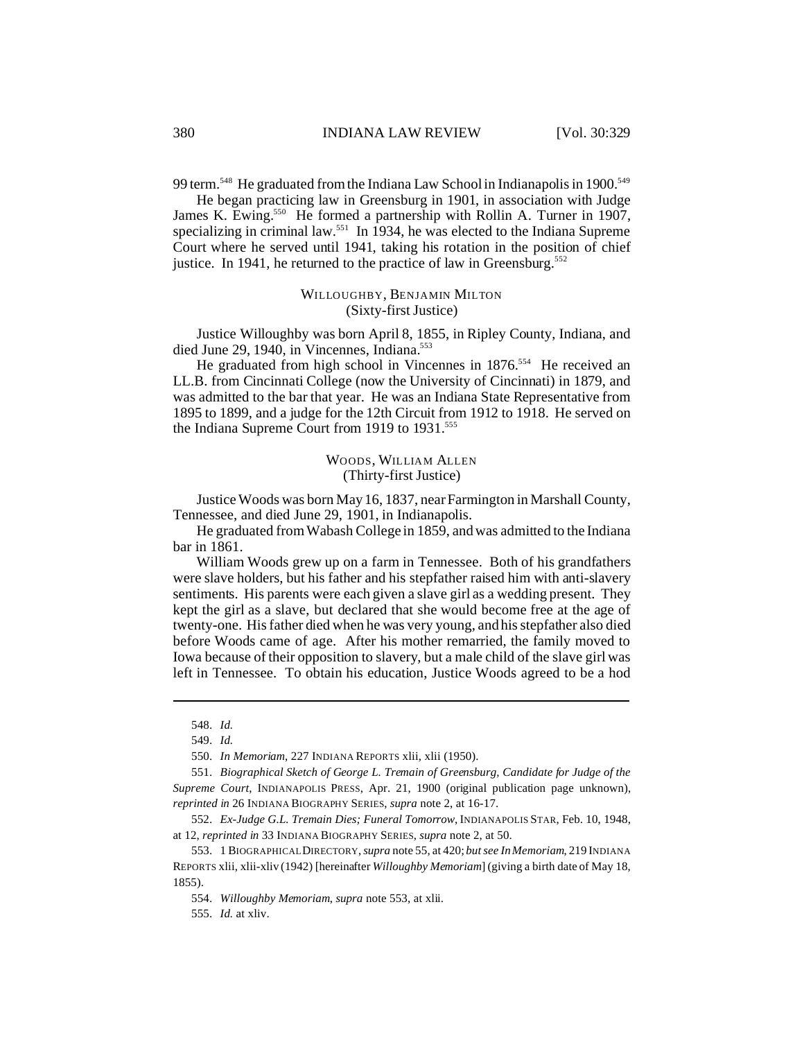99 term.<sup>548</sup> He graduated from the Indiana Law School in Indianapolis in 1900.<sup>549</sup>

He began practicing law in Greensburg in 1901, in association with Judge James K. Ewing.<sup>550</sup> He formed a partnership with Rollin A. Turner in 1907, specializing in criminal law.<sup>551</sup> In 1934, he was elected to the Indiana Supreme Court where he served until 1941, taking his rotation in the position of chief justice. In 1941, he returned to the practice of law in Greensburg.<sup>552</sup>

## WILLOUGHBY, BENJAMIN MILTON (Sixty-first Justice)

Justice Willoughby was born April 8, 1855, in Ripley County, Indiana, and died June 29, 1940, in Vincennes, Indiana.<sup>553</sup>

He graduated from high school in Vincennes in 1876.<sup>554</sup> He received an LL.B. from Cincinnati College (now the University of Cincinnati) in 1879, and was admitted to the bar that year. He was an Indiana State Representative from 1895 to 1899, and a judge for the 12th Circuit from 1912 to 1918. He served on the Indiana Supreme Court from 1919 to 1931.<sup>555</sup>

> WOODS, WILLIAM ALLEN (Thirty-first Justice)

Justice Woods was born May 16, 1837, near Farmington in Marshall County, Tennessee, and died June 29, 1901, in Indianapolis.

He graduated from Wabash College in 1859, and was admitted to the Indiana bar in 1861.

William Woods grew up on a farm in Tennessee. Both of his grandfathers were slave holders, but his father and his stepfather raised him with anti-slavery sentiments. His parents were each given a slave girl as a wedding present. They kept the girl as a slave, but declared that she would become free at the age of twenty-one. His father died when he was very young, and his stepfather also died before Woods came of age. After his mother remarried, the family moved to Iowa because of their opposition to slavery, but a male child of the slave girl was left in Tennessee. To obtain his education, Justice Woods agreed to be a hod

<sup>548.</sup> *Id.*

<sup>549.</sup> *Id.*

<sup>550.</sup> *In Memoriam*, 227 INDIANA REPORTS xlii, xlii (1950).

<sup>551.</sup> *Biographical Sketch of George L. Tremain of Greensburg, Candidate for Judge of the Supreme Court*, INDIANAPOLIS PRESS, Apr. 21, 1900 (original publication page unknown), *reprinted in* 26 INDIANA BIOGRAPHY SERIES, *supra* note 2, at 16-17.

<sup>552.</sup> *Ex-Judge G.L. Tremain Dies; Funeral Tomorrow*, INDIANAPOLIS STAR, Feb. 10, 1948, at 12, *reprinted in* 33 INDIANA BIOGRAPHY SERIES, *supra* note 2, at 50.

<sup>553.</sup> 1 BIOGRAPHICAL DIRECTORY, *supra* note 55, at 420; *but see In Memoriam*, 219 INDIANA REPORTS xlii, xlii-xliv (1942) [hereinafter *Willoughby Memoriam*] (giving a birth date of May 18, 1855).

<sup>554.</sup> *Willoughby Memoriam*, *supra* note 553, at xlii.

<sup>555.</sup> *Id.* at xliv.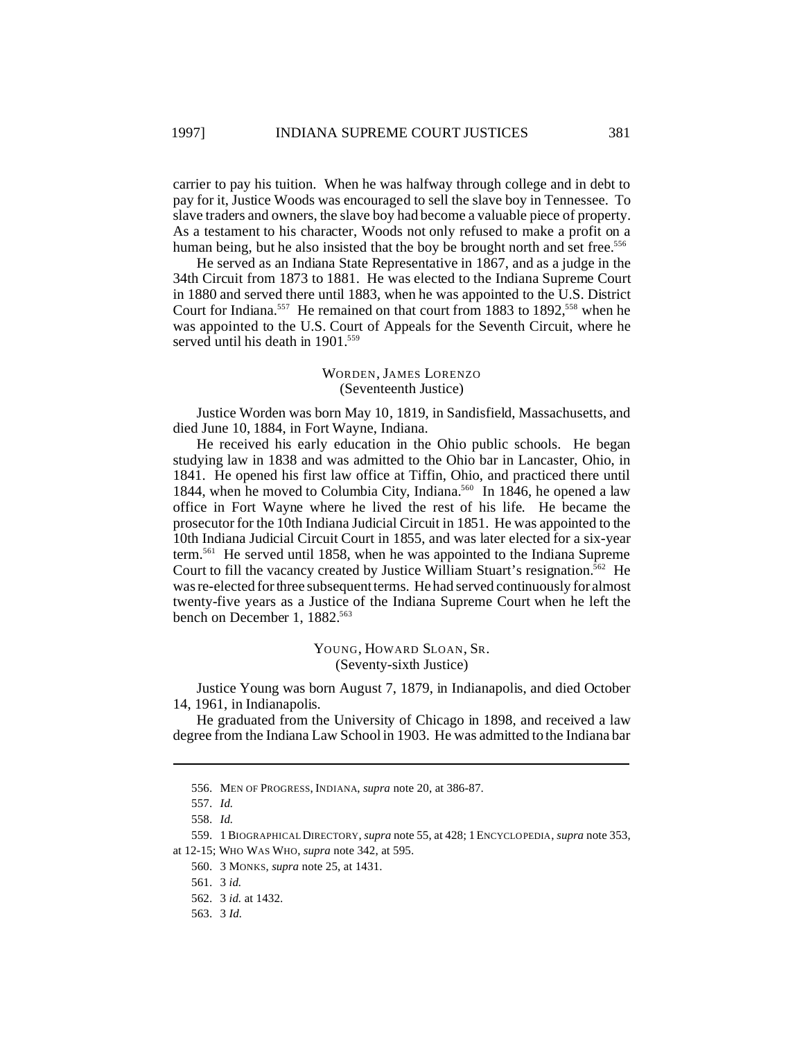carrier to pay his tuition. When he was halfway through college and in debt to pay for it, Justice Woods was encouraged to sell the slave boy in Tennessee. To slave traders and owners, the slave boy had become a valuable piece of property. As a testament to his character, Woods not only refused to make a profit on a human being, but he also insisted that the boy be brought north and set free.<sup>556</sup>

He served as an Indiana State Representative in 1867, and as a judge in the 34th Circuit from 1873 to 1881. He was elected to the Indiana Supreme Court in 1880 and served there until 1883, when he was appointed to the U.S. District Court for Indiana.<sup>557</sup> He remained on that court from 1883 to 1892,<sup>558</sup> when he was appointed to the U.S. Court of Appeals for the Seventh Circuit, where he served until his death in 1901.<sup>559</sup>

#### WORDEN, JAMES LORENZO (Seventeenth Justice)

Justice Worden was born May 10, 1819, in Sandisfield, Massachusetts, and died June 10, 1884, in Fort Wayne, Indiana.

He received his early education in the Ohio public schools. He began studying law in 1838 and was admitted to the Ohio bar in Lancaster, Ohio, in 1841. He opened his first law office at Tiffin, Ohio, and practiced there until 1844, when he moved to Columbia City, Indiana.<sup>560</sup> In 1846, he opened a law office in Fort Wayne where he lived the rest of his life. He became the prosecutor for the 10th Indiana Judicial Circuit in 1851. He was appointed to the 10th Indiana Judicial Circuit Court in 1855, and was later elected for a six-year term.<sup>561</sup> He served until 1858, when he was appointed to the Indiana Supreme Court to fill the vacancy created by Justice William Stuart's resignation.<sup> $562$ </sup> He was re-elected for three subsequent terms. He had served continuously for almost twenty-five years as a Justice of the Indiana Supreme Court when he left the bench on December 1, 1882.<sup>563</sup>

> YOUNG, HOWARD SLOAN, SR. (Seventy-sixth Justice)

Justice Young was born August 7, 1879, in Indianapolis, and died October 14, 1961, in Indianapolis.

He graduated from the University of Chicago in 1898, and received a law degree from the Indiana Law School in 1903. He was admitted to the Indiana bar

559. 1BIOGRAPHICAL DIRECTORY, *supra* note 55, at 428; 1 ENCYCLOPEDIA, *supra* note 353, at 12-15; WHO WAS WHO, *supra* note 342, at 595.

<sup>556.</sup> MEN OF PROGRESS, INDIANA, *supra* note 20, at 386-87.

<sup>557.</sup> *Id.*

<sup>558.</sup> *Id.*

<sup>560.</sup> 3 MONKS, *supra* note 25, at 1431.

<sup>561.</sup> 3 *id.*

<sup>562.</sup> 3 *id.* at 1432.

<sup>563.</sup> 3 *Id.*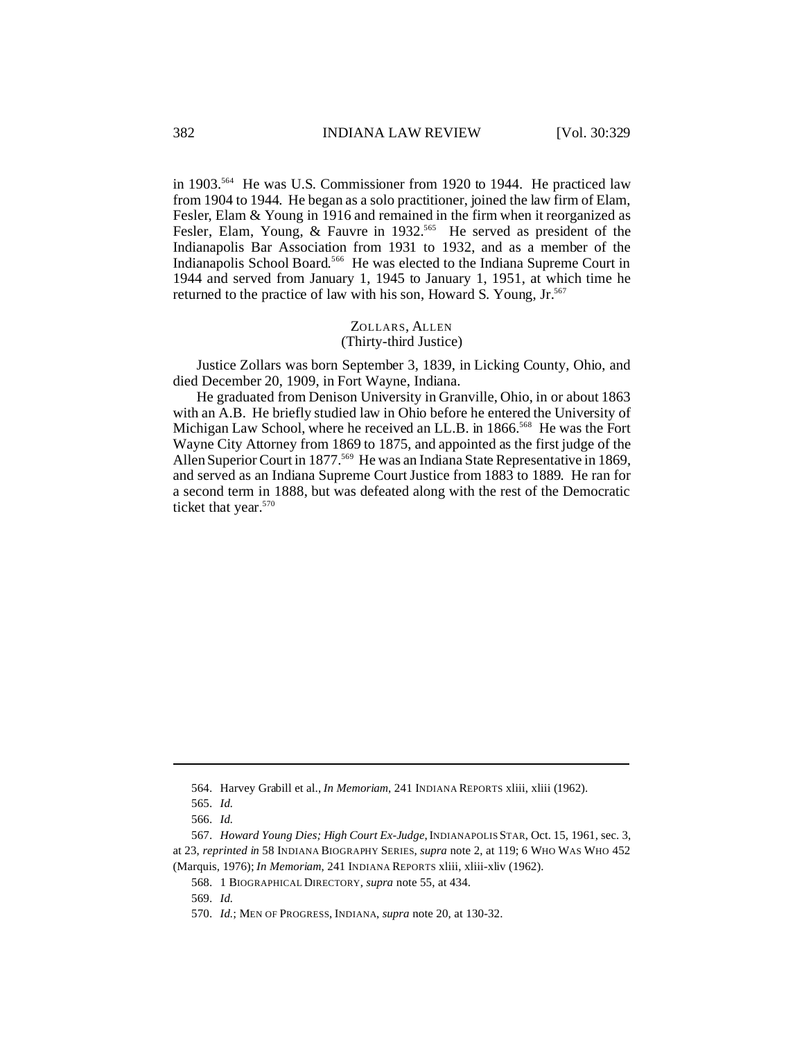in 1903.<sup>564</sup> He was U.S. Commissioner from 1920 to 1944. He practiced law from 1904 to 1944. He began as a solo practitioner, joined the law firm of Elam, Fesler, Elam & Young in 1916 and remained in the firm when it reorganized as Fesler, Elam, Young, & Fauvre in 1932.<sup>565</sup> He served as president of the Indianapolis Bar Association from 1931 to 1932, and as a member of the Indianapolis School Board.<sup>566</sup> He was elected to the Indiana Supreme Court in 1944 and served from January 1, 1945 to January 1, 1951, at which time he returned to the practice of law with his son, Howard S. Young, Jr.<sup>567</sup>

#### ZOLLARS, ALLEN (Thirty-third Justice)

Justice Zollars was born September 3, 1839, in Licking County, Ohio, and died December 20, 1909, in Fort Wayne, Indiana.

He graduated from Denison University in Granville, Ohio, in or about 1863 with an A.B. He briefly studied law in Ohio before he entered the University of Michigan Law School, where he received an LL.B. in 1866.<sup>568</sup> He was the Fort Wayne City Attorney from 1869 to 1875, and appointed as the first judge of the Allen Superior Court in 1877.<sup>569</sup> He was an Indiana State Representative in 1869, and served as an Indiana Supreme Court Justice from 1883 to 1889. He ran for a second term in 1888, but was defeated along with the rest of the Democratic ticket that year.<sup>570</sup>

<sup>564.</sup> Harvey Grabill et al., *In Memoriam*, 241 INDIANA REPORTS xliii, xliii (1962).

<sup>565.</sup> *Id.*

<sup>566.</sup> *Id.*

<sup>567.</sup> *Howard Young Dies; High Court Ex-Judge*,INDIANAPOLIS STAR, Oct. 15, 1961, sec. 3, at 23, *reprinted in* 58 INDIANA BIOGRAPHY SERIES, *supra* note 2, at 119; 6 WHO WAS WHO 452 (Marquis, 1976); *In Memoriam*, 241 INDIANA REPORTS xliii, xliii-xliv (1962).

<sup>568.</sup> 1 BIOGRAPHICAL DIRECTORY, *supra* note 55, at 434.

<sup>569.</sup> *Id.*

<sup>570.</sup> *Id.*; MEN OF PROGRESS, INDIANA, *supra* note 20, at 130-32.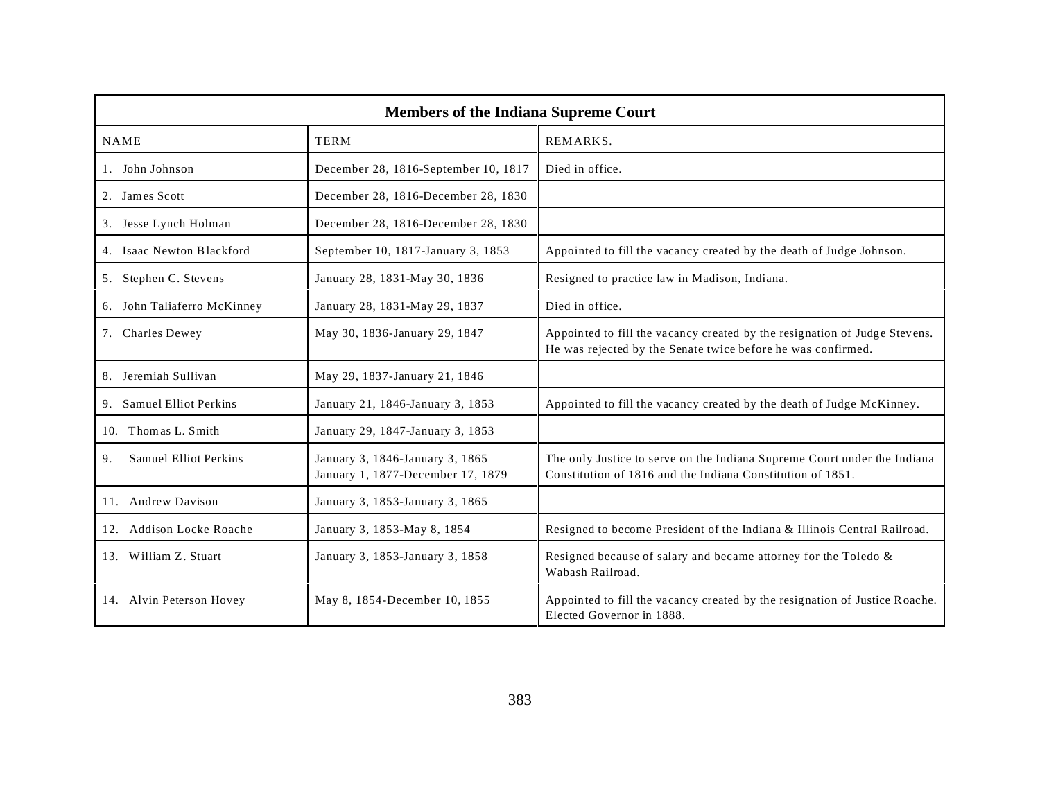| <b>Members of the Indiana Supreme Court</b> |                                                                      |                                                                                                                                            |
|---------------------------------------------|----------------------------------------------------------------------|--------------------------------------------------------------------------------------------------------------------------------------------|
| <b>NAME</b>                                 | <b>TERM</b>                                                          | REMARKS.                                                                                                                                   |
| 1. John Johnson                             | December 28, 1816-September 10, 1817                                 | Died in office.                                                                                                                            |
| 2. James Scott                              | December 28, 1816-December 28, 1830                                  |                                                                                                                                            |
| 3. Jesse Lynch Holman                       | December 28, 1816-December 28, 1830                                  |                                                                                                                                            |
| 4. Isaac Newton Blackford                   | September 10, 1817-January 3, 1853                                   | Appointed to fill the vacancy created by the death of Judge Johnson.                                                                       |
| 5. Stephen C. Stevens                       | January 28, 1831-May 30, 1836                                        | Resigned to practice law in Madison, Indiana.                                                                                              |
| 6. John Taliaferro McKinney                 | January 28, 1831-May 29, 1837                                        | Died in office.                                                                                                                            |
| 7. Charles Dewey                            | May 30, 1836-January 29, 1847                                        | Appointed to fill the vacancy created by the resignation of Judge Stevens.<br>He was rejected by the Senate twice before he was confirmed. |
| 8. Jeremiah Sullivan                        | May 29, 1837-January 21, 1846                                        |                                                                                                                                            |
| 9. Samuel Elliot Perkins                    | January 21, 1846-January 3, 1853                                     | Appointed to fill the vacancy created by the death of Judge McKinney.                                                                      |
| Thomas L. Smith<br>10.                      | January 29, 1847-January 3, 1853                                     |                                                                                                                                            |
| <b>Samuel Elliot Perkins</b><br>9.          | January 3, 1846-January 3, 1865<br>January 1, 1877-December 17, 1879 | The only Justice to serve on the Indiana Supreme Court under the Indiana<br>Constitution of 1816 and the Indiana Constitution of 1851.     |
| 11. Andrew Davison                          | January 3, 1853-January 3, 1865                                      |                                                                                                                                            |
| 12. Addison Locke Roache                    | January 3, 1853-May 8, 1854                                          | Resigned to become President of the Indiana & Illinois Central Railroad.                                                                   |
| 13. William Z. Stuart                       | January 3, 1853-January 3, 1858                                      | Resigned because of salary and became attorney for the Toledo &<br>Wabash Railroad.                                                        |
| 14. Alvin Peterson Hovey                    | May 8, 1854-December 10, 1855                                        | Appointed to fill the vacancy created by the resignation of Justice Roache.<br>Elected Governor in 1888.                                   |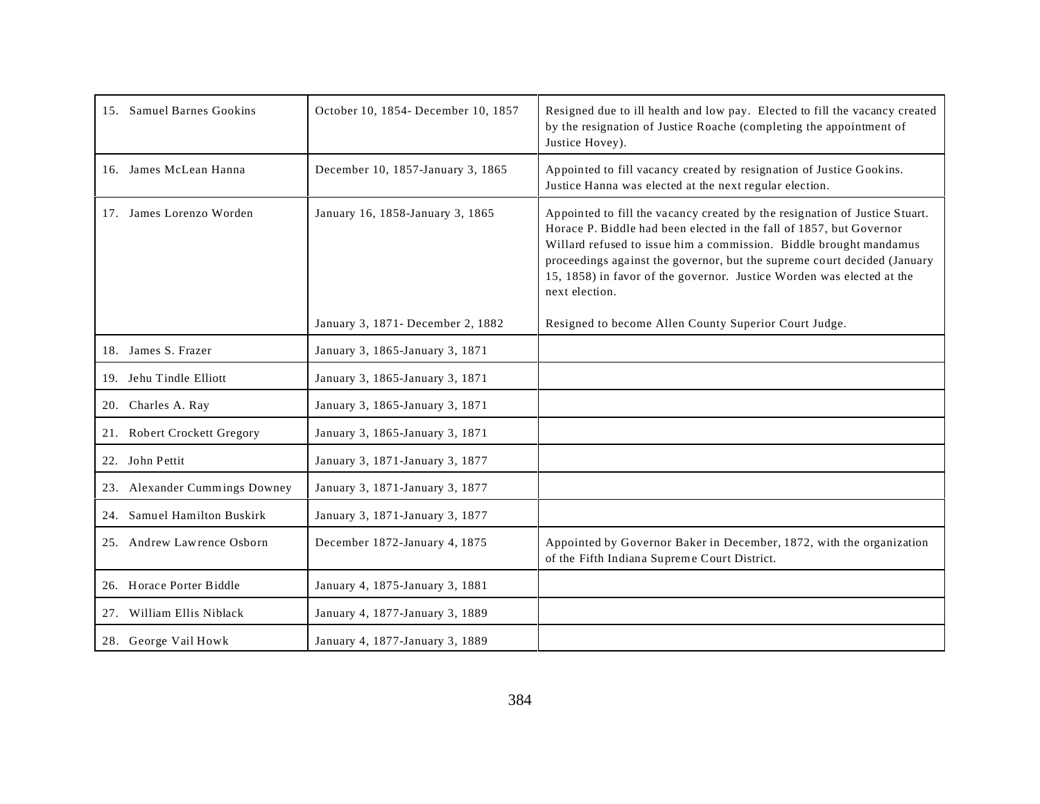| 15. Samuel Barnes Gookins     | October 10, 1854- December 10, 1857 | Resigned due to ill health and low pay. Elected to fill the vacancy created<br>by the resignation of Justice Roache (completing the appointment of<br>Justice Hovey).                                                                                                                                                                                                                           |
|-------------------------------|-------------------------------------|-------------------------------------------------------------------------------------------------------------------------------------------------------------------------------------------------------------------------------------------------------------------------------------------------------------------------------------------------------------------------------------------------|
| 16. James McLean Hanna        | December 10, 1857-January 3, 1865   | Appointed to fill vacancy created by resignation of Justice Gookins.<br>Justice Hanna was elected at the next regular election.                                                                                                                                                                                                                                                                 |
| 17. James Lorenzo Worden      | January 16, 1858-January 3, 1865    | Appointed to fill the vacancy created by the resignation of Justice Stuart.<br>Horace P. Biddle had been elected in the fall of 1857, but Governor<br>Willard refused to issue him a commission. Biddle brought mandamus<br>proceedings against the governor, but the supreme court decided (January<br>15, 1858) in favor of the governor. Justice Worden was elected at the<br>next election. |
|                               | January 3, 1871- December 2, 1882   | Resigned to become Allen County Superior Court Judge.                                                                                                                                                                                                                                                                                                                                           |
| 18. James S. Frazer           | January 3, 1865-January 3, 1871     |                                                                                                                                                                                                                                                                                                                                                                                                 |
| 19. Jehu Tindle Elliott       | January 3, 1865-January 3, 1871     |                                                                                                                                                                                                                                                                                                                                                                                                 |
| 20. Charles A. Ray            | January 3, 1865-January 3, 1871     |                                                                                                                                                                                                                                                                                                                                                                                                 |
| 21. Robert Crockett Gregory   | January 3, 1865-January 3, 1871     |                                                                                                                                                                                                                                                                                                                                                                                                 |
| 22. John Pettit               | January 3, 1871-January 3, 1877     |                                                                                                                                                                                                                                                                                                                                                                                                 |
| 23. Alexander Cummings Downey | January 3, 1871-January 3, 1877     |                                                                                                                                                                                                                                                                                                                                                                                                 |
| 24. Samuel Hamilton Buskirk   | January 3, 1871-January 3, 1877     |                                                                                                                                                                                                                                                                                                                                                                                                 |
| 25. Andrew Lawrence Osborn    | December 1872-January 4, 1875       | Appointed by Governor Baker in December, 1872, with the organization<br>of the Fifth Indiana Supreme Court District.                                                                                                                                                                                                                                                                            |
| 26. Horace Porter Biddle      | January 4, 1875-January 3, 1881     |                                                                                                                                                                                                                                                                                                                                                                                                 |
| 27. William Ellis Niblack     | January 4, 1877-January 3, 1889     |                                                                                                                                                                                                                                                                                                                                                                                                 |
| 28. George Vail Howk          | January 4, 1877-January 3, 1889     |                                                                                                                                                                                                                                                                                                                                                                                                 |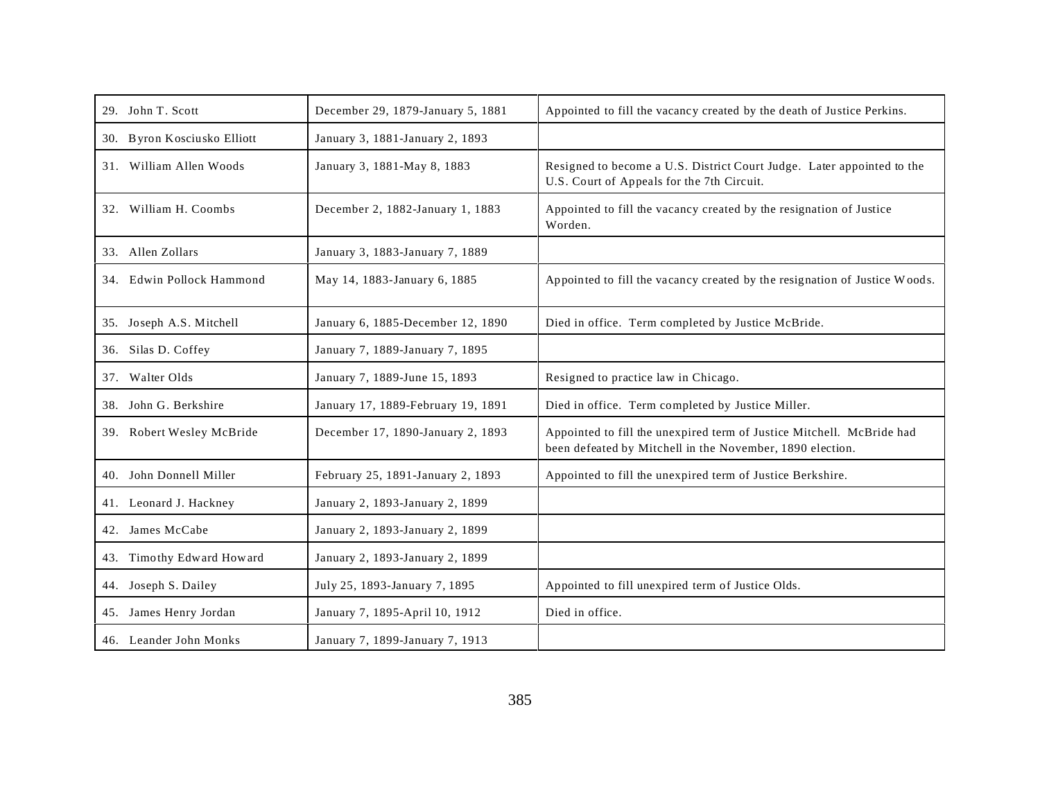| 29. John T. Scott           | December 29, 1879-January 5, 1881  | Appointed to fill the vacancy created by the death of Justice Perkins.                                                             |
|-----------------------------|------------------------------------|------------------------------------------------------------------------------------------------------------------------------------|
| 30. Byron Kosciusko Elliott | January 3, 1881-January 2, 1893    |                                                                                                                                    |
| 31. William Allen Woods     | January 3, 1881-May 8, 1883        | Resigned to become a U.S. District Court Judge. Later appointed to the<br>U.S. Court of Appeals for the 7th Circuit.               |
| 32. William H. Coombs       | December 2, 1882-January 1, 1883   | Appointed to fill the vacancy created by the resignation of Justice<br>Worden.                                                     |
| 33. Allen Zollars           | January 3, 1883-January 7, 1889    |                                                                                                                                    |
| 34. Edwin Pollock Hammond   | May 14, 1883-January 6, 1885       | Appointed to fill the vacancy created by the resignation of Justice Woods.                                                         |
| 35. Joseph A.S. Mitchell    | January 6, 1885-December 12, 1890  | Died in office. Term completed by Justice McBride.                                                                                 |
| 36. Silas D. Coffey         | January 7, 1889-January 7, 1895    |                                                                                                                                    |
| 37. Walter Olds             | January 7, 1889-June 15, 1893      | Resigned to practice law in Chicago.                                                                                               |
| 38. John G. Berkshire       | January 17, 1889-February 19, 1891 | Died in office. Term completed by Justice Miller.                                                                                  |
| 39. Robert Wesley McBride   | December 17, 1890-January 2, 1893  | Appointed to fill the unexpired term of Justice Mitchell. McBride had<br>been defeated by Mitchell in the November, 1890 election. |
| 40. John Donnell Miller     | February 25, 1891-January 2, 1893  | Appointed to fill the unexpired term of Justice Berkshire.                                                                         |
| 41. Leonard J. Hackney      | January 2, 1893-January 2, 1899    |                                                                                                                                    |
| 42. James McCabe            | January 2, 1893-January 2, 1899    |                                                                                                                                    |
| 43. Timothy Edward Howard   | January 2, 1893-January 2, 1899    |                                                                                                                                    |
| 44. Joseph S. Dailey        | July 25, 1893-January 7, 1895      | Appointed to fill unexpired term of Justice Olds.                                                                                  |
| 45. James Henry Jordan      | January 7, 1895-April 10, 1912     | Died in office.                                                                                                                    |
| 46. Leander John Monks      | January 7, 1899-January 7, 1913    |                                                                                                                                    |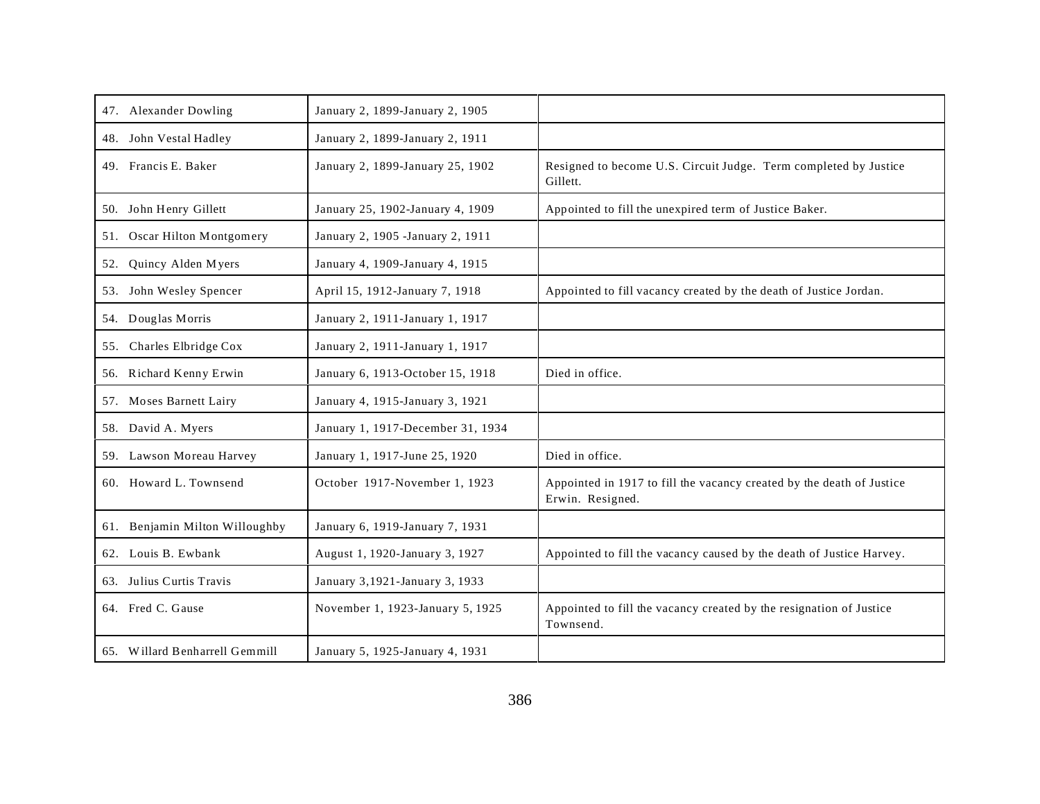| 47. Alexander Dowling          | January 2, 1899-January 2, 1905   |                                                                                           |
|--------------------------------|-----------------------------------|-------------------------------------------------------------------------------------------|
| 48. John Vestal Hadley         | January 2, 1899-January 2, 1911   |                                                                                           |
| 49. Francis E. Baker           | January 2, 1899-January 25, 1902  | Resigned to become U.S. Circuit Judge. Term completed by Justice<br>Gillett.              |
| 50. John Henry Gillett         | January 25, 1902-January 4, 1909  | Appointed to fill the unexpired term of Justice Baker.                                    |
| 51. Oscar Hilton Montgomery    | January 2, 1905 - January 2, 1911 |                                                                                           |
| Quincy Alden Myers<br>52.      | January 4, 1909-January 4, 1915   |                                                                                           |
| 53. John Wesley Spencer        | April 15, 1912-January 7, 1918    | Appointed to fill vacancy created by the death of Justice Jordan.                         |
| 54. Douglas Morris             | January 2, 1911-January 1, 1917   |                                                                                           |
| 55. Charles Elbridge Cox       | January 2, 1911-January 1, 1917   |                                                                                           |
| 56. Richard Kenny Erwin        | January 6, 1913-October 15, 1918  | Died in office.                                                                           |
| 57. Moses Barnett Lairy        | January 4, 1915-January 3, 1921   |                                                                                           |
| 58. David A. Myers             | January 1, 1917-December 31, 1934 |                                                                                           |
| 59. Lawson Moreau Harvey       | January 1, 1917-June 25, 1920     | Died in office.                                                                           |
| 60. Howard L. Townsend         | October 1917-November 1, 1923     | Appointed in 1917 to fill the vacancy created by the death of Justice<br>Erwin. Resigned. |
| 61. Benjamin Milton Willoughby | January 6, 1919-January 7, 1931   |                                                                                           |
| 62. Louis B. Ewbank            | August 1, 1920-January 3, 1927    | Appointed to fill the vacancy caused by the death of Justice Harvey.                      |
| 63. Julius Curtis Travis       | January 3, 1921-January 3, 1933   |                                                                                           |
| 64. Fred C. Gause              | November 1, 1923-January 5, 1925  | Appointed to fill the vacancy created by the resignation of Justice<br>Townsend.          |
| 65. Willard Benharrell Gemmill | January 5, 1925-January 4, 1931   |                                                                                           |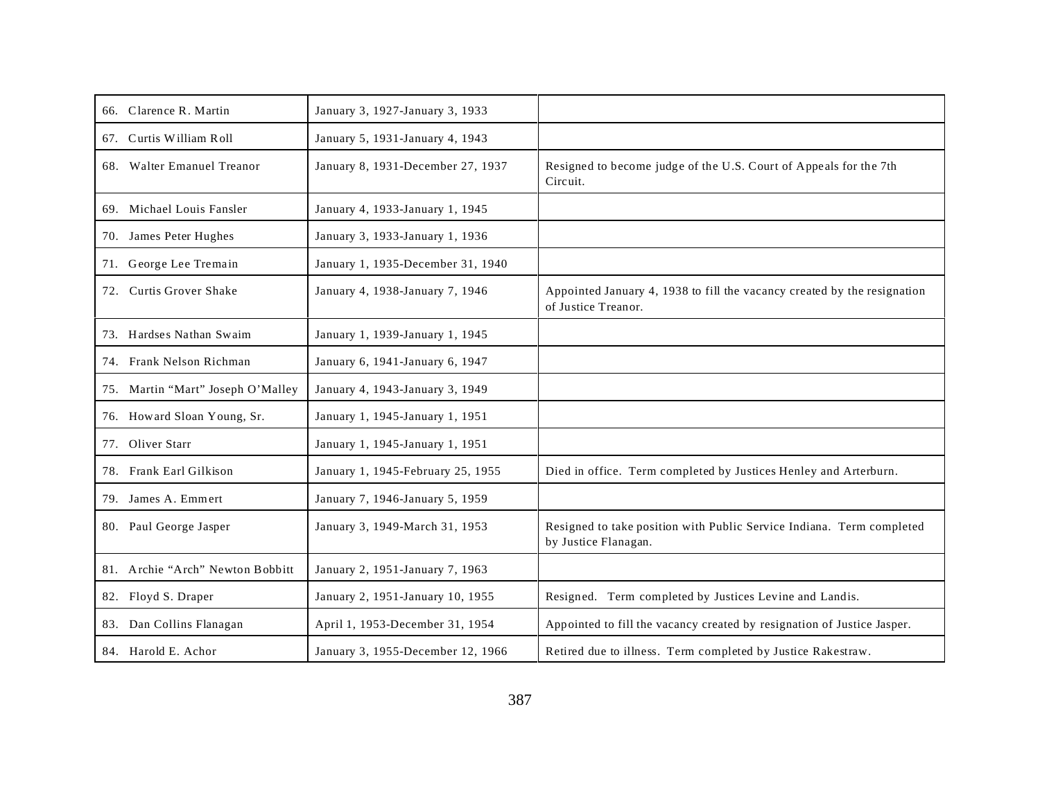| 66. Clarence R. Martin            | January 3, 1927-January 3, 1933   |                                                                                                 |
|-----------------------------------|-----------------------------------|-------------------------------------------------------------------------------------------------|
| 67. Curtis William Roll           | January 5, 1931-January 4, 1943   |                                                                                                 |
| 68. Walter Emanuel Treanor        | January 8, 1931-December 27, 1937 | Resigned to become judge of the U.S. Court of Appeals for the 7th<br>Circuit.                   |
| 69. Michael Louis Fansler         | January 4, 1933-January 1, 1945   |                                                                                                 |
| 70. James Peter Hughes            | January 3, 1933-January 1, 1936   |                                                                                                 |
| 71. George Lee Tremain            | January 1, 1935-December 31, 1940 |                                                                                                 |
| 72. Curtis Grover Shake           | January 4, 1938-January 7, 1946   | Appointed January 4, 1938 to fill the vacancy created by the resignation<br>of Justice Treanor. |
| 73. Hardses Nathan Swaim          | January 1, 1939-January 1, 1945   |                                                                                                 |
| 74. Frank Nelson Richman          | January 6, 1941-January 6, 1947   |                                                                                                 |
| 75. Martin "Mart" Joseph O'Malley | January 4, 1943-January 3, 1949   |                                                                                                 |
| 76. Howard Sloan Young, Sr.       | January 1, 1945-January 1, 1951   |                                                                                                 |
| 77. Oliver Starr                  | January 1, 1945-January 1, 1951   |                                                                                                 |
| 78. Frank Earl Gilkison           | January 1, 1945-February 25, 1955 | Died in office. Term completed by Justices Henley and Arterburn.                                |
| 79. James A. Emmert               | January 7, 1946-January 5, 1959   |                                                                                                 |
| 80. Paul George Jasper            | January 3, 1949-March 31, 1953    | Resigned to take position with Public Service Indiana. Term completed<br>by Justice Flanagan.   |
| 81. Archie "Arch" Newton Bobbitt  | January 2, 1951-January 7, 1963   |                                                                                                 |
| 82. Floyd S. Draper               | January 2, 1951-January 10, 1955  | Resigned. Term completed by Justices Levine and Landis.                                         |
| 83. Dan Collins Flanagan          | April 1, 1953-December 31, 1954   | Appointed to fill the vacancy created by resignation of Justice Jasper.                         |
| 84. Harold E. Achor               | January 3, 1955-December 12, 1966 | Retired due to illness. Term completed by Justice Rakestraw.                                    |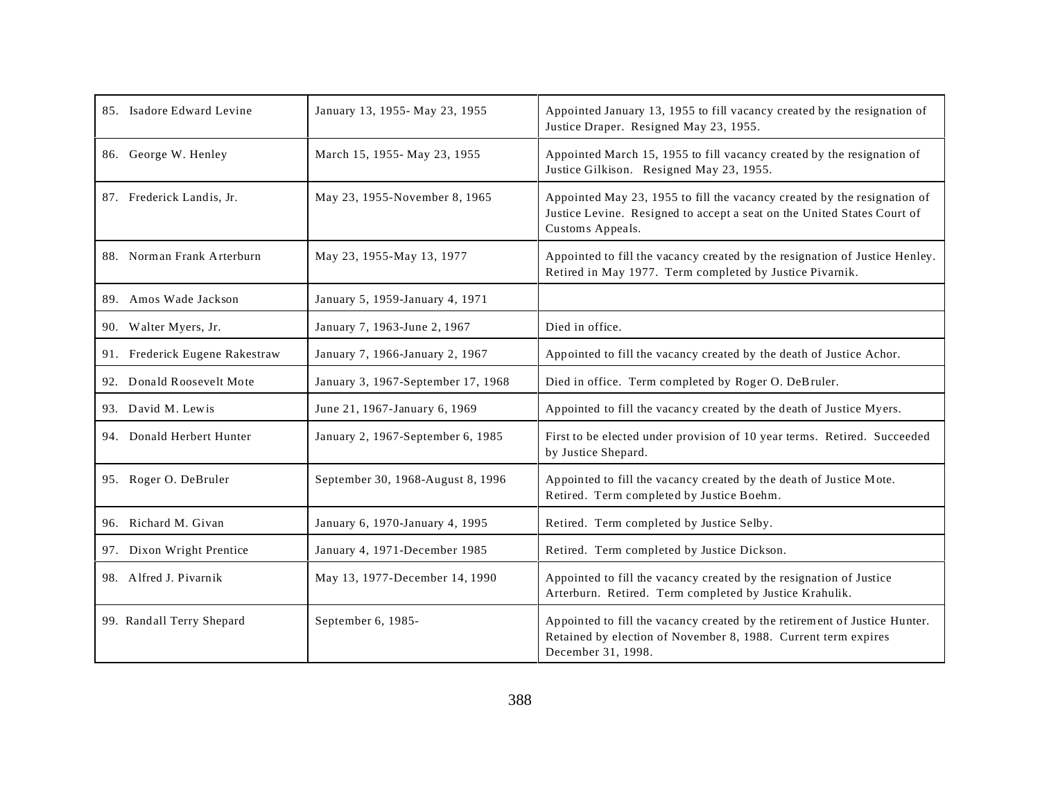| 85. Isadore Edward Levine      | January 13, 1955- May 23, 1955     | Appointed January 13, 1955 to fill vacancy created by the resignation of<br>Justice Draper. Resigned May 23, 1955.                                                      |
|--------------------------------|------------------------------------|-------------------------------------------------------------------------------------------------------------------------------------------------------------------------|
| 86. George W. Henley           | March 15, 1955-May 23, 1955        | Appointed March 15, 1955 to fill vacancy created by the resignation of<br>Justice Gilkison. Resigned May 23, 1955.                                                      |
| 87. Frederick Landis, Jr.      | May 23, 1955-November 8, 1965      | Appointed May 23, 1955 to fill the vacancy created by the resignation of<br>Justice Levine. Resigned to accept a seat on the United States Court of<br>Customs Appeals. |
| 88. Norman Frank Arterburn     | May 23, 1955-May 13, 1977          | Appointed to fill the vacancy created by the resignation of Justice Henley.<br>Retired in May 1977. Term completed by Justice Pivarnik.                                 |
| 89. Amos Wade Jackson          | January 5, 1959-January 4, 1971    |                                                                                                                                                                         |
| 90. Walter Myers, Jr.          | January 7, 1963-June 2, 1967       | Died in office.                                                                                                                                                         |
| 91. Frederick Eugene Rakestraw | January 7, 1966-January 2, 1967    | Appointed to fill the vacancy created by the death of Justice Achor.                                                                                                    |
| 92. Donald Roosevelt Mote      | January 3, 1967-September 17, 1968 | Died in office. Term completed by Roger O. DeBruler.                                                                                                                    |
| 93. David M. Lewis             | June 21, 1967-January 6, 1969      | Appointed to fill the vacancy created by the death of Justice Myers.                                                                                                    |
| 94. Donald Herbert Hunter      | January 2, 1967-September 6, 1985  | First to be elected under provision of 10 year terms. Retired. Succeeded<br>by Justice Shepard.                                                                         |
| 95. Roger O. DeBruler          | September 30, 1968-August 8, 1996  | Appointed to fill the vacancy created by the death of Justice Mote.<br>Retired. Term completed by Justice Boehm.                                                        |
| 96. Richard M. Givan           | January 6, 1970-January 4, 1995    | Retired. Term completed by Justice Selby.                                                                                                                               |
| 97. Dixon Wright Prentice      | January 4, 1971-December 1985      | Retired. Term completed by Justice Dickson.                                                                                                                             |
| 98. Alfred J. Pivarnik         | May 13, 1977-December 14, 1990     | Appointed to fill the vacancy created by the resignation of Justice<br>Arterburn. Retired. Term completed by Justice Krahulik.                                          |
| 99. Randall Terry Shepard      | September 6, 1985-                 | Appointed to fill the vacancy created by the retirement of Justice Hunter.<br>Retained by election of November 8, 1988. Current term expires<br>December 31, 1998.      |